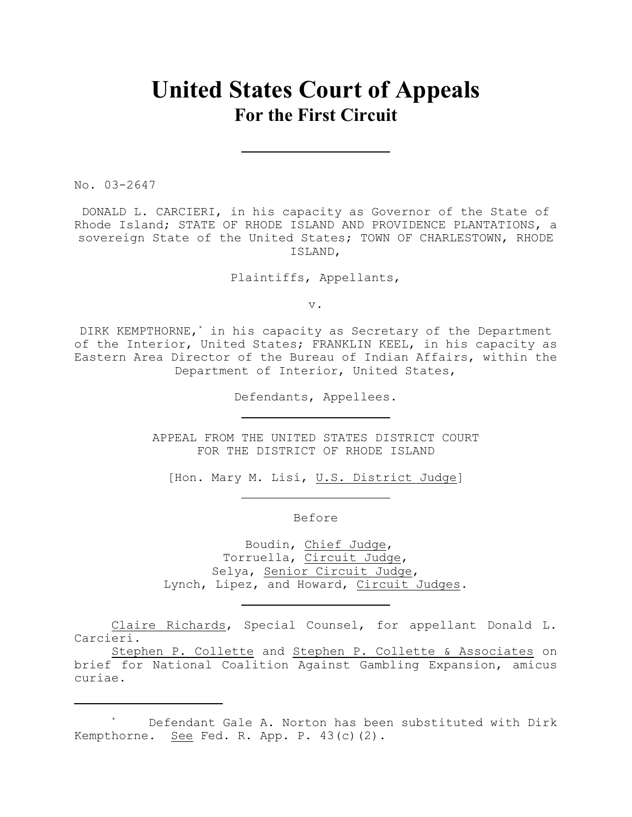# **United States Court of Appeals For the First Circuit**

No. 03-2647

DONALD L. CARCIERI, in his capacity as Governor of the State of Rhode Island; STATE OF RHODE ISLAND AND PROVIDENCE PLANTATIONS, a sovereign State of the United States; TOWN OF CHARLESTOWN, RHODE ISLAND,

Plaintiffs, Appellants,

v.

DIRK KEMPTHORNE,<sup>\*</sup> in his capacity as Secretary of the Department of the Interior, United States; FRANKLIN KEEL, in his capacity as Eastern Area Director of the Bureau of Indian Affairs, within the Department of Interior, United States,

Defendants, Appellees.

APPEAL FROM THE UNITED STATES DISTRICT COURT FOR THE DISTRICT OF RHODE ISLAND

[Hon. Mary M. Lisi, U.S. District Judge]

Before

 Boudin, Chief Judge, Torruella, Circuit Judge, Selya, Senior Circuit Judge, Lynch, Lipez, and Howard, Circuit Judges.

Claire Richards, Special Counsel, for appellant Donald L. Carcieri.

Stephen P. Collette and Stephen P. Collette & Associates on brief for National Coalition Against Gambling Expansion, amicus curiae.

Defendant Gale A. Norton has been substituted with Dirk \* Kempthorne. See Fed. R. App. P. 43(c)(2).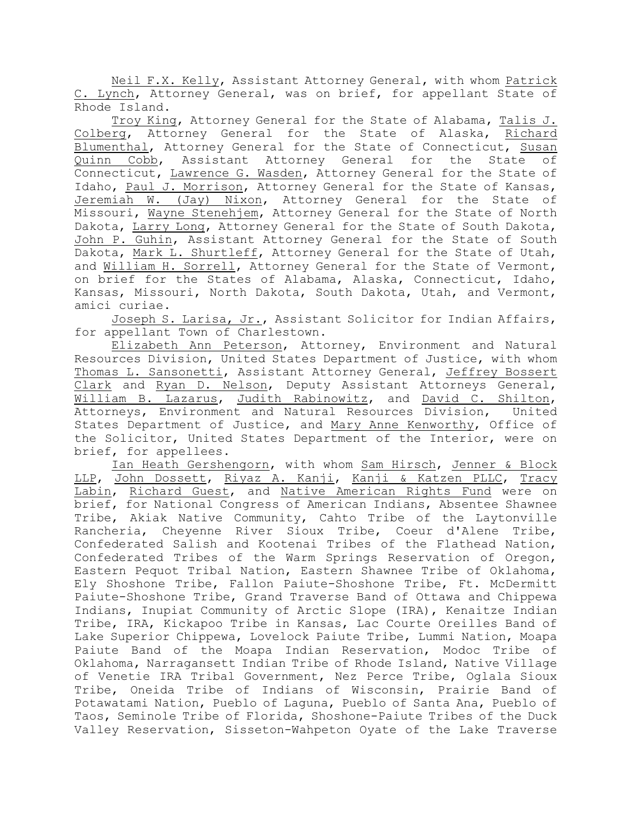Neil F.X. Kelly, Assistant Attorney General, with whom Patrick C. Lynch, Attorney General, was on brief, for appellant State of Rhode Island.

Troy King, Attorney General for the State of Alabama, Talis J. Colberg, Attorney General for the State of Alaska, Richard Blumenthal, Attorney General for the State of Connecticut, Susan Quinn Cobb, Assistant Attorney General for the State of Connecticut, Lawrence G. Wasden, Attorney General for the State of Idaho, Paul J. Morrison, Attorney General for the State of Kansas, Jeremiah W. (Jay) Nixon, Attorney General for the State of Missouri, Wayne Stenehjem, Attorney General for the State of North Dakota, Larry Long, Attorney General for the State of South Dakota, John P. Guhin, Assistant Attorney General for the State of South Dakota, Mark L. Shurtleff, Attorney General for the State of Utah, and William H. Sorrell, Attorney General for the State of Vermont, on brief for the States of Alabama, Alaska, Connecticut, Idaho, Kansas, Missouri, North Dakota, South Dakota, Utah, and Vermont, amici curiae.

Joseph S. Larisa, Jr., Assistant Solicitor for Indian Affairs, for appellant Town of Charlestown.

Elizabeth Ann Peterson, Attorney, Environment and Natural Resources Division, United States Department of Justice, with whom Thomas L. Sansonetti, Assistant Attorney General, Jeffrey Bossert Clark and Ryan D. Nelson, Deputy Assistant Attorneys General, William B. Lazarus, Judith Rabinowitz, and David C. Shilton, Attorneys, Environment and Natural Resources Division, United States Department of Justice, and Mary Anne Kenworthy, Office of the Solicitor, United States Department of the Interior, were on brief, for appellees.

Ian Heath Gershengorn, with whom Sam Hirsch, Jenner & Block LLP, John Dossett, Riyaz A. Kanji, Kanji & Katzen PLLC, Tracy Labin, Richard Guest, and Native American Rights Fund were on brief, for National Congress of American Indians, Absentee Shawnee Tribe, Akiak Native Community, Cahto Tribe of the Laytonville Rancheria, Cheyenne River Sioux Tribe, Coeur d'Alene Tribe, Confederated Salish and Kootenai Tribes of the Flathead Nation, Confederated Tribes of the Warm Springs Reservation of Oregon, Eastern Pequot Tribal Nation, Eastern Shawnee Tribe of Oklahoma, Ely Shoshone Tribe, Fallon Paiute-Shoshone Tribe, Ft. McDermitt Paiute-Shoshone Tribe, Grand Traverse Band of Ottawa and Chippewa Indians, Inupiat Community of Arctic Slope (IRA), Kenaitze Indian Tribe, IRA, Kickapoo Tribe in Kansas, Lac Courte Oreilles Band of Lake Superior Chippewa, Lovelock Paiute Tribe, Lummi Nation, Moapa Paiute Band of the Moapa Indian Reservation, Modoc Tribe of Oklahoma, Narragansett Indian Tribe of Rhode Island, Native Village of Venetie IRA Tribal Government, Nez Perce Tribe, Oglala Sioux Tribe, Oneida Tribe of Indians of Wisconsin, Prairie Band of Potawatami Nation, Pueblo of Laguna, Pueblo of Santa Ana, Pueblo of Taos, Seminole Tribe of Florida, Shoshone-Paiute Tribes of the Duck Valley Reservation, Sisseton-Wahpeton Oyate of the Lake Traverse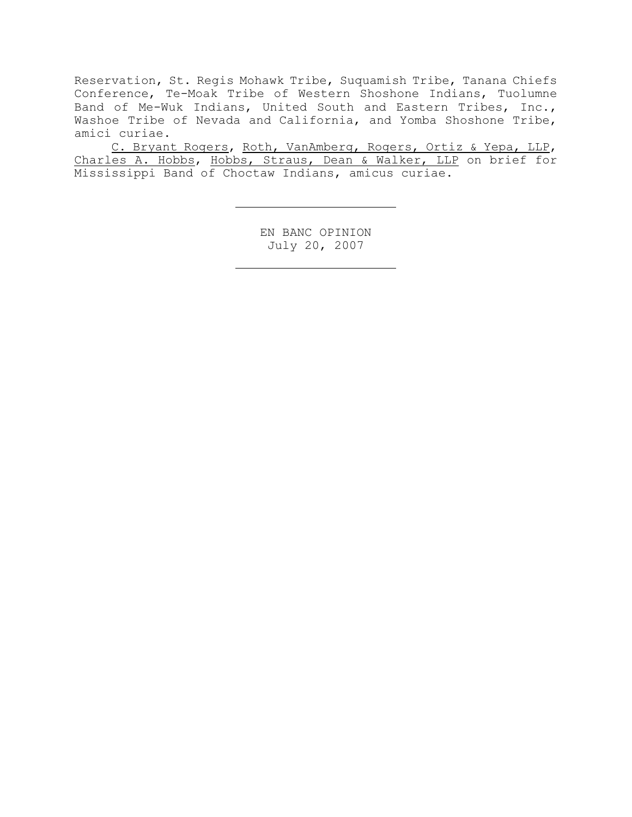Reservation, St. Regis Mohawk Tribe, Suquamish Tribe, Tanana Chiefs Conference, Te-Moak Tribe of Western Shoshone Indians, Tuolumne Band of Me-Wuk Indians, United South and Eastern Tribes, Inc., Washoe Tribe of Nevada and California, and Yomba Shoshone Tribe, amici curiae.

C. Bryant Rogers, Roth, VanAmberg, Rogers, Ortiz & Yepa, LLP, Charles A. Hobbs, Hobbs, Straus, Dean & Walker, LLP on brief for Mississippi Band of Choctaw Indians, amicus curiae.

> EN BANC OPINION July 20, 2007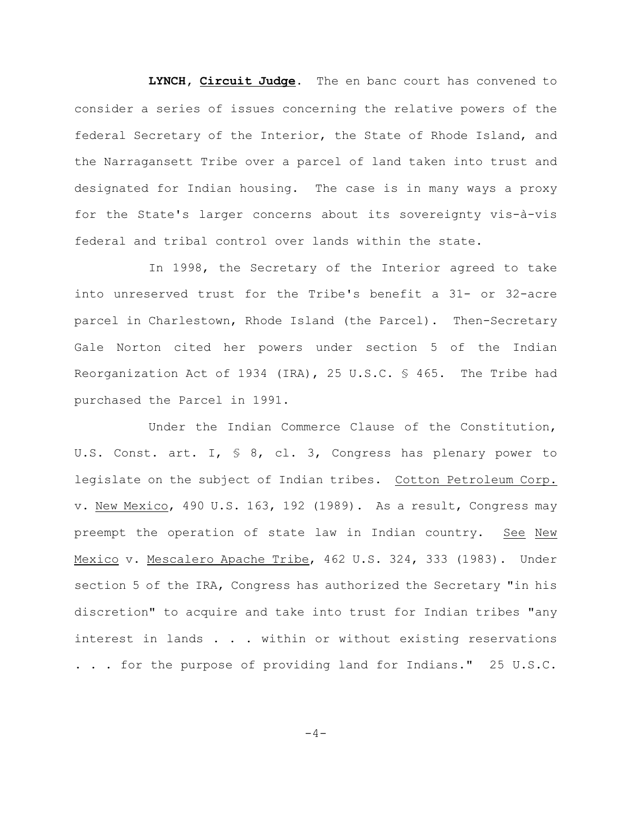**LYNCH, Circuit Judge**. The en banc court has convened to consider a series of issues concerning the relative powers of the federal Secretary of the Interior, the State of Rhode Island, and the Narragansett Tribe over a parcel of land taken into trust and designated for Indian housing. The case is in many ways a proxy for the State's larger concerns about its sovereignty vis-à-vis federal and tribal control over lands within the state.

In 1998, the Secretary of the Interior agreed to take into unreserved trust for the Tribe's benefit a 31- or 32-acre parcel in Charlestown, Rhode Island (the Parcel). Then-Secretary Gale Norton cited her powers under section 5 of the Indian Reorganization Act of 1934 (IRA), 25 U.S.C. § 465. The Tribe had purchased the Parcel in 1991.

Under the Indian Commerce Clause of the Constitution, U.S. Const. art. I, § 8, cl. 3, Congress has plenary power to legislate on the subject of Indian tribes. Cotton Petroleum Corp. v. New Mexico, 490 U.S. 163, 192 (1989). As a result, Congress may preempt the operation of state law in Indian country. See New Mexico v. Mescalero Apache Tribe, 462 U.S. 324, 333 (1983). Under section 5 of the IRA, Congress has authorized the Secretary "in his discretion" to acquire and take into trust for Indian tribes "any interest in lands . . . within or without existing reservations . . . for the purpose of providing land for Indians." 25 U.S.C.

 $-4-$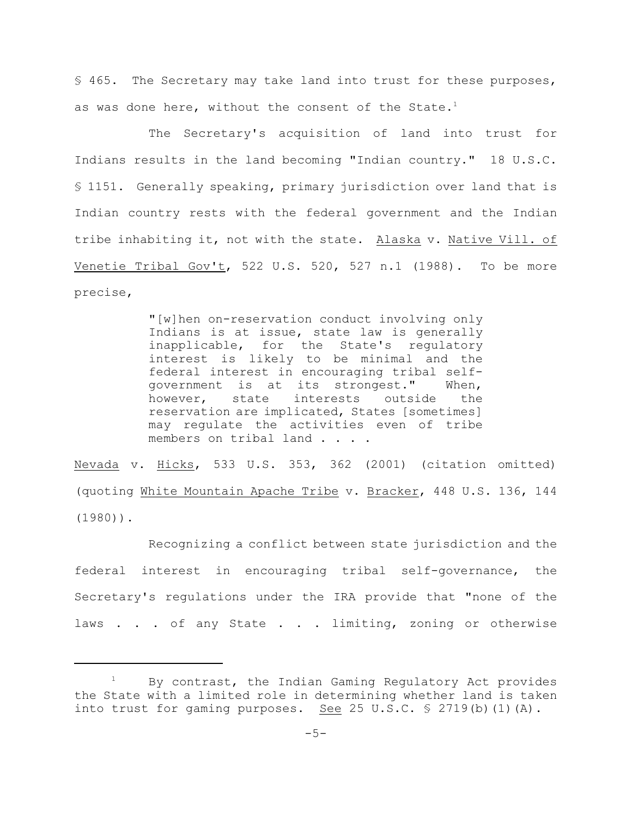§ 465. The Secretary may take land into trust for these purposes, as was done here, without the consent of the State.<sup>1</sup>

The Secretary's acquisition of land into trust for Indians results in the land becoming "Indian country." 18 U.S.C. § 1151. Generally speaking, primary jurisdiction over land that is Indian country rests with the federal government and the Indian tribe inhabiting it, not with the state. Alaska v. Native Vill. of Venetie Tribal Gov't, 522 U.S. 520, 527 n.1 (1988). To be more precise,

> "[w]hen on-reservation conduct involving only Indians is at issue, state law is generally inapplicable, for the State's regulatory interest is likely to be minimal and the federal interest in encouraging tribal selfgovernment is at its strongest." When, however, state interests outside the reservation are implicated, States [sometimes] may regulate the activities even of tribe members on tribal land . . . .

Nevada v. Hicks, 533 U.S. 353, 362 (2001) (citation omitted) (quoting White Mountain Apache Tribe v. Bracker, 448 U.S. 136, 144 (1980)).

Recognizing a conflict between state jurisdiction and the federal interest in encouraging tribal self-governance, the Secretary's regulations under the IRA provide that "none of the laws . . . of any State . . . limiting, zoning or otherwise

By contrast, the Indian Gaming Regulatory Act provides the State with a limited role in determining whether land is taken into trust for gaming purposes. See 25 U.S.C.  $\frac{1}{5}$  2719(b)(1)(A).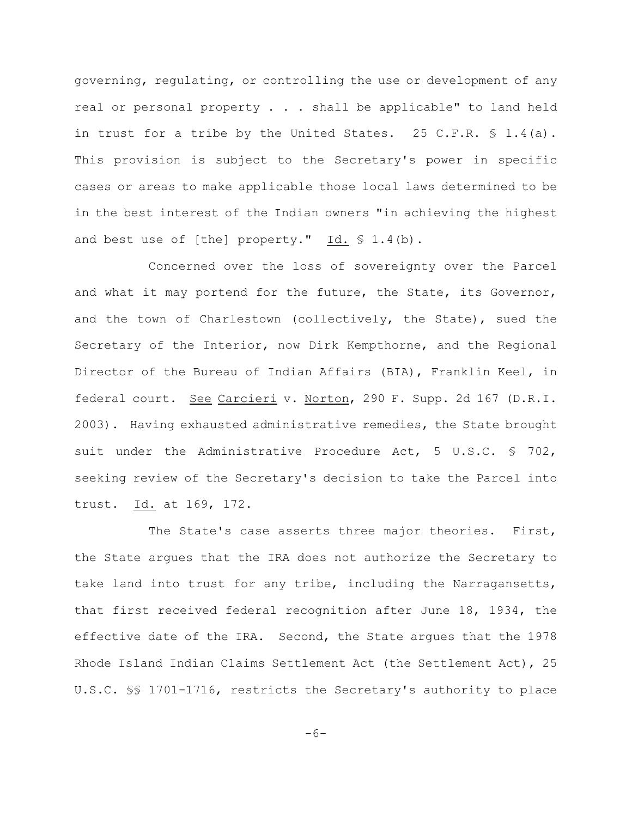governing, regulating, or controlling the use or development of any real or personal property . . . shall be applicable" to land held in trust for a tribe by the United States. 25 C.F.R.  $\frac{6}{5}$  1.4(a). This provision is subject to the Secretary's power in specific cases or areas to make applicable those local laws determined to be in the best interest of the Indian owners "in achieving the highest and best use of [the] property."  $Id. \S 1.4(b)$ .

Concerned over the loss of sovereignty over the Parcel and what it may portend for the future, the State, its Governor, and the town of Charlestown (collectively, the State), sued the Secretary of the Interior, now Dirk Kempthorne, and the Regional Director of the Bureau of Indian Affairs (BIA), Franklin Keel, in federal court. See Carcieri v. Norton, 290 F. Supp. 2d 167 (D.R.I. 2003). Having exhausted administrative remedies, the State brought suit under the Administrative Procedure Act, 5 U.S.C. § 702, seeking review of the Secretary's decision to take the Parcel into trust. Id. at 169, 172.

The State's case asserts three major theories. First, the State argues that the IRA does not authorize the Secretary to take land into trust for any tribe, including the Narragansetts, that first received federal recognition after June 18, 1934, the effective date of the IRA. Second, the State argues that the 1978 Rhode Island Indian Claims Settlement Act (the Settlement Act), 25 U.S.C. §§ 1701-1716, restricts the Secretary's authority to place

 $-6-$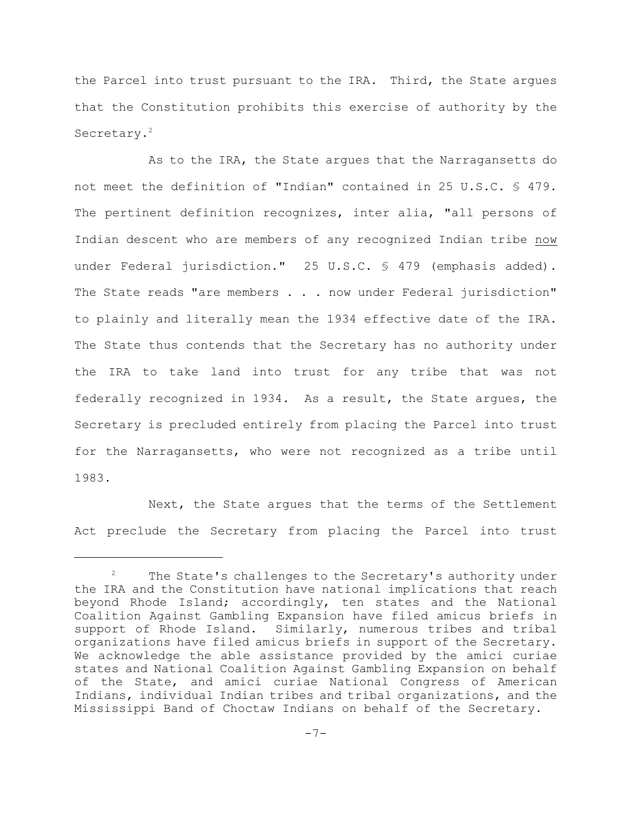the Parcel into trust pursuant to the IRA. Third, the State argues that the Constitution prohibits this exercise of authority by the Secretary.<sup>2</sup>

As to the IRA, the State argues that the Narragansetts do not meet the definition of "Indian" contained in 25 U.S.C. § 479. The pertinent definition recognizes, inter alia, "all persons of Indian descent who are members of any recognized Indian tribe now under Federal jurisdiction." 25 U.S.C. § 479 (emphasis added). The State reads "are members . . . now under Federal jurisdiction" to plainly and literally mean the 1934 effective date of the IRA. The State thus contends that the Secretary has no authority under the IRA to take land into trust for any tribe that was not federally recognized in 1934. As a result, the State argues, the Secretary is precluded entirely from placing the Parcel into trust for the Narragansetts, who were not recognized as a tribe until 1983.

Next, the State argues that the terms of the Settlement Act preclude the Secretary from placing the Parcel into trust

 $2^2$  The State's challenges to the Secretary's authority under the IRA and the Constitution have national implications that reach beyond Rhode Island; accordingly, ten states and the National Coalition Against Gambling Expansion have filed amicus briefs in support of Rhode Island. Similarly, numerous tribes and tribal organizations have filed amicus briefs in support of the Secretary. We acknowledge the able assistance provided by the amici curiae states and National Coalition Against Gambling Expansion on behalf of the State, and amici curiae National Congress of American Indians, individual Indian tribes and tribal organizations, and the Mississippi Band of Choctaw Indians on behalf of the Secretary.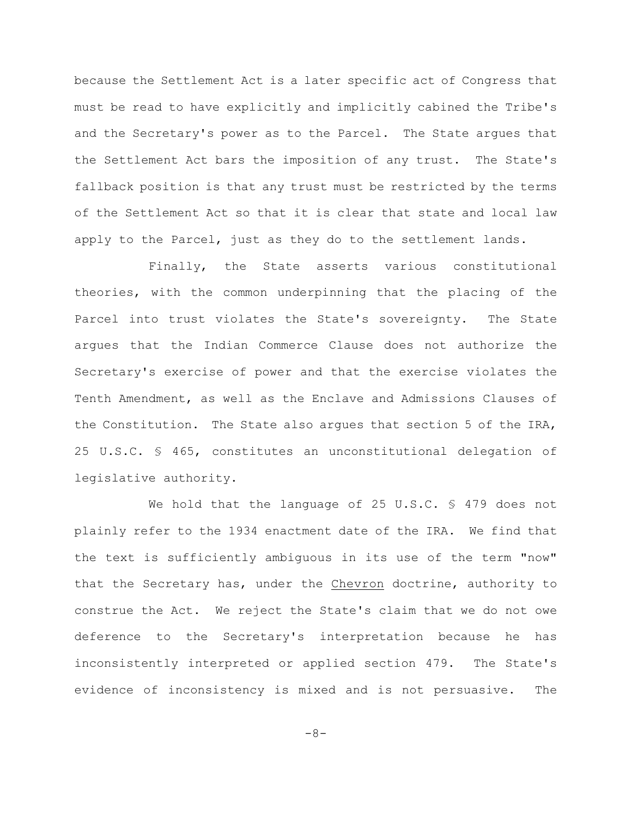because the Settlement Act is a later specific act of Congress that must be read to have explicitly and implicitly cabined the Tribe's and the Secretary's power as to the Parcel. The State argues that the Settlement Act bars the imposition of any trust. The State's fallback position is that any trust must be restricted by the terms of the Settlement Act so that it is clear that state and local law apply to the Parcel, just as they do to the settlement lands.

Finally, the State asserts various constitutional theories, with the common underpinning that the placing of the Parcel into trust violates the State's sovereignty. The State argues that the Indian Commerce Clause does not authorize the Secretary's exercise of power and that the exercise violates the Tenth Amendment, as well as the Enclave and Admissions Clauses of the Constitution. The State also argues that section 5 of the IRA, 25 U.S.C. § 465, constitutes an unconstitutional delegation of legislative authority.

We hold that the language of 25 U.S.C. § 479 does not plainly refer to the 1934 enactment date of the IRA. We find that the text is sufficiently ambiguous in its use of the term "now" that the Secretary has, under the Chevron doctrine, authority to construe the Act. We reject the State's claim that we do not owe deference to the Secretary's interpretation because he has inconsistently interpreted or applied section 479. The State's evidence of inconsistency is mixed and is not persuasive. The

 $-8-$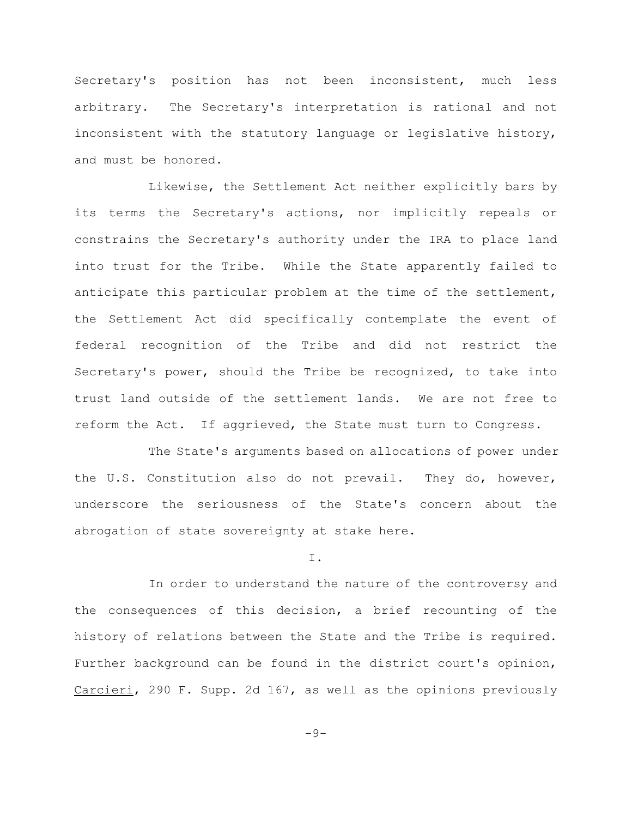Secretary's position has not been inconsistent, much less arbitrary. The Secretary's interpretation is rational and not inconsistent with the statutory language or legislative history, and must be honored.

Likewise, the Settlement Act neither explicitly bars by its terms the Secretary's actions, nor implicitly repeals or constrains the Secretary's authority under the IRA to place land into trust for the Tribe. While the State apparently failed to anticipate this particular problem at the time of the settlement, the Settlement Act did specifically contemplate the event of federal recognition of the Tribe and did not restrict the Secretary's power, should the Tribe be recognized, to take into trust land outside of the settlement lands. We are not free to reform the Act. If aggrieved, the State must turn to Congress.

The State's arguments based on allocations of power under the U.S. Constitution also do not prevail. They do, however, underscore the seriousness of the State's concern about the abrogation of state sovereignty at stake here.

I.

In order to understand the nature of the controversy and the consequences of this decision, a brief recounting of the history of relations between the State and the Tribe is required. Further background can be found in the district court's opinion, Carcieri, 290 F. Supp. 2d 167, as well as the opinions previously

 $-9-$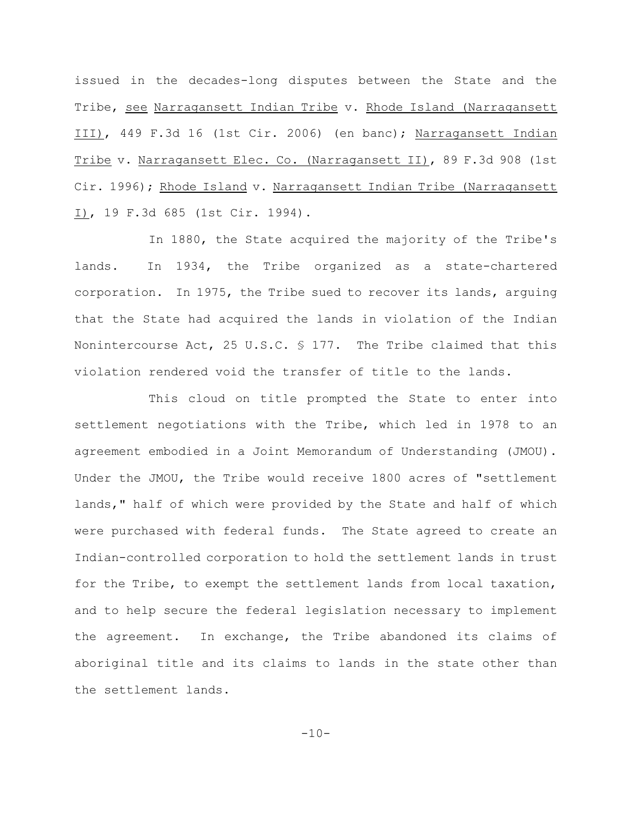issued in the decades-long disputes between the State and the Tribe, see Narragansett Indian Tribe v. Rhode Island (Narragansett III), 449 F.3d 16 (1st Cir. 2006) (en banc); Narragansett Indian Tribe v. Narragansett Elec. Co. (Narragansett II), 89 F.3d 908 (1st Cir. 1996); Rhode Island v. Narragansett Indian Tribe (Narragansett I), 19 F.3d 685 (1st Cir. 1994).

In 1880, the State acquired the majority of the Tribe's lands. In 1934, the Tribe organized as a state-chartered corporation. In 1975, the Tribe sued to recover its lands, arguing that the State had acquired the lands in violation of the Indian Nonintercourse Act, 25 U.S.C.  $\frac{1}{2}$  177. The Tribe claimed that this violation rendered void the transfer of title to the lands.

This cloud on title prompted the State to enter into settlement negotiations with the Tribe, which led in 1978 to an agreement embodied in a Joint Memorandum of Understanding (JMOU). Under the JMOU, the Tribe would receive 1800 acres of "settlement lands," half of which were provided by the State and half of which were purchased with federal funds. The State agreed to create an Indian-controlled corporation to hold the settlement lands in trust for the Tribe, to exempt the settlement lands from local taxation, and to help secure the federal legislation necessary to implement the agreement. In exchange, the Tribe abandoned its claims of aboriginal title and its claims to lands in the state other than the settlement lands.

 $-10-$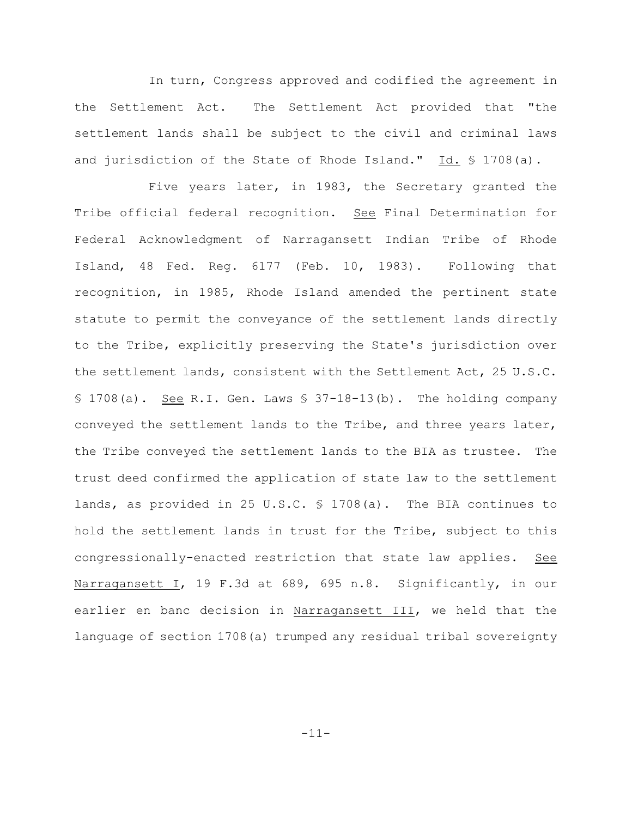In turn, Congress approved and codified the agreement in the Settlement Act. The Settlement Act provided that "the settlement lands shall be subject to the civil and criminal laws and jurisdiction of the State of Rhode Island." Id. § 1708(a).

Five years later, in 1983, the Secretary granted the Tribe official federal recognition. See Final Determination for Federal Acknowledgment of Narragansett Indian Tribe of Rhode Island, 48 Fed. Reg. 6177 (Feb. 10, 1983). Following that recognition, in 1985, Rhode Island amended the pertinent state statute to permit the conveyance of the settlement lands directly to the Tribe, explicitly preserving the State's jurisdiction over the settlement lands, consistent with the Settlement Act, 25 U.S.C.  $$ 1708(a).$  See R.I. Gen. Laws  $$ 37-18-13(b).$  The holding company conveyed the settlement lands to the Tribe, and three years later, the Tribe conveyed the settlement lands to the BIA as trustee. The trust deed confirmed the application of state law to the settlement lands, as provided in 25 U.S.C. § 1708(a). The BIA continues to hold the settlement lands in trust for the Tribe, subject to this congressionally-enacted restriction that state law applies. See Narragansett I, 19 F.3d at 689, 695 n.8. Significantly, in our earlier en banc decision in Narragansett III, we held that the language of section 1708(a) trumped any residual tribal sovereignty

-11-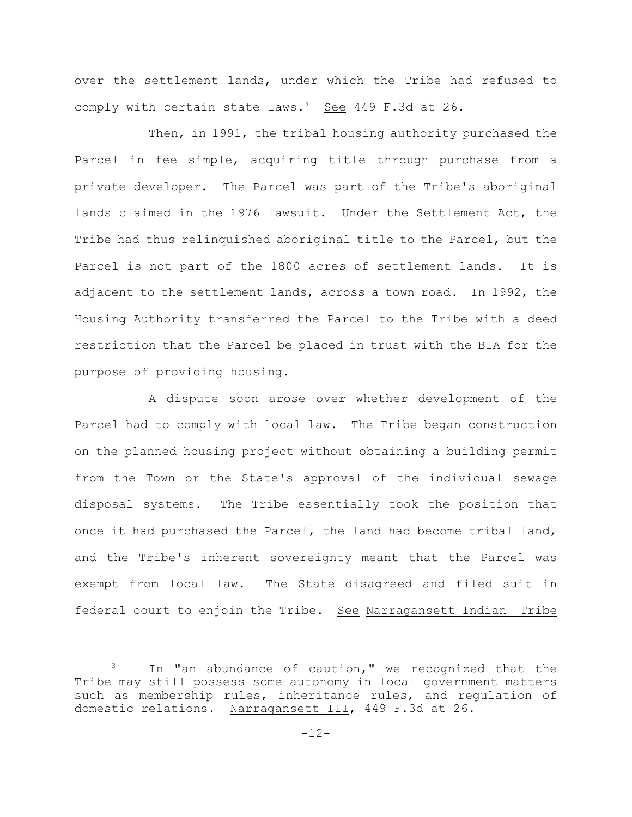over the settlement lands, under which the Tribe had refused to comply with certain state laws.<sup>3</sup> See 449 F.3d at 26.

Then, in 1991, the tribal housing authority purchased the Parcel in fee simple, acquiring title through purchase from a private developer. The Parcel was part of the Tribe's aboriginal lands claimed in the 1976 lawsuit. Under the Settlement Act, the Tribe had thus relinquished aboriginal title to the Parcel, but the Parcel is not part of the 1800 acres of settlement lands. It is adjacent to the settlement lands, across a town road. In 1992, the Housing Authority transferred the Parcel to the Tribe with a deed restriction that the Parcel be placed in trust with the BIA for the purpose of providing housing.

A dispute soon arose over whether development of the Parcel had to comply with local law. The Tribe began construction on the planned housing project without obtaining a building permit from the Town or the State's approval of the individual sewage disposal systems. The Tribe essentially took the position that once it had purchased the Parcel, the land had become tribal land, and the Tribe's inherent sovereignty meant that the Parcel was exempt from local law. The State disagreed and filed suit in federal court to enjoin the Tribe. See Narragansett Indian Tribe

 $3$  In "an abundance of caution," we recognized that the Tribe may still possess some autonomy in local government matters such as membership rules, inheritance rules, and regulation of domestic relations. Narragansett III, 449 F.3d at 26.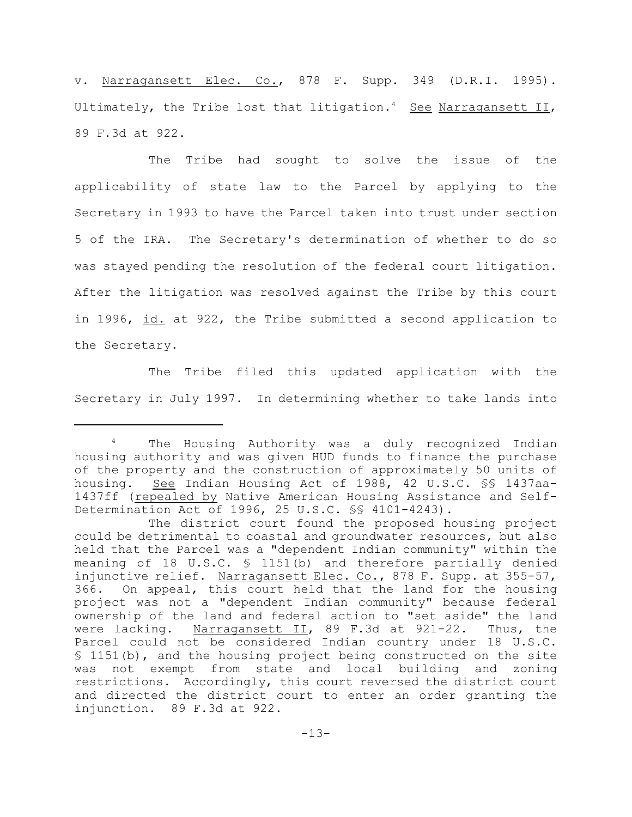v. Narragansett Elec. Co., 878 F. Supp. 349 (D.R.I. 1995). Ultimately, the Tribe lost that litigation.<sup>4</sup> See Narragansett II, 89 F.3d at 922.

The Tribe had sought to solve the issue of the applicability of state law to the Parcel by applying to the Secretary in 1993 to have the Parcel taken into trust under section 5 of the IRA. The Secretary's determination of whether to do so was stayed pending the resolution of the federal court litigation. After the litigation was resolved against the Tribe by this court in 1996, id. at 922, the Tribe submitted a second application to the Secretary.

The Tribe filed this updated application with the Secretary in July 1997. In determining whether to take lands into

The Housing Authority was a duly recognized Indian housing authority and was given HUD funds to finance the purchase of the property and the construction of approximately 50 units of housing. See Indian Housing Act of 1988, 42 U.S.C. §§ 1437aa-1437ff (repealed by Native American Housing Assistance and Self-Determination Act of 1996, 25 U.S.C. §§ 4101-4243).

The district court found the proposed housing project could be detrimental to coastal and groundwater resources, but also held that the Parcel was a "dependent Indian community" within the meaning of 18 U.S.C. § 1151(b) and therefore partially denied injunctive relief. Narragansett Elec. Co., 878 F. Supp. at 355-57, 366. On appeal, this court held that the land for the housing project was not a "dependent Indian community" because federal ownership of the land and federal action to "set aside" the land were lacking. Narragansett II, 89 F.3d at 921-22. Thus, the Parcel could not be considered Indian country under 18 U.S.C. § 1151(b), and the housing project being constructed on the site was not exempt from state and local building and zoning restrictions. Accordingly, this court reversed the district court and directed the district court to enter an order granting the injunction. 89 F.3d at 922.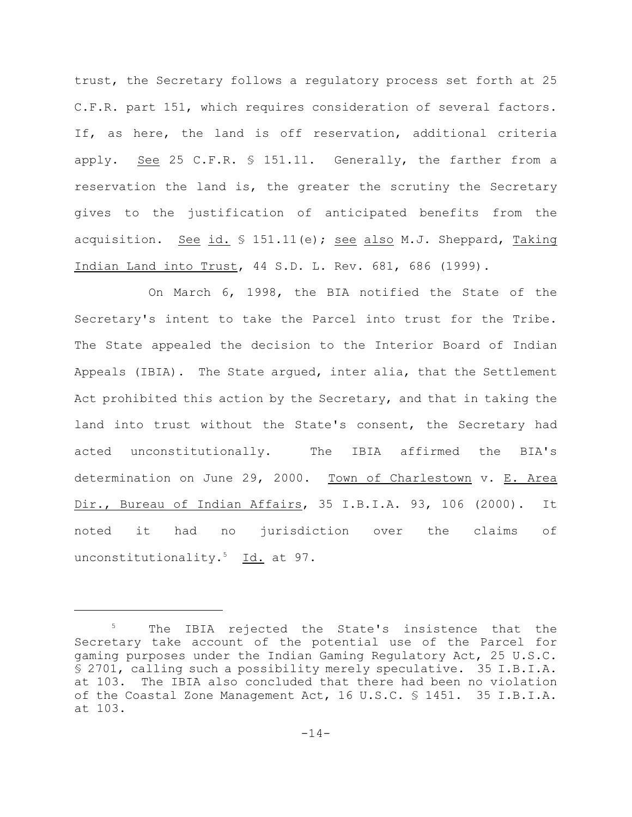trust, the Secretary follows a regulatory process set forth at 25 C.F.R. part 151, which requires consideration of several factors. If, as here, the land is off reservation, additional criteria apply. See 25 C.F.R. § 151.11. Generally, the farther from a reservation the land is, the greater the scrutiny the Secretary gives to the justification of anticipated benefits from the acquisition. See id.  $\frac{1}{2}$  151.11(e); see also M.J. Sheppard, Taking Indian Land into Trust, 44 S.D. L. Rev. 681, 686 (1999).

On March 6, 1998, the BIA notified the State of the Secretary's intent to take the Parcel into trust for the Tribe. The State appealed the decision to the Interior Board of Indian Appeals (IBIA). The State argued, inter alia, that the Settlement Act prohibited this action by the Secretary, and that in taking the land into trust without the State's consent, the Secretary had acted unconstitutionally. The IBIA affirmed the BIA's determination on June 29, 2000. Town of Charlestown v. E. Area Dir., Bureau of Indian Affairs, 35 I.B.I.A. 93, 106 (2000). It noted it had no jurisdiction over the claims of unconstitutionality.<sup>5</sup> Id. at 97.

 $5$  The IBIA rejected the State's insistence that the Secretary take account of the potential use of the Parcel for gaming purposes under the Indian Gaming Regulatory Act, 25 U.S.C. § 2701, calling such a possibility merely speculative. 35 I.B.I.A. at 103. The IBIA also concluded that there had been no violation of the Coastal Zone Management Act, 16 U.S.C. § 1451. 35 I.B.I.A. at 103.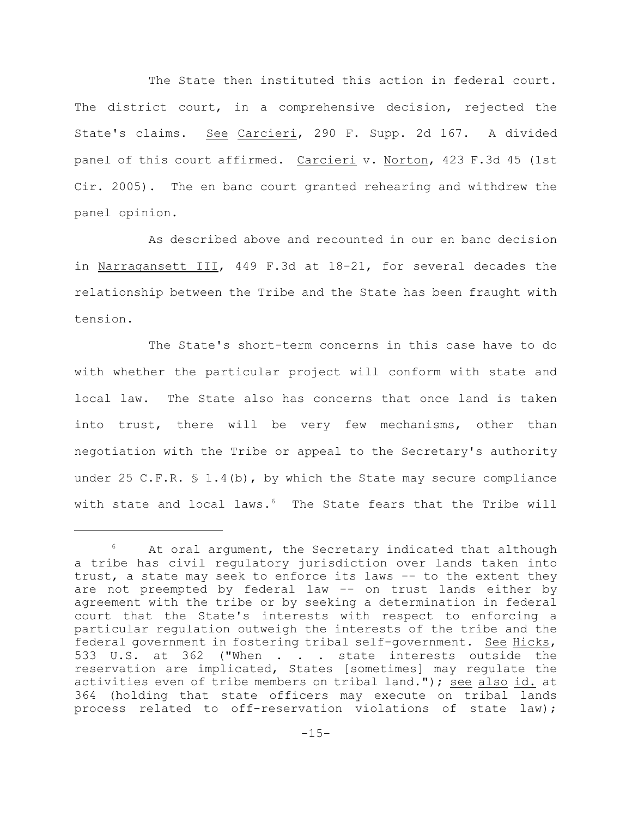The State then instituted this action in federal court. The district court, in a comprehensive decision, rejected the State's claims. See Carcieri, 290 F. Supp. 2d 167. A divided panel of this court affirmed. Carcieri v. Norton, 423 F.3d 45 (1st Cir. 2005). The en banc court granted rehearing and withdrew the panel opinion.

As described above and recounted in our en banc decision in Narragansett III, 449 F.3d at 18-21, for several decades the relationship between the Tribe and the State has been fraught with tension.

The State's short-term concerns in this case have to do with whether the particular project will conform with state and local law. The State also has concerns that once land is taken into trust, there will be very few mechanisms, other than negotiation with the Tribe or appeal to the Secretary's authority under 25 C.F.R.  $$ 1.4(b)$ , by which the State may secure compliance with state and local laws. $6$  The State fears that the Tribe will

At oral argument, the Secretary indicated that although a tribe has civil regulatory jurisdiction over lands taken into trust, a state may seek to enforce its laws -- to the extent they are not preempted by federal law -- on trust lands either by agreement with the tribe or by seeking a determination in federal court that the State's interests with respect to enforcing a particular regulation outweigh the interests of the tribe and the federal government in fostering tribal self-government. See Hicks, 533 U.S. at 362 ("When . . . state interests outside the reservation are implicated, States [sometimes] may regulate the activities even of tribe members on tribal land."); see also id. at 364 (holding that state officers may execute on tribal lands process related to off-reservation violations of state law);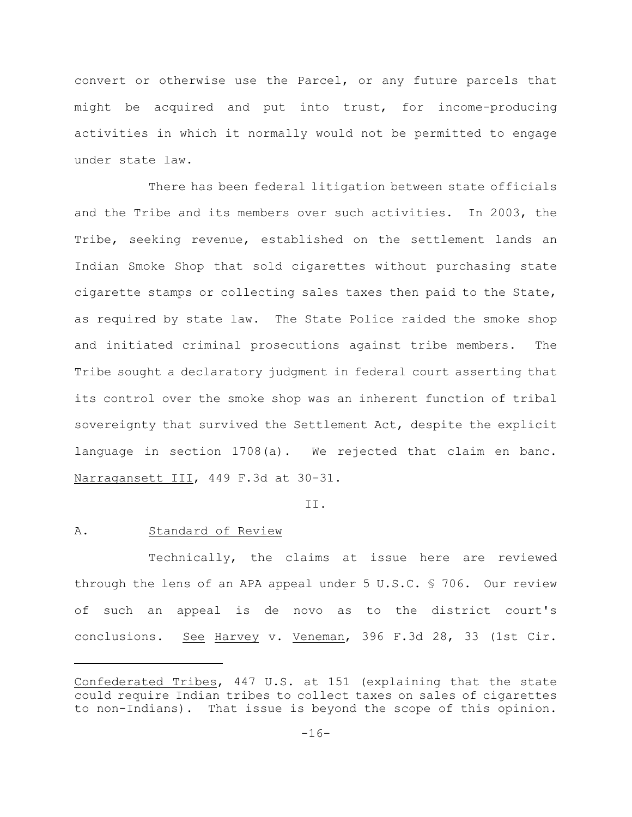convert or otherwise use the Parcel, or any future parcels that might be acquired and put into trust, for income-producing activities in which it normally would not be permitted to engage under state law.

There has been federal litigation between state officials and the Tribe and its members over such activities. In 2003, the Tribe, seeking revenue, established on the settlement lands an Indian Smoke Shop that sold cigarettes without purchasing state cigarette stamps or collecting sales taxes then paid to the State, as required by state law. The State Police raided the smoke shop and initiated criminal prosecutions against tribe members. The Tribe sought a declaratory judgment in federal court asserting that its control over the smoke shop was an inherent function of tribal sovereignty that survived the Settlement Act, despite the explicit language in section 1708(a). We rejected that claim en banc. Narragansett III, 449 F.3d at 30-31.

## II.

## A. Standard of Review

Technically, the claims at issue here are reviewed through the lens of an APA appeal under 5 U.S.C. § 706. Our review of such an appeal is de novo as to the district court's conclusions. See Harvey v. Veneman, 396 F.3d 28, 33 (1st Cir.

Confederated Tribes, 447 U.S. at 151 (explaining that the state could require Indian tribes to collect taxes on sales of cigarettes to non-Indians). That issue is beyond the scope of this opinion.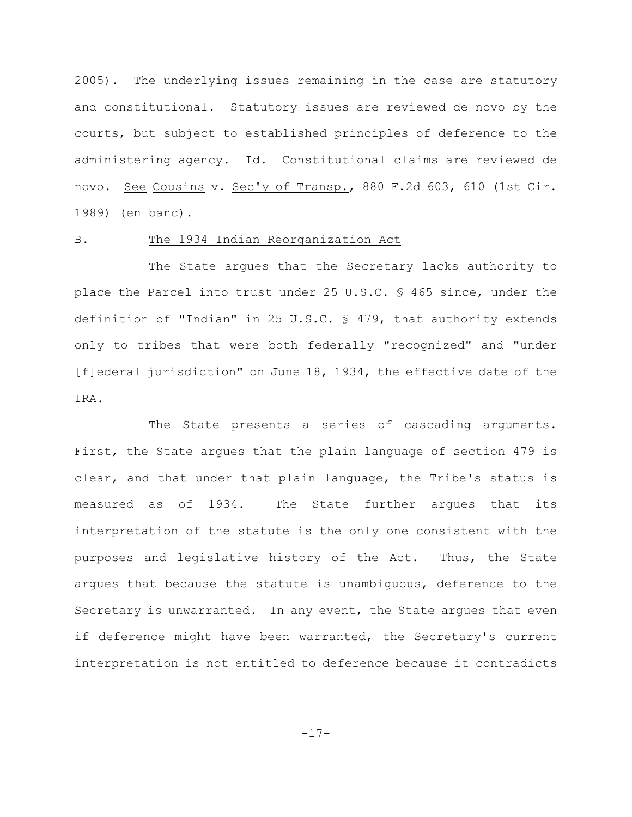2005). The underlying issues remaining in the case are statutory and constitutional. Statutory issues are reviewed de novo by the courts, but subject to established principles of deference to the administering agency. Id. Constitutional claims are reviewed de novo. See Cousins v. Sec'y of Transp., 880 F.2d 603, 610 (1st Cir. 1989) (en banc).

## B. The 1934 Indian Reorganization Act

The State argues that the Secretary lacks authority to place the Parcel into trust under 25 U.S.C. § 465 since, under the definition of "Indian" in 25 U.S.C. § 479, that authority extends only to tribes that were both federally "recognized" and "under [f]ederal jurisdiction" on June 18, 1934, the effective date of the IRA.

The State presents a series of cascading arguments. First, the State argues that the plain language of section 479 is clear, and that under that plain language, the Tribe's status is measured as of 1934. The State further argues that its interpretation of the statute is the only one consistent with the purposes and legislative history of the Act. Thus, the State argues that because the statute is unambiguous, deference to the Secretary is unwarranted. In any event, the State argues that even if deference might have been warranted, the Secretary's current interpretation is not entitled to deference because it contradicts

-17-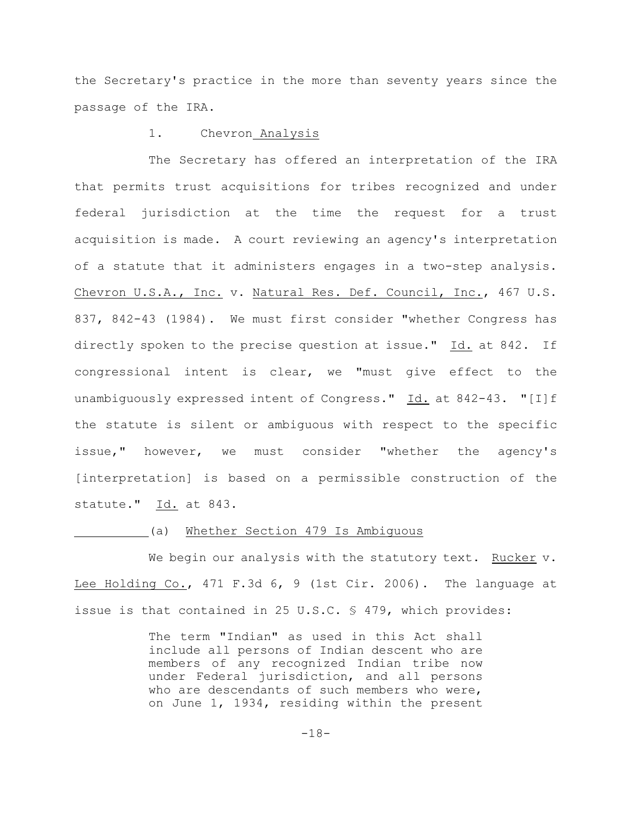the Secretary's practice in the more than seventy years since the passage of the IRA.

## 1. Chevron Analysis

The Secretary has offered an interpretation of the IRA that permits trust acquisitions for tribes recognized and under federal jurisdiction at the time the request for a trust acquisition is made. A court reviewing an agency's interpretation of a statute that it administers engages in a two-step analysis. Chevron U.S.A., Inc. v. Natural Res. Def. Council, Inc., 467 U.S. 837, 842-43 (1984). We must first consider "whether Congress has directly spoken to the precise question at issue." Id. at 842. If congressional intent is clear, we "must give effect to the unambiguously expressed intent of Congress." Id. at 842-43. "[I]f the statute is silent or ambiguous with respect to the specific issue," however, we must consider "whether the agency's [interpretation] is based on a permissible construction of the statute." Id. at 843.

## (a) Whether Section 479 Is Ambiguous

We begin our analysis with the statutory text. Rucker v. Lee Holding Co., 471 F.3d 6, 9 (1st Cir. 2006). The language at issue is that contained in 25 U.S.C. § 479, which provides:

> The term "Indian" as used in this Act shall include all persons of Indian descent who are members of any recognized Indian tribe now under Federal jurisdiction, and all persons who are descendants of such members who were, on June 1, 1934, residing within the present

> > -18-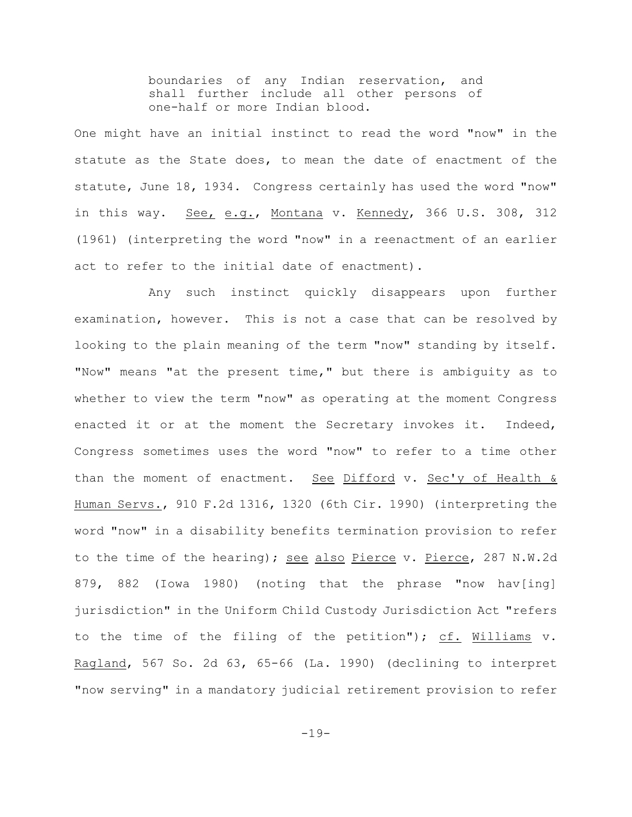boundaries of any Indian reservation, and shall further include all other persons of one-half or more Indian blood.

One might have an initial instinct to read the word "now" in the statute as the State does, to mean the date of enactment of the statute, June 18, 1934. Congress certainly has used the word "now" in this way. See, e.g., Montana v. Kennedy, 366 U.S. 308, 312 (1961) (interpreting the word "now" in a reenactment of an earlier act to refer to the initial date of enactment).

Any such instinct quickly disappears upon further examination, however. This is not a case that can be resolved by looking to the plain meaning of the term "now" standing by itself. "Now" means "at the present time," but there is ambiguity as to whether to view the term "now" as operating at the moment Congress enacted it or at the moment the Secretary invokes it. Indeed, Congress sometimes uses the word "now" to refer to a time other than the moment of enactment. See Difford v. Sec'y of Health & Human Servs., 910 F.2d 1316, 1320 (6th Cir. 1990) (interpreting the word "now" in a disability benefits termination provision to refer to the time of the hearing); see also Pierce v. Pierce, 287 N.W.2d 879, 882 (Iowa 1980) (noting that the phrase "now hav[ing] jurisdiction" in the Uniform Child Custody Jurisdiction Act "refers to the time of the filing of the petition"); cf. Williams v. Ragland, 567 So. 2d 63, 65-66 (La. 1990) (declining to interpret "now serving" in a mandatory judicial retirement provision to refer

-19-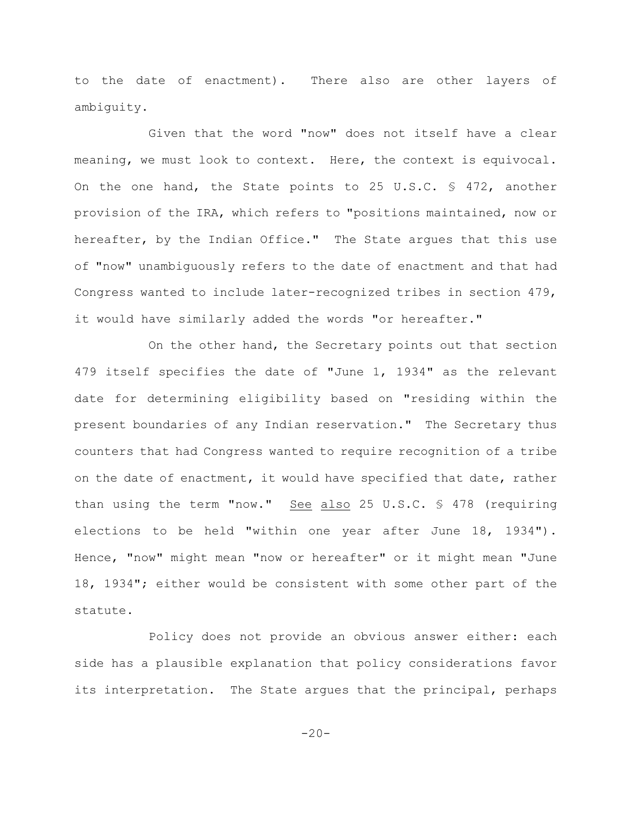to the date of enactment). There also are other layers of ambiguity.

Given that the word "now" does not itself have a clear meaning, we must look to context. Here, the context is equivocal. On the one hand, the State points to 25 U.S.C. § 472, another provision of the IRA, which refers to "positions maintained, now or hereafter, by the Indian Office." The State argues that this use of "now" unambiguously refers to the date of enactment and that had Congress wanted to include later-recognized tribes in section 479, it would have similarly added the words "or hereafter."

On the other hand, the Secretary points out that section 479 itself specifies the date of "June 1, 1934" as the relevant date for determining eligibility based on "residing within the present boundaries of any Indian reservation." The Secretary thus counters that had Congress wanted to require recognition of a tribe on the date of enactment, it would have specified that date, rather than using the term "now." See also 25 U.S.C. § 478 (requiring elections to be held "within one year after June 18, 1934"). Hence, "now" might mean "now or hereafter" or it might mean "June 18, 1934"; either would be consistent with some other part of the statute.

Policy does not provide an obvious answer either: each side has a plausible explanation that policy considerations favor its interpretation. The State argues that the principal, perhaps

 $-20-$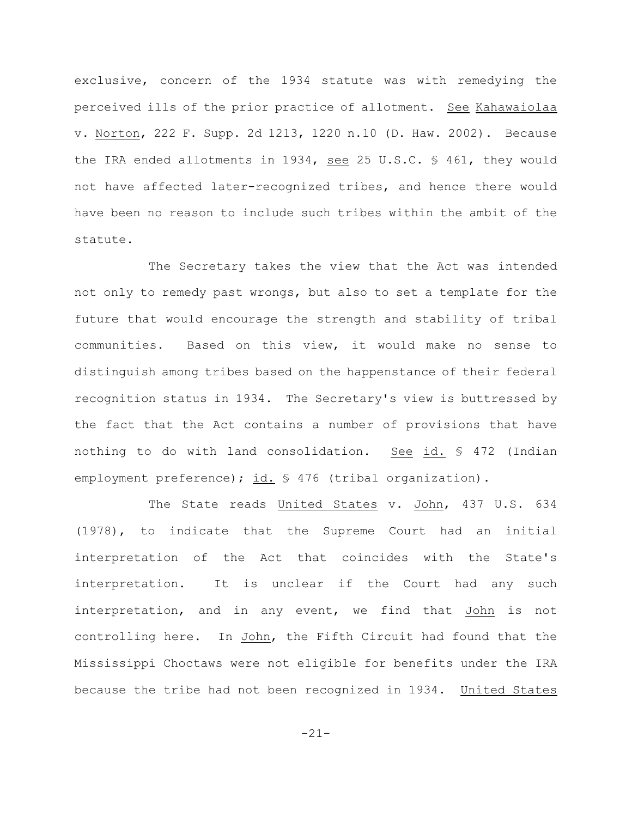exclusive, concern of the 1934 statute was with remedying the perceived ills of the prior practice of allotment. See Kahawaiolaa v. Norton, 222 F. Supp. 2d 1213, 1220 n.10 (D. Haw. 2002). Because the IRA ended allotments in 1934, see 25 U.S.C. § 461, they would not have affected later-recognized tribes, and hence there would have been no reason to include such tribes within the ambit of the statute.

The Secretary takes the view that the Act was intended not only to remedy past wrongs, but also to set a template for the future that would encourage the strength and stability of tribal communities. Based on this view, it would make no sense to distinguish among tribes based on the happenstance of their federal recognition status in 1934. The Secretary's view is buttressed by the fact that the Act contains a number of provisions that have nothing to do with land consolidation. See id. § 472 (Indian employment preference); id. § 476 (tribal organization).

The State reads United States v. John, 437 U.S. 634 (1978), to indicate that the Supreme Court had an initial interpretation of the Act that coincides with the State's interpretation. It is unclear if the Court had any such interpretation, and in any event, we find that John is not controlling here. In John, the Fifth Circuit had found that the Mississippi Choctaws were not eligible for benefits under the IRA because the tribe had not been recognized in 1934. United States

-21-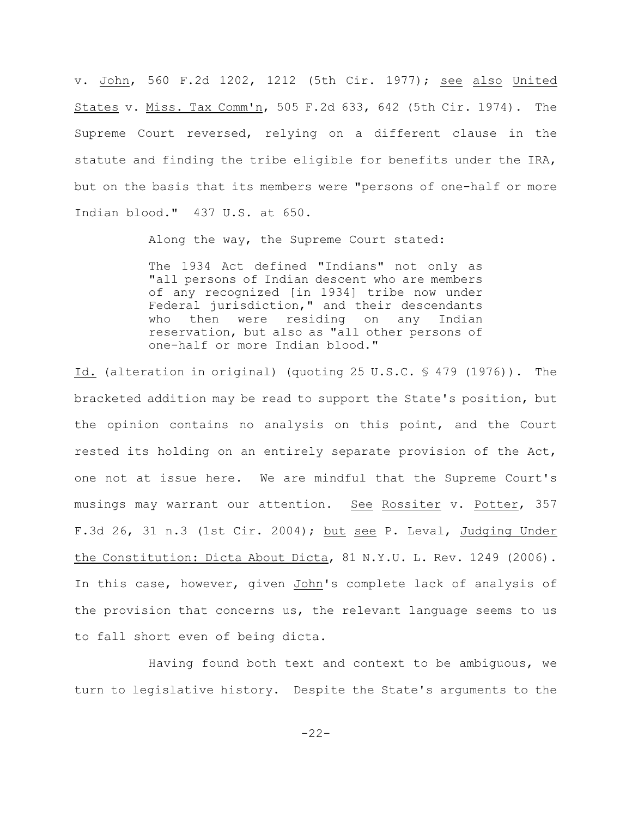v. John, 560 F.2d 1202, 1212 (5th Cir. 1977); see also United States v. Miss. Tax Comm'n, 505 F.2d 633, 642 (5th Cir. 1974). The Supreme Court reversed, relying on a different clause in the statute and finding the tribe eligible for benefits under the IRA, but on the basis that its members were "persons of one-half or more Indian blood." 437 U.S. at 650.

Along the way, the Supreme Court stated:

The 1934 Act defined "Indians" not only as "all persons of Indian descent who are members of any recognized [in 1934] tribe now under Federal jurisdiction," and their descendants who then were residing on any Indian reservation, but also as "all other persons of one-half or more Indian blood."

Id. (alteration in original) (quoting 25 U.S.C. § 479 (1976)). The bracketed addition may be read to support the State's position, but the opinion contains no analysis on this point, and the Court rested its holding on an entirely separate provision of the Act, one not at issue here. We are mindful that the Supreme Court's musings may warrant our attention. See Rossiter v. Potter, 357 F.3d 26, 31 n.3 (1st Cir. 2004); but see P. Leval, Judging Under the Constitution: Dicta About Dicta, 81 N.Y.U. L. Rev. 1249 (2006). In this case, however, given John's complete lack of analysis of the provision that concerns us, the relevant language seems to us to fall short even of being dicta.

Having found both text and context to be ambiguous, we turn to legislative history. Despite the State's arguments to the

-22-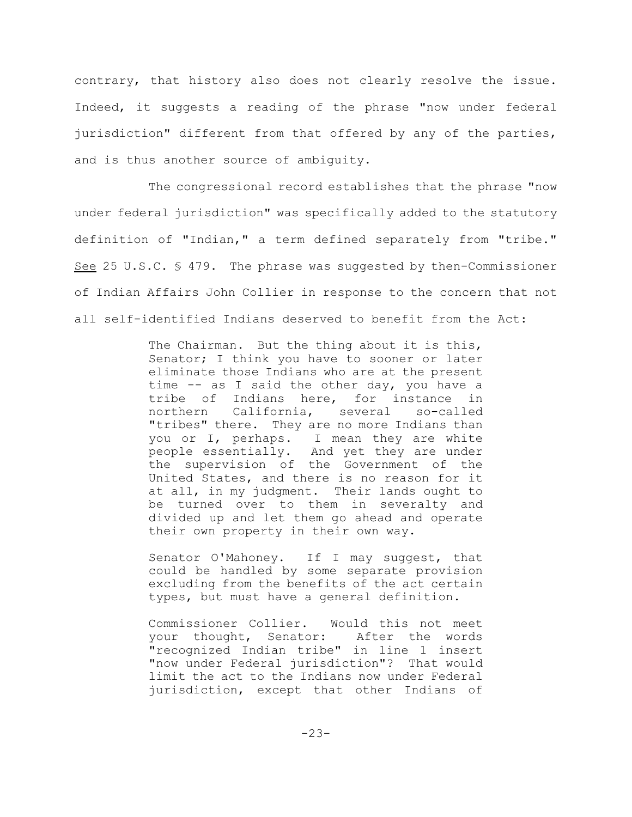contrary, that history also does not clearly resolve the issue. Indeed, it suggests a reading of the phrase "now under federal jurisdiction" different from that offered by any of the parties, and is thus another source of ambiguity.

The congressional record establishes that the phrase "now under federal jurisdiction" was specifically added to the statutory definition of "Indian," a term defined separately from "tribe." See 25 U.S.C. § 479. The phrase was suggested by then-Commissioner of Indian Affairs John Collier in response to the concern that not all self-identified Indians deserved to benefit from the Act:

> The Chairman. But the thing about it is this, Senator; I think you have to sooner or later eliminate those Indians who are at the present time -- as I said the other day, you have a tribe of Indians here, for instance in northern California, several so-called "tribes" there. They are no more Indians than you or I, perhaps. I mean they are white people essentially. And yet they are under the supervision of the Government of the United States, and there is no reason for it at all, in my judgment. Their lands ought to be turned over to them in severalty and divided up and let them go ahead and operate their own property in their own way.

> Senator O'Mahoney. If I may suggest, that could be handled by some separate provision excluding from the benefits of the act certain types, but must have a general definition.

> Commissioner Collier. Would this not meet your thought, Senator: After the words "recognized Indian tribe" in line 1 insert "now under Federal jurisdiction"? That would limit the act to the Indians now under Federal jurisdiction, except that other Indians of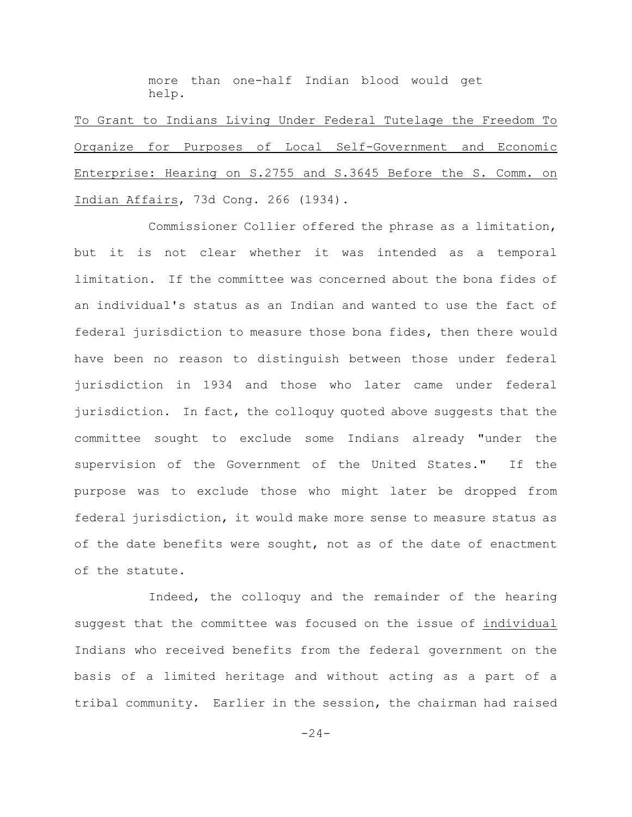more than one-half Indian blood would get help.

To Grant to Indians Living Under Federal Tutelage the Freedom To Organize for Purposes of Local Self-Government and Economic Enterprise: Hearing on S.2755 and S.3645 Before the S. Comm. on Indian Affairs, 73d Cong. 266 (1934).

Commissioner Collier offered the phrase as a limitation, but it is not clear whether it was intended as a temporal limitation. If the committee was concerned about the bona fides of an individual's status as an Indian and wanted to use the fact of federal jurisdiction to measure those bona fides, then there would have been no reason to distinguish between those under federal jurisdiction in 1934 and those who later came under federal jurisdiction. In fact, the colloquy quoted above suggests that the committee sought to exclude some Indians already "under the supervision of the Government of the United States." If the purpose was to exclude those who might later be dropped from federal jurisdiction, it would make more sense to measure status as of the date benefits were sought, not as of the date of enactment of the statute.

Indeed, the colloquy and the remainder of the hearing suggest that the committee was focused on the issue of individual Indians who received benefits from the federal government on the basis of a limited heritage and without acting as a part of a tribal community. Earlier in the session, the chairman had raised

 $-24-$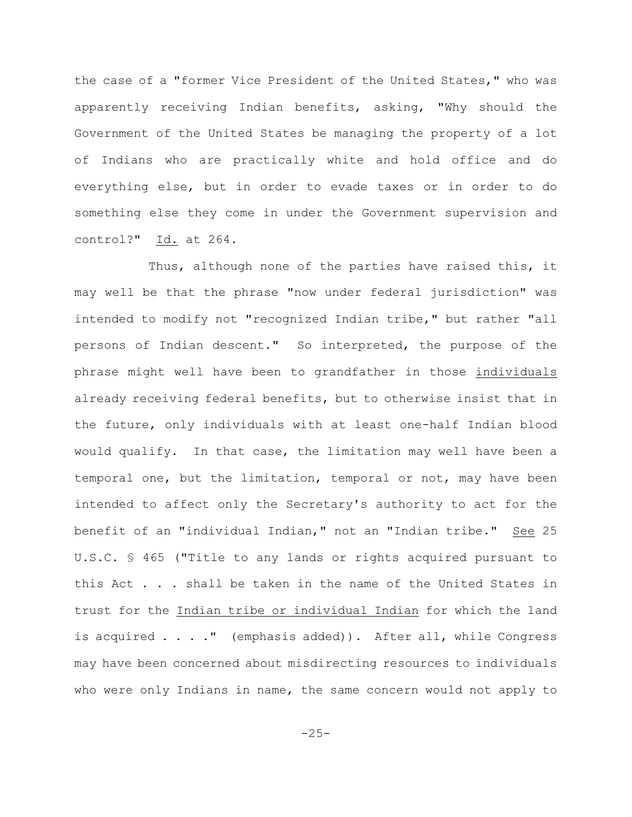the case of a "former Vice President of the United States," who was apparently receiving Indian benefits, asking, "Why should the Government of the United States be managing the property of a lot of Indians who are practically white and hold office and do everything else, but in order to evade taxes or in order to do something else they come in under the Government supervision and control?"  $Id.$  at 264.

Thus, although none of the parties have raised this, it may well be that the phrase "now under federal jurisdiction" was intended to modify not "recognized Indian tribe," but rather "all persons of Indian descent." So interpreted, the purpose of the phrase might well have been to grandfather in those individuals already receiving federal benefits, but to otherwise insist that in the future, only individuals with at least one-half Indian blood would qualify. In that case, the limitation may well have been a temporal one, but the limitation, temporal or not, may have been intended to affect only the Secretary's authority to act for the benefit of an "individual Indian," not an "Indian tribe." See 25 U.S.C. § 465 ("Title to any lands or rights acquired pursuant to this Act . . . shall be taken in the name of the United States in trust for the Indian tribe or individual Indian for which the land is acquired . . . ." (emphasis added)). After all, while Congress may have been concerned about misdirecting resources to individuals who were only Indians in name, the same concern would not apply to

 $-25-$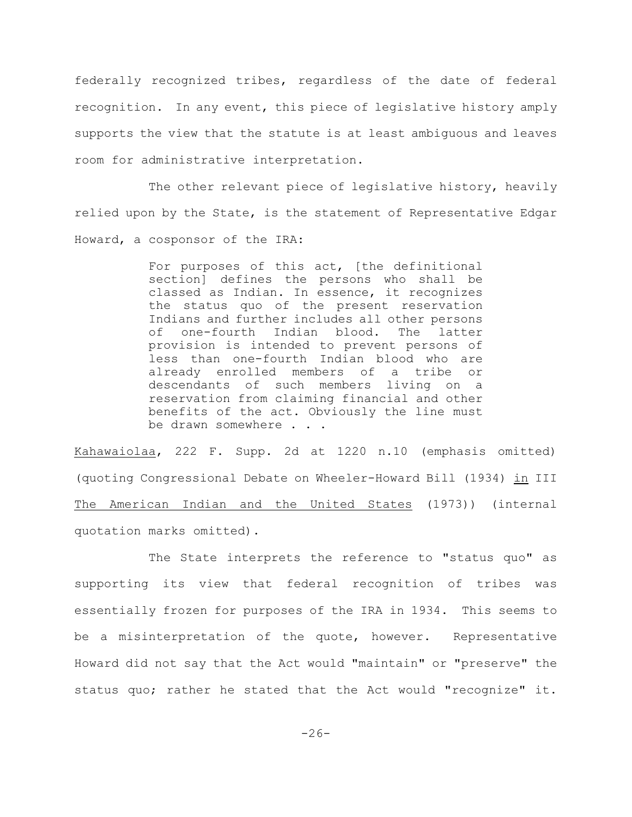federally recognized tribes, regardless of the date of federal recognition. In any event, this piece of legislative history amply supports the view that the statute is at least ambiguous and leaves room for administrative interpretation.

The other relevant piece of legislative history, heavily relied upon by the State, is the statement of Representative Edgar Howard, a cosponsor of the IRA:

> For purposes of this act, [the definitional section] defines the persons who shall be classed as Indian. In essence, it recognizes the status quo of the present reservation Indians and further includes all other persons of one-fourth Indian blood. The latter provision is intended to prevent persons of less than one-fourth Indian blood who are already enrolled members of a tribe or descendants of such members living on a reservation from claiming financial and other benefits of the act. Obviously the line must be drawn somewhere . . .

Kahawaiolaa, 222 F. Supp. 2d at 1220 n.10 (emphasis omitted) (quoting Congressional Debate on Wheeler-Howard Bill (1934) in III The American Indian and the United States (1973)) (internal quotation marks omitted).

The State interprets the reference to "status quo" as supporting its view that federal recognition of tribes was essentially frozen for purposes of the IRA in 1934. This seems to be a misinterpretation of the quote, however. Representative Howard did not say that the Act would "maintain" or "preserve" the status quo; rather he stated that the Act would "recognize" it.

 $-26-$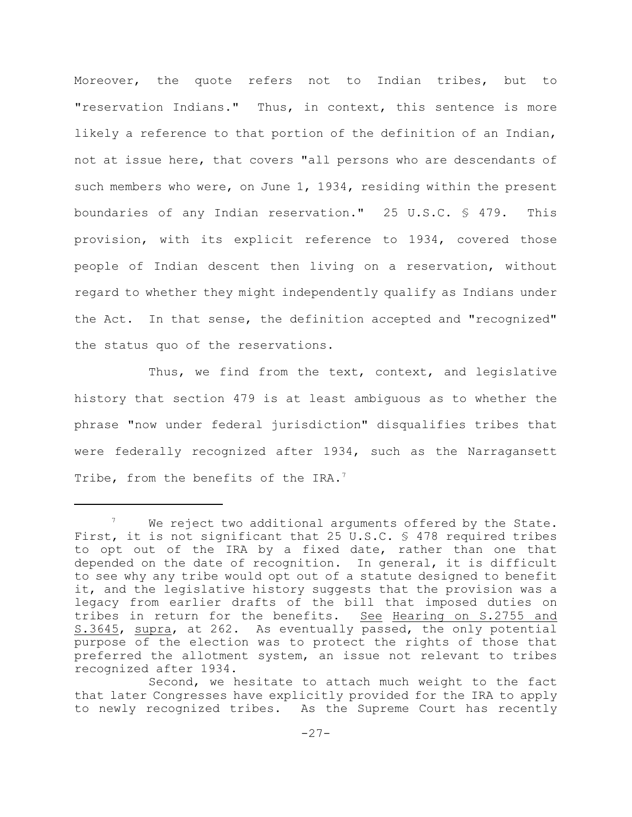Moreover, the quote refers not to Indian tribes, but to "reservation Indians." Thus, in context, this sentence is more likely a reference to that portion of the definition of an Indian, not at issue here, that covers "all persons who are descendants of such members who were, on June 1, 1934, residing within the present boundaries of any Indian reservation." 25 U.S.C. § 479. This provision, with its explicit reference to 1934, covered those people of Indian descent then living on a reservation, without regard to whether they might independently qualify as Indians under the Act. In that sense, the definition accepted and "recognized" the status quo of the reservations.

Thus, we find from the text, context, and legislative history that section 479 is at least ambiguous as to whether the phrase "now under federal jurisdiction" disqualifies tribes that were federally recognized after 1934, such as the Narragansett Tribe, from the benefits of the IRA.<sup>7</sup>

 $\frac{7}{10}$  We reject two additional arguments offered by the State. First, it is not significant that 25 U.S.C. § 478 required tribes to opt out of the IRA by a fixed date, rather than one that depended on the date of recognition. In general, it is difficult to see why any tribe would opt out of a statute designed to benefit it, and the legislative history suggests that the provision was a legacy from earlier drafts of the bill that imposed duties on tribes in return for the benefits. See Hearing on S.2755 and S.3645, supra, at 262. As eventually passed, the only potential purpose of the election was to protect the rights of those that preferred the allotment system, an issue not relevant to tribes recognized after 1934.

Second, we hesitate to attach much weight to the fact that later Congresses have explicitly provided for the IRA to apply to newly recognized tribes. As the Supreme Court has recently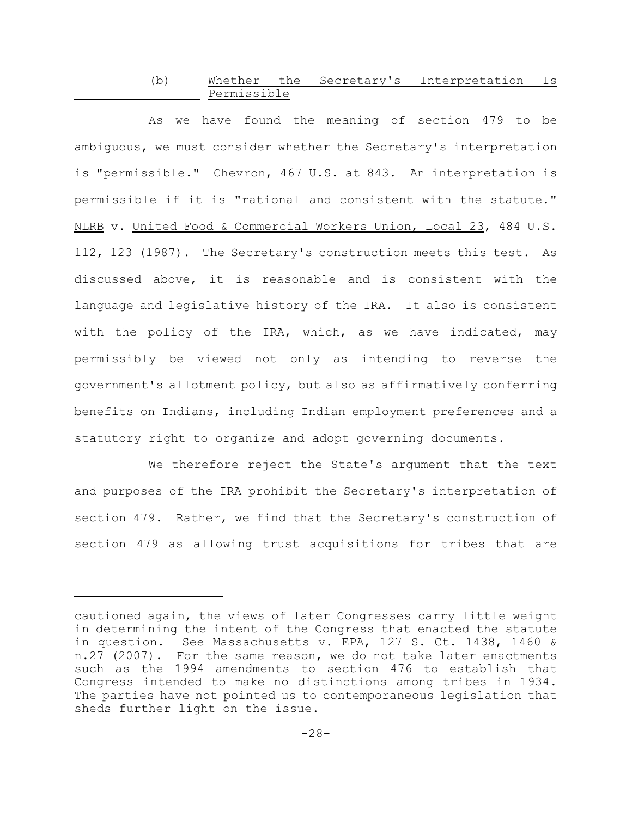# (b) Whether the Secretary's Interpretation Is Permissible

As we have found the meaning of section 479 to be ambiguous, we must consider whether the Secretary's interpretation is "permissible." Chevron, 467 U.S. at 843. An interpretation is permissible if it is "rational and consistent with the statute." NLRB v. United Food & Commercial Workers Union, Local 23, 484 U.S. 112, 123 (1987). The Secretary's construction meets this test. As discussed above, it is reasonable and is consistent with the language and legislative history of the IRA. It also is consistent with the policy of the IRA, which, as we have indicated, may permissibly be viewed not only as intending to reverse the government's allotment policy, but also as affirmatively conferring benefits on Indians, including Indian employment preferences and a statutory right to organize and adopt governing documents.

We therefore reject the State's argument that the text and purposes of the IRA prohibit the Secretary's interpretation of section 479. Rather, we find that the Secretary's construction of section 479 as allowing trust acquisitions for tribes that are

cautioned again, the views of later Congresses carry little weight in determining the intent of the Congress that enacted the statute in question. See Massachusetts v. EPA, 127 S. Ct. 1438, 1460 & n.27 (2007). For the same reason, we do not take later enactments such as the 1994 amendments to section 476 to establish that Congress intended to make no distinctions among tribes in 1934. The parties have not pointed us to contemporaneous legislation that sheds further light on the issue.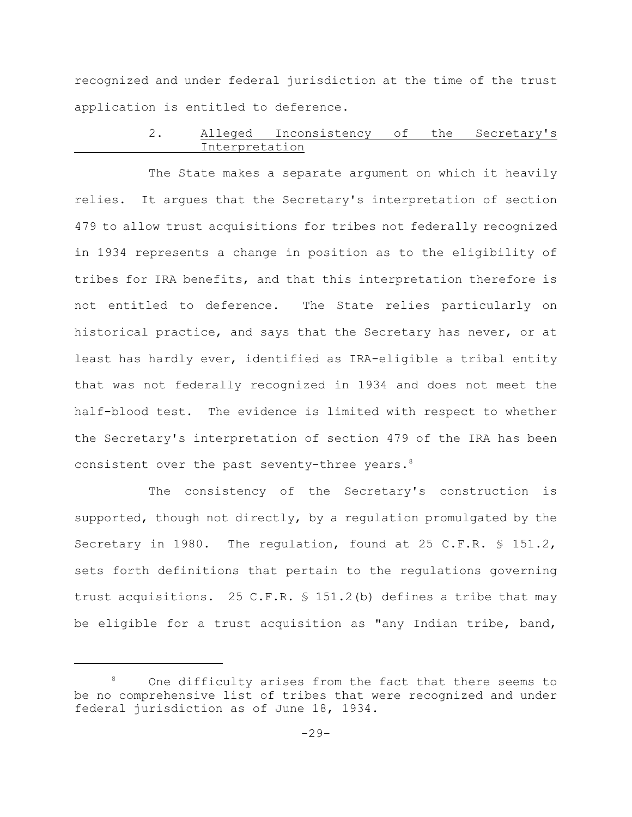recognized and under federal jurisdiction at the time of the trust application is entitled to deference.

# 2. Alleged Inconsistency of the Secretary's Interpretation

The State makes a separate argument on which it heavily relies. It argues that the Secretary's interpretation of section 479 to allow trust acquisitions for tribes not federally recognized in 1934 represents a change in position as to the eligibility of tribes for IRA benefits, and that this interpretation therefore is not entitled to deference. The State relies particularly on historical practice, and says that the Secretary has never, or at least has hardly ever, identified as IRA-eligible a tribal entity that was not federally recognized in 1934 and does not meet the half-blood test. The evidence is limited with respect to whether the Secretary's interpretation of section 479 of the IRA has been consistent over the past seventy-three years. 8

The consistency of the Secretary's construction is supported, though not directly, by a regulation promulgated by the Secretary in 1980. The regulation, found at 25 C.F.R. § 151.2, sets forth definitions that pertain to the regulations governing trust acquisitions. 25 C.F.R. § 151.2(b) defines a tribe that may be eligible for a trust acquisition as "any Indian tribe, band,

<sup>&</sup>lt;sup>8</sup> One difficulty arises from the fact that there seems to be no comprehensive list of tribes that were recognized and under federal jurisdiction as of June 18, 1934.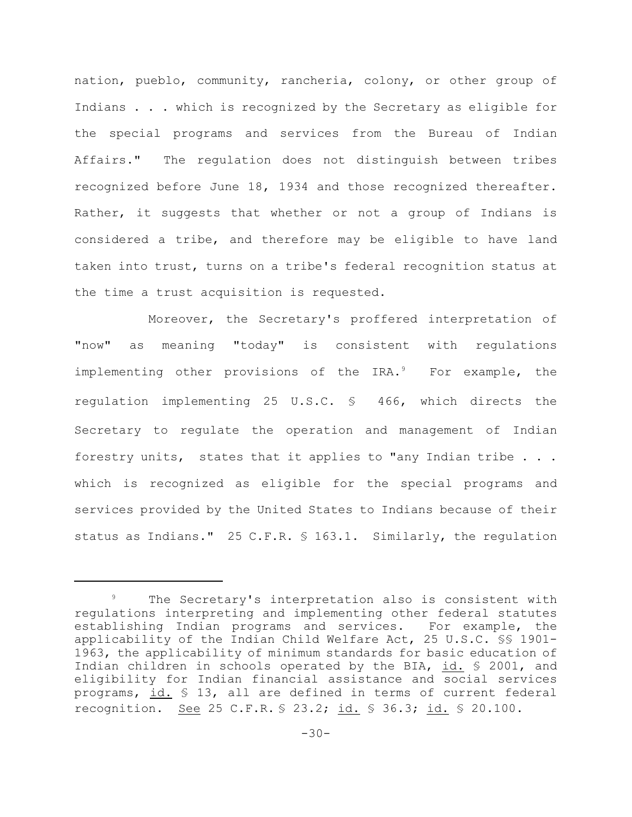nation, pueblo, community, rancheria, colony, or other group of Indians . . . which is recognized by the Secretary as eligible for the special programs and services from the Bureau of Indian Affairs." The regulation does not distinguish between tribes recognized before June 18, 1934 and those recognized thereafter. Rather, it suggests that whether or not a group of Indians is considered a tribe, and therefore may be eligible to have land taken into trust, turns on a tribe's federal recognition status at the time a trust acquisition is requested.

Moreover, the Secretary's proffered interpretation of "now" as meaning "today" is consistent with regulations implementing other provisions of the  $IRA.^9$  For example, the regulation implementing 25 U.S.C. § 466, which directs the Secretary to regulate the operation and management of Indian forestry units, states that it applies to "any Indian tribe . . . which is recognized as eligible for the special programs and services provided by the United States to Indians because of their status as Indians." 25 C.F.R. § 163.1. Similarly, the regulation

<sup>&</sup>lt;sup>9</sup> The Secretary's interpretation also is consistent with regulations interpreting and implementing other federal statutes establishing Indian programs and services. For example, the applicability of the Indian Child Welfare Act, 25 U.S.C. §§ 1901- 1963, the applicability of minimum standards for basic education of Indian children in schools operated by the BIA, id. § 2001, and eligibility for Indian financial assistance and social services programs, id. § 13, all are defined in terms of current federal recognition. See 25 C.F.R. § 23.2; id. § 36.3; id. § 20.100.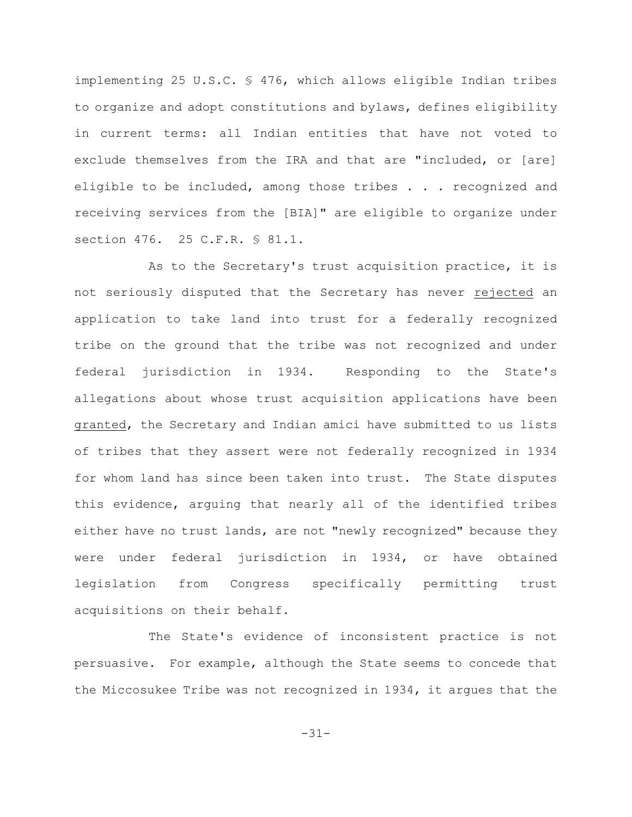implementing 25 U.S.C. § 476, which allows eligible Indian tribes to organize and adopt constitutions and bylaws, defines eligibility in current terms: all Indian entities that have not voted to exclude themselves from the IRA and that are "included, or [are] eligible to be included, among those tribes . . . recognized and receiving services from the [BIA]" are eligible to organize under section 476. 25 C.F.R. § 81.1.

As to the Secretary's trust acquisition practice, it is not seriously disputed that the Secretary has never rejected an application to take land into trust for a federally recognized tribe on the ground that the tribe was not recognized and under federal jurisdiction in 1934. Responding to the State's allegations about whose trust acquisition applications have been granted, the Secretary and Indian amici have submitted to us lists of tribes that they assert were not federally recognized in 1934 for whom land has since been taken into trust. The State disputes this evidence, arguing that nearly all of the identified tribes either have no trust lands, are not "newly recognized" because they were under federal jurisdiction in 1934, or have obtained legislation from Congress specifically permitting trust acquisitions on their behalf.

The State's evidence of inconsistent practice is not persuasive. For example, although the State seems to concede that the Miccosukee Tribe was not recognized in 1934, it argues that the

-31-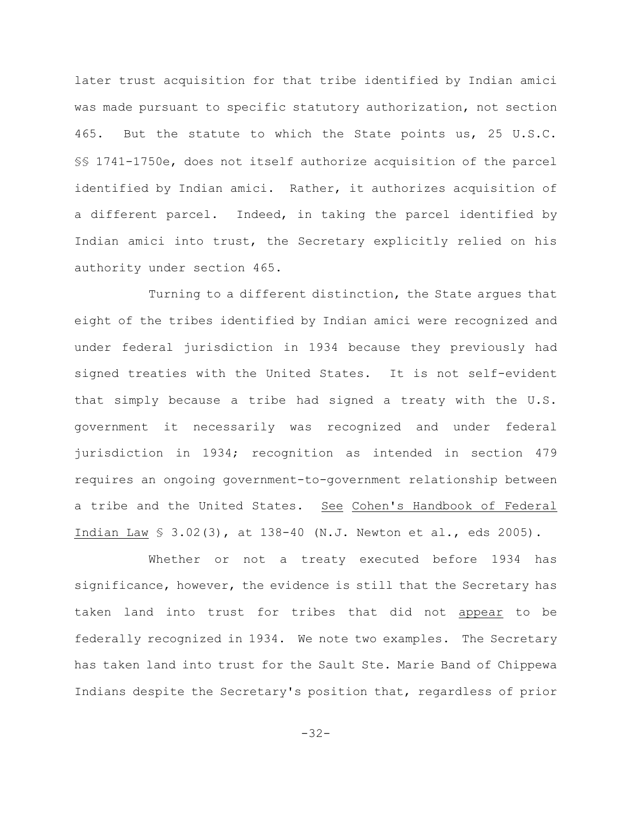later trust acquisition for that tribe identified by Indian amici was made pursuant to specific statutory authorization, not section 465. But the statute to which the State points us, 25 U.S.C. §§ 1741-1750e, does not itself authorize acquisition of the parcel identified by Indian amici. Rather, it authorizes acquisition of a different parcel. Indeed, in taking the parcel identified by Indian amici into trust, the Secretary explicitly relied on his authority under section 465.

Turning to a different distinction, the State argues that eight of the tribes identified by Indian amici were recognized and under federal jurisdiction in 1934 because they previously had signed treaties with the United States. It is not self-evident that simply because a tribe had signed a treaty with the U.S. government it necessarily was recognized and under federal jurisdiction in 1934; recognition as intended in section 479 requires an ongoing government-to-government relationship between a tribe and the United States. See Cohen's Handbook of Federal Indian Law § 3.02(3), at 138-40 (N.J. Newton et al., eds 2005).

Whether or not a treaty executed before 1934 has significance, however, the evidence is still that the Secretary has taken land into trust for tribes that did not appear to be federally recognized in 1934. We note two examples. The Secretary has taken land into trust for the Sault Ste. Marie Band of Chippewa Indians despite the Secretary's position that, regardless of prior

-32-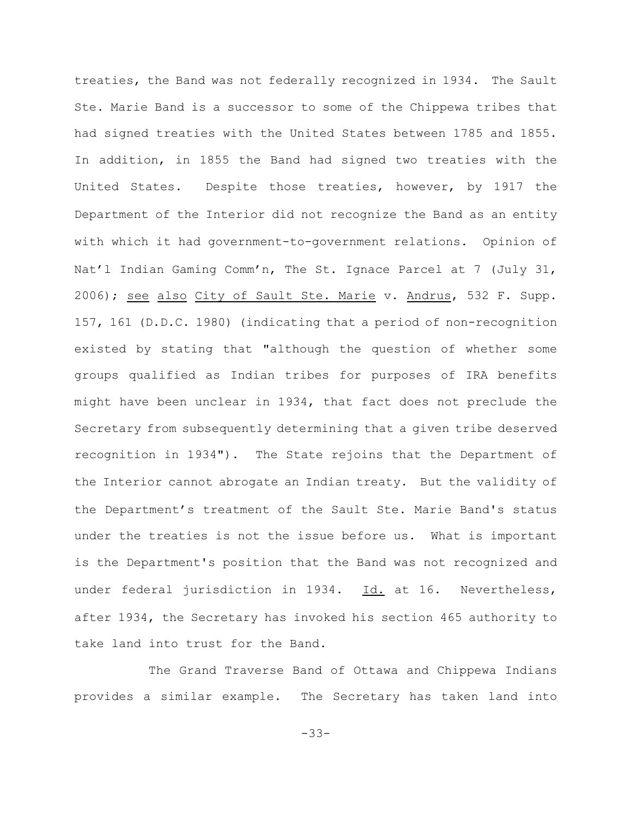treaties, the Band was not federally recognized in 1934. The Sault Ste. Marie Band is a successor to some of the Chippewa tribes that had signed treaties with the United States between 1785 and 1855. In addition, in 1855 the Band had signed two treaties with the United States. Despite those treaties, however, by 1917 the Department of the Interior did not recognize the Band as an entity with which it had government-to-government relations. Opinion of Nat'l Indian Gaming Comm'n, The St. Ignace Parcel at 7 (July 31, 2006); see also City of Sault Ste. Marie v. Andrus, 532 F. Supp. 157, 161 (D.D.C. 1980) (indicating that a period of non-recognition existed by stating that "although the question of whether some groups qualified as Indian tribes for purposes of IRA benefits might have been unclear in 1934, that fact does not preclude the Secretary from subsequently determining that a given tribe deserved recognition in 1934"). The State rejoins that the Department of the Interior cannot abrogate an Indian treaty. But the validity of the Department's treatment of the Sault Ste. Marie Band's status under the treaties is not the issue before us. What is important is the Department's position that the Band was not recognized and under federal jurisdiction in 1934. Id. at 16. Nevertheless, after 1934, the Secretary has invoked his section 465 authority to take land into trust for the Band.

The Grand Traverse Band of Ottawa and Chippewa Indians provides a similar example. The Secretary has taken land into

-33-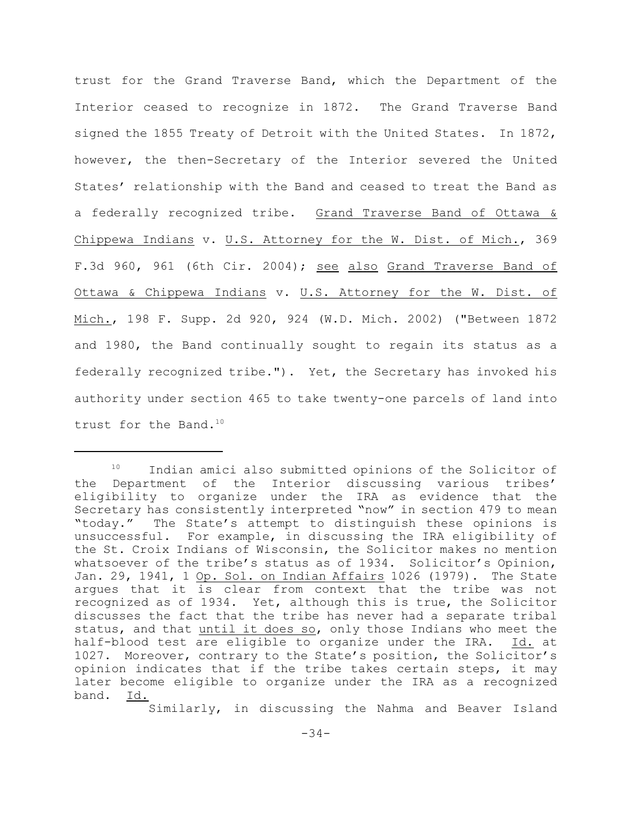trust for the Grand Traverse Band, which the Department of the Interior ceased to recognize in 1872. The Grand Traverse Band signed the 1855 Treaty of Detroit with the United States. In 1872, however, the then-Secretary of the Interior severed the United States' relationship with the Band and ceased to treat the Band as a federally recognized tribe. Grand Traverse Band of Ottawa & Chippewa Indians v. U.S. Attorney for the W. Dist. of Mich., 369 F.3d 960, 961 (6th Cir. 2004); see also Grand Traverse Band of Ottawa & Chippewa Indians v. U.S. Attorney for the W. Dist. of Mich., 198 F. Supp. 2d 920, 924 (W.D. Mich. 2002) ("Between 1872 and 1980, the Band continually sought to regain its status as a federally recognized tribe."). Yet, the Secretary has invoked his authority under section 465 to take twenty-one parcels of land into trust for the Band.<sup>10</sup>

Similarly, in discussing the Nahma and Beaver Island

 $10$  Indian amici also submitted opinions of the Solicitor of the Department of the Interior discussing various tribes' eligibility to organize under the IRA as evidence that the Secretary has consistently interpreted "now" in section 479 to mean "today." The State's attempt to distinguish these opinions is unsuccessful. For example, in discussing the IRA eligibility of the St. Croix Indians of Wisconsin, the Solicitor makes no mention whatsoever of the tribe's status as of 1934. Solicitor's Opinion, Jan. 29, 1941, 1 Op. Sol. on Indian Affairs 1026 (1979). The State argues that it is clear from context that the tribe was not recognized as of 1934. Yet, although this is true, the Solicitor discusses the fact that the tribe has never had a separate tribal status, and that until it does so, only those Indians who meet the half-blood test are eligible to organize under the IRA. Id. at 1027. Moreover, contrary to the State's position, the Solicitor's opinion indicates that if the tribe takes certain steps, it may later become eligible to organize under the IRA as a recognized band. Id.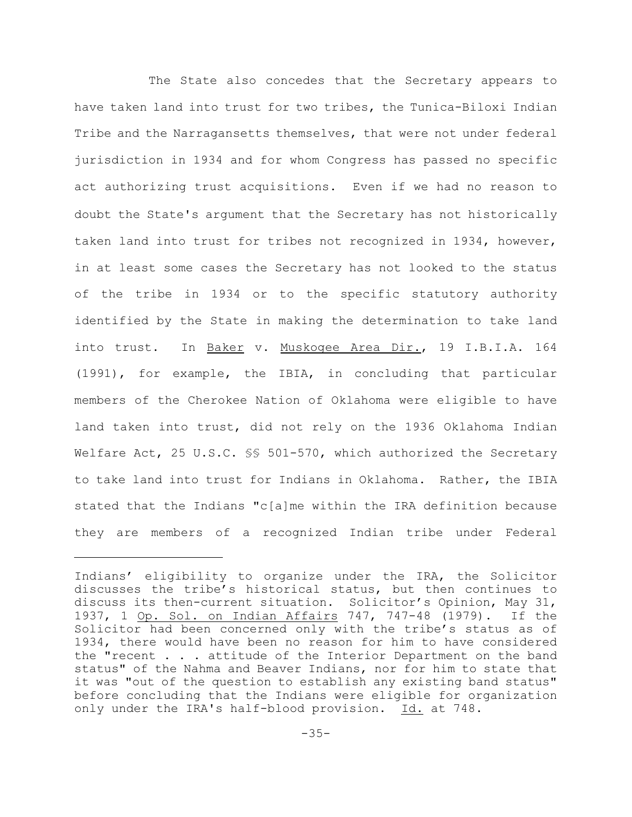The State also concedes that the Secretary appears to have taken land into trust for two tribes, the Tunica-Biloxi Indian Tribe and the Narragansetts themselves, that were not under federal jurisdiction in 1934 and for whom Congress has passed no specific act authorizing trust acquisitions. Even if we had no reason to doubt the State's argument that the Secretary has not historically taken land into trust for tribes not recognized in 1934, however, in at least some cases the Secretary has not looked to the status of the tribe in 1934 or to the specific statutory authority identified by the State in making the determination to take land into trust. In Baker v. Muskogee Area Dir., 19 I.B.I.A. 164 (1991), for example, the IBIA, in concluding that particular members of the Cherokee Nation of Oklahoma were eligible to have land taken into trust, did not rely on the 1936 Oklahoma Indian Welfare Act, 25 U.S.C. \$§ 501-570, which authorized the Secretary to take land into trust for Indians in Oklahoma. Rather, the IBIA stated that the Indians "c[a]me within the IRA definition because they are members of a recognized Indian tribe under Federal

Indians' eligibility to organize under the IRA, the Solicitor discusses the tribe's historical status, but then continues to discuss its then-current situation. Solicitor's Opinion, May 31, 1937, 1 Op. Sol. on Indian Affairs 747, 747-48 (1979). If the Solicitor had been concerned only with the tribe's status as of 1934, there would have been no reason for him to have considered the "recent . . . attitude of the Interior Department on the band status" of the Nahma and Beaver Indians, nor for him to state that it was "out of the question to establish any existing band status" before concluding that the Indians were eligible for organization only under the IRA's half-blood provision. Id. at 748.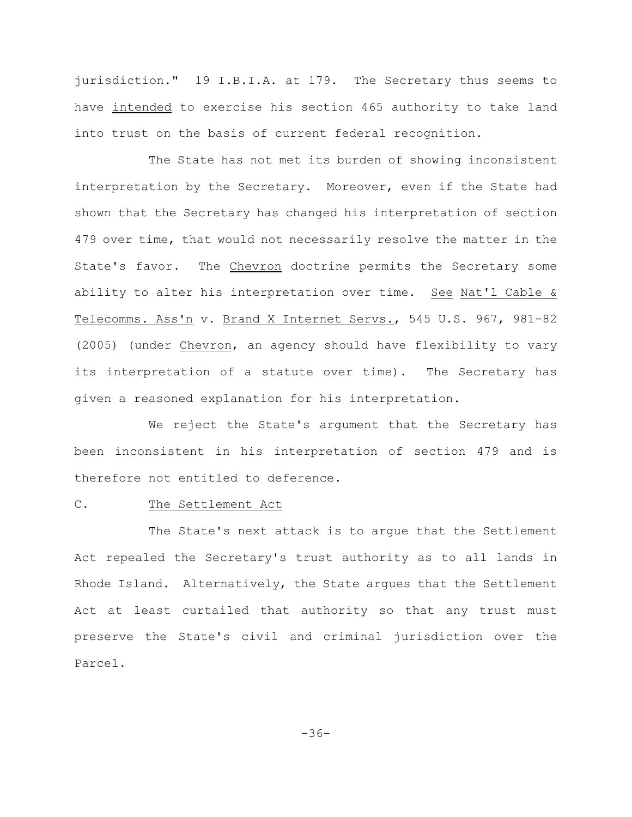jurisdiction." 19 I.B.I.A. at 179. The Secretary thus seems to have intended to exercise his section 465 authority to take land into trust on the basis of current federal recognition.

The State has not met its burden of showing inconsistent interpretation by the Secretary. Moreover, even if the State had shown that the Secretary has changed his interpretation of section 479 over time, that would not necessarily resolve the matter in the State's favor. The Chevron doctrine permits the Secretary some ability to alter his interpretation over time. See Nat'l Cable & Telecomms. Ass'n v. Brand X Internet Servs., 545 U.S. 967, 981-82 (2005) (under Chevron, an agency should have flexibility to vary its interpretation of a statute over time). The Secretary has given a reasoned explanation for his interpretation.

We reject the State's argument that the Secretary has been inconsistent in his interpretation of section 479 and is therefore not entitled to deference.

# C. The Settlement Act

The State's next attack is to argue that the Settlement Act repealed the Secretary's trust authority as to all lands in Rhode Island. Alternatively, the State argues that the Settlement Act at least curtailed that authority so that any trust must preserve the State's civil and criminal jurisdiction over the Parcel.

-36-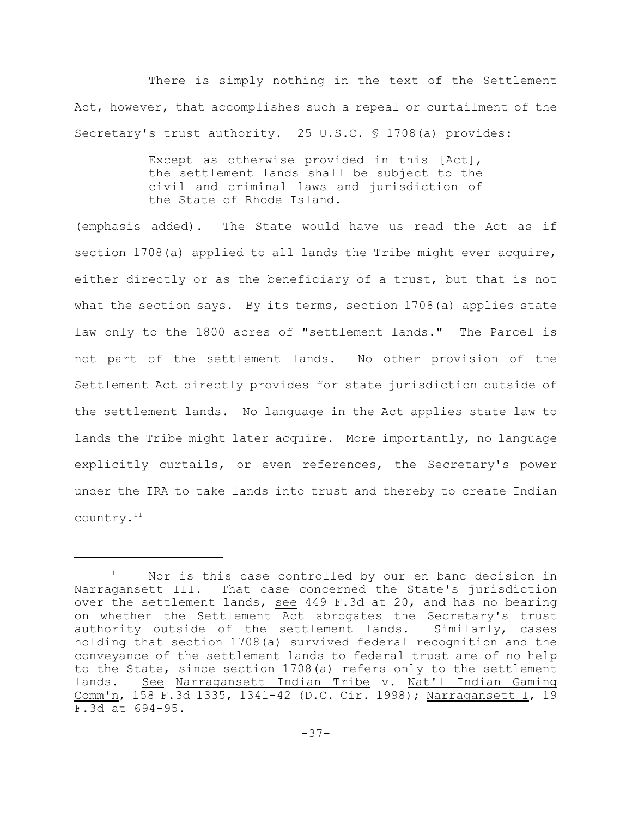There is simply nothing in the text of the Settlement Act, however, that accomplishes such a repeal or curtailment of the Secretary's trust authority. 25 U.S.C. § 1708(a) provides:

> Except as otherwise provided in this [Act], the settlement lands shall be subject to the civil and criminal laws and jurisdiction of the State of Rhode Island.

(emphasis added). The State would have us read the Act as if section 1708(a) applied to all lands the Tribe might ever acquire, either directly or as the beneficiary of a trust, but that is not what the section says. By its terms, section 1708(a) applies state law only to the 1800 acres of "settlement lands." The Parcel is not part of the settlement lands. No other provision of the Settlement Act directly provides for state jurisdiction outside of the settlement lands. No language in the Act applies state law to lands the Tribe might later acquire. More importantly, no language explicitly curtails, or even references, the Secretary's power under the IRA to take lands into trust and thereby to create Indian country.11

 $11$  Nor is this case controlled by our en banc decision in Narragansett III. That case concerned the State's jurisdiction over the settlement lands, see 449 F.3d at 20, and has no bearing on whether the Settlement Act abrogates the Secretary's trust authority outside of the settlement lands. Similarly, cases holding that section 1708(a) survived federal recognition and the conveyance of the settlement lands to federal trust are of no help to the State, since section 1708(a) refers only to the settlement lands. See Narragansett Indian Tribe v. Nat'l Indian Gaming Comm'n, 158 F.3d 1335, 1341-42 (D.C. Cir. 1998); Narragansett I, 19 F.3d at 694-95.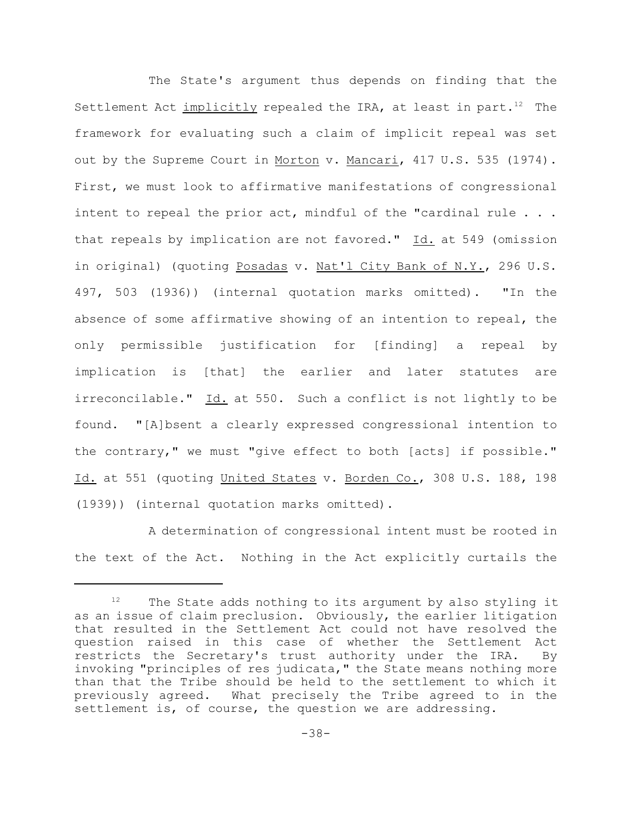The State's argument thus depends on finding that the Settlement Act implicitly repealed the IRA, at least in part.<sup>12</sup> The framework for evaluating such a claim of implicit repeal was set out by the Supreme Court in Morton v. Mancari, 417 U.S. 535 (1974). First, we must look to affirmative manifestations of congressional intent to repeal the prior act, mindful of the "cardinal rule . . . that repeals by implication are not favored." Id. at 549 (omission in original) (quoting Posadas v. Nat'l City Bank of N.Y., 296 U.S. 497, 503 (1936)) (internal quotation marks omitted). "In the absence of some affirmative showing of an intention to repeal, the only permissible justification for [finding] a repeal by implication is [that] the earlier and later statutes are irreconcilable." Id. at 550. Such a conflict is not lightly to be found. "[A]bsent a clearly expressed congressional intention to the contrary," we must "give effect to both [acts] if possible." Id. at 551 (quoting United States v. Borden Co., 308 U.S. 188, 198 (1939)) (internal quotation marks omitted).

A determination of congressional intent must be rooted in the text of the Act. Nothing in the Act explicitly curtails the

 $12$  The State adds nothing to its argument by also styling it as an issue of claim preclusion. Obviously, the earlier litigation that resulted in the Settlement Act could not have resolved the question raised in this case of whether the Settlement Act restricts the Secretary's trust authority under the IRA. By invoking "principles of res judicata," the State means nothing more than that the Tribe should be held to the settlement to which it previously agreed. What precisely the Tribe agreed to in the settlement is, of course, the question we are addressing.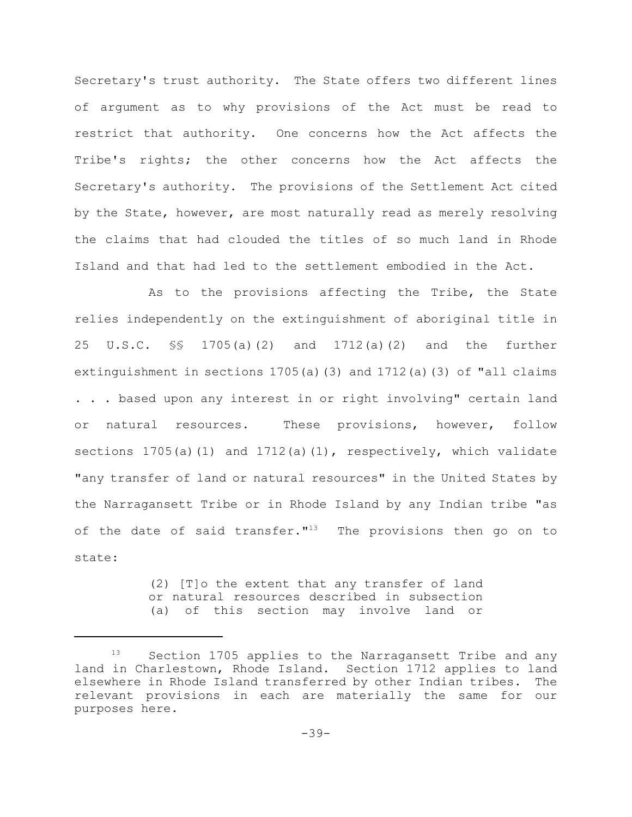Secretary's trust authority. The State offers two different lines of argument as to why provisions of the Act must be read to restrict that authority. One concerns how the Act affects the Tribe's rights; the other concerns how the Act affects the Secretary's authority. The provisions of the Settlement Act cited by the State, however, are most naturally read as merely resolving the claims that had clouded the titles of so much land in Rhode Island and that had led to the settlement embodied in the Act.

As to the provisions affecting the Tribe, the State relies independently on the extinguishment of aboriginal title in 25 U.S.C. §§ 1705(a)(2) and 1712(a)(2) and the further extinguishment in sections  $1705(a)$  (3) and  $1712(a)$  (3) of "all claims . . . based upon any interest in or right involving" certain land or natural resources. These provisions, however, follow sections  $1705(a)(1)$  and  $1712(a)(1)$ , respectively, which validate "any transfer of land or natural resources" in the United States by the Narragansett Tribe or in Rhode Island by any Indian tribe "as of the date of said transfer."<sup>13</sup> The provisions then go on to state:

> (2) [T]o the extent that any transfer of land or natural resources described in subsection (a) of this section may involve land or

Section 1705 applies to the Narragansett Tribe and any land in Charlestown, Rhode Island. Section 1712 applies to land elsewhere in Rhode Island transferred by other Indian tribes. The relevant provisions in each are materially the same for our purposes here.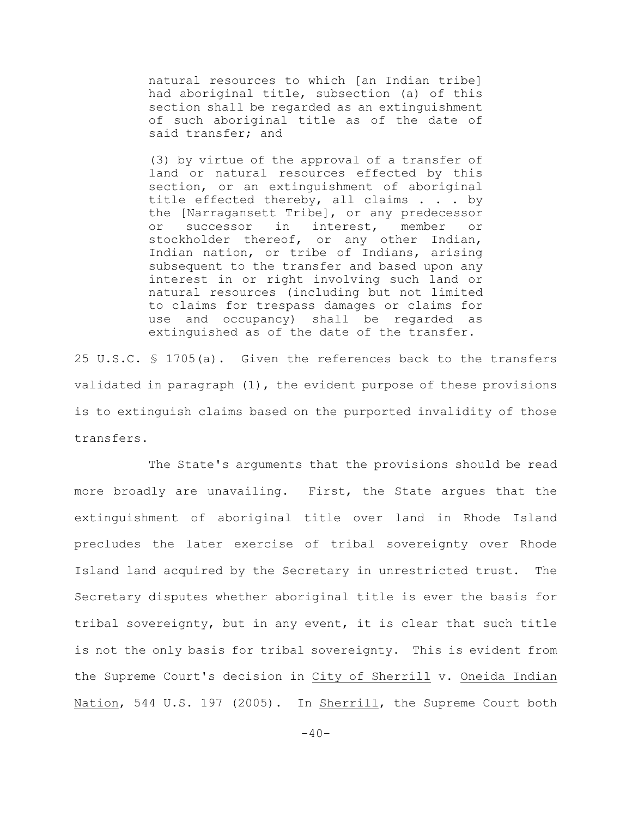natural resources to which [an Indian tribe] had aboriginal title, subsection (a) of this section shall be regarded as an extinguishment of such aboriginal title as of the date of said transfer; and

(3) by virtue of the approval of a transfer of land or natural resources effected by this section, or an extinguishment of aboriginal title effected thereby, all claims . . . by the [Narragansett Tribe], or any predecessor or successor in interest, member or stockholder thereof, or any other Indian, Indian nation, or tribe of Indians, arising subsequent to the transfer and based upon any interest in or right involving such land or natural resources (including but not limited to claims for trespass damages or claims for use and occupancy) shall be regarded as extinguished as of the date of the transfer.

25 U.S.C. § 1705(a). Given the references back to the transfers validated in paragraph (1), the evident purpose of these provisions is to extinguish claims based on the purported invalidity of those transfers.

The State's arguments that the provisions should be read more broadly are unavailing. First, the State argues that the extinguishment of aboriginal title over land in Rhode Island precludes the later exercise of tribal sovereignty over Rhode Island land acquired by the Secretary in unrestricted trust. The Secretary disputes whether aboriginal title is ever the basis for tribal sovereignty, but in any event, it is clear that such title is not the only basis for tribal sovereignty. This is evident from the Supreme Court's decision in City of Sherrill v. Oneida Indian Nation, 544 U.S. 197 (2005). In Sherrill, the Supreme Court both

 $-40-$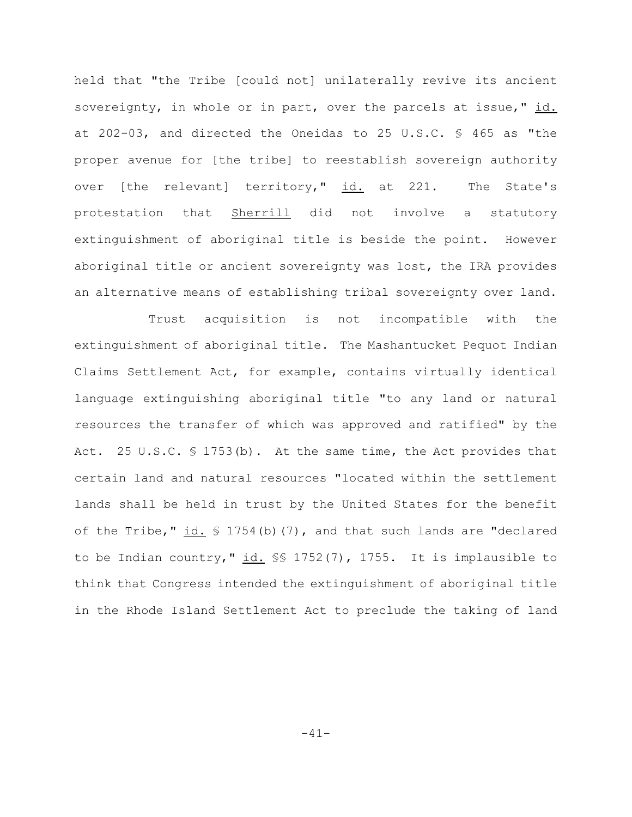held that "the Tribe [could not] unilaterally revive its ancient sovereignty, in whole or in part, over the parcels at issue," id. at 202-03, and directed the Oneidas to 25 U.S.C. § 465 as "the proper avenue for [the tribe] to reestablish sovereign authority over [the relevant] territory," id. at 221. The State's protestation that Sherrill did not involve a statutory extinguishment of aboriginal title is beside the point. However aboriginal title or ancient sovereignty was lost, the IRA provides an alternative means of establishing tribal sovereignty over land.

Trust acquisition is not incompatible with the extinguishment of aboriginal title. The Mashantucket Pequot Indian Claims Settlement Act, for example, contains virtually identical language extinguishing aboriginal title "to any land or natural resources the transfer of which was approved and ratified" by the Act. 25 U.S.C. § 1753(b). At the same time, the Act provides that certain land and natural resources "located within the settlement lands shall be held in trust by the United States for the benefit of the Tribe," id.  $\frac{1}{2}$  1754(b)(7), and that such lands are "declared to be Indian country,"  $\underline{\text{id.}}$  \$\$ 1752(7), 1755. It is implausible to think that Congress intended the extinguishment of aboriginal title in the Rhode Island Settlement Act to preclude the taking of land

-41-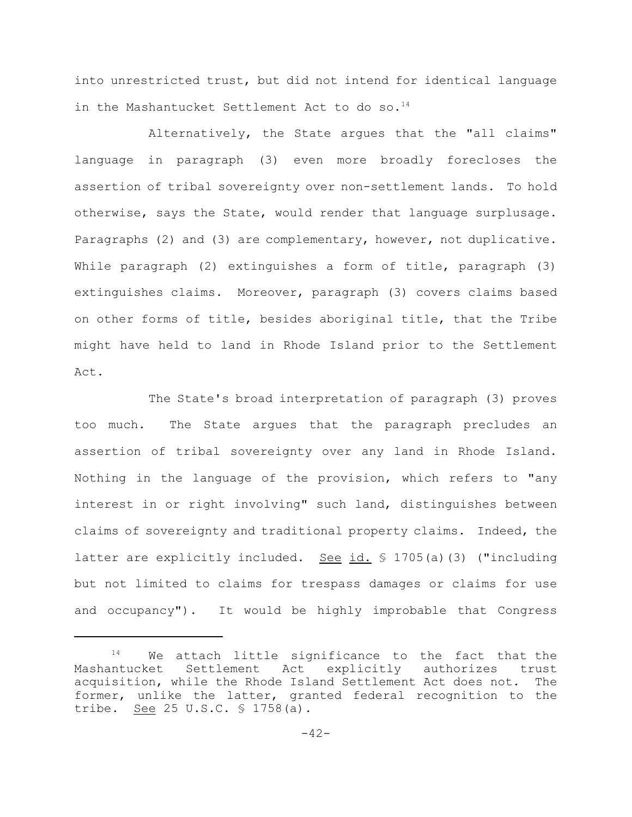into unrestricted trust, but did not intend for identical language in the Mashantucket Settlement Act to do so.<sup>14</sup>

Alternatively, the State argues that the "all claims" language in paragraph (3) even more broadly forecloses the assertion of tribal sovereignty over non-settlement lands. To hold otherwise, says the State, would render that language surplusage. Paragraphs (2) and (3) are complementary, however, not duplicative. While paragraph (2) extinguishes a form of title, paragraph (3) extinguishes claims. Moreover, paragraph (3) covers claims based on other forms of title, besides aboriginal title, that the Tribe might have held to land in Rhode Island prior to the Settlement  $Act.$ 

The State's broad interpretation of paragraph (3) proves too much. The State argues that the paragraph precludes an assertion of tribal sovereignty over any land in Rhode Island. Nothing in the language of the provision, which refers to "any interest in or right involving" such land, distinguishes between claims of sovereignty and traditional property claims. Indeed, the latter are explicitly included. See id. § 1705(a)(3) ("including but not limited to claims for trespass damages or claims for use and occupancy"). It would be highly improbable that Congress

 $14$  We attach little significance to the fact that the Mashantucket Settlement Act explicitly authorizes trust acquisition, while the Rhode Island Settlement Act does not. The former, unlike the latter, granted federal recognition to the tribe. See 25 U.S.C. § 1758(a).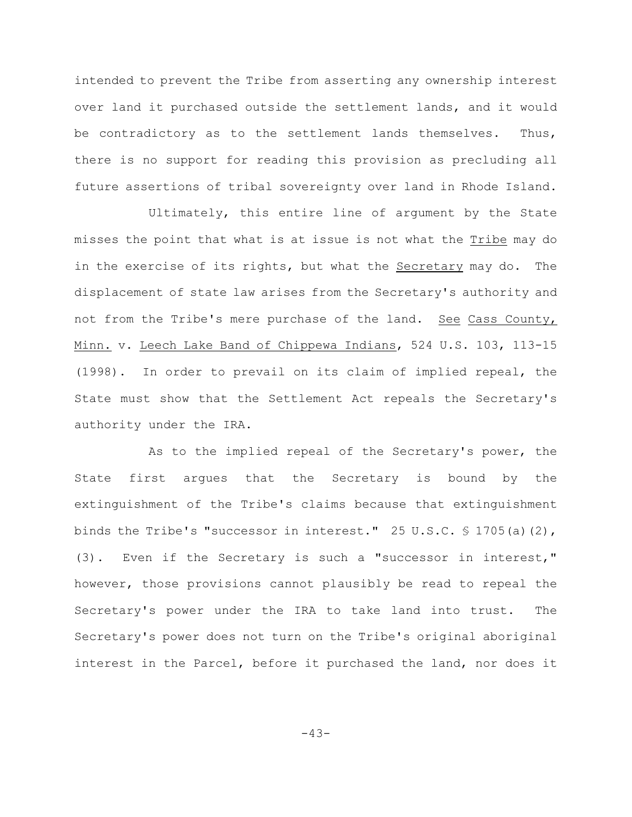intended to prevent the Tribe from asserting any ownership interest over land it purchased outside the settlement lands, and it would be contradictory as to the settlement lands themselves. Thus, there is no support for reading this provision as precluding all future assertions of tribal sovereignty over land in Rhode Island.

Ultimately, this entire line of argument by the State misses the point that what is at issue is not what the Tribe may do in the exercise of its rights, but what the Secretary may do. The displacement of state law arises from the Secretary's authority and not from the Tribe's mere purchase of the land. See Cass County, Minn. v. Leech Lake Band of Chippewa Indians, 524 U.S. 103, 113-15 (1998). In order to prevail on its claim of implied repeal, the State must show that the Settlement Act repeals the Secretary's authority under the IRA.

As to the implied repeal of the Secretary's power, the State first argues that the Secretary is bound by the extinguishment of the Tribe's claims because that extinguishment binds the Tribe's "successor in interest." 25 U.S.C.  $\frac{1}{9}$  1705(a)(2), (3). Even if the Secretary is such a "successor in interest," however, those provisions cannot plausibly be read to repeal the Secretary's power under the IRA to take land into trust. The Secretary's power does not turn on the Tribe's original aboriginal interest in the Parcel, before it purchased the land, nor does it

-43-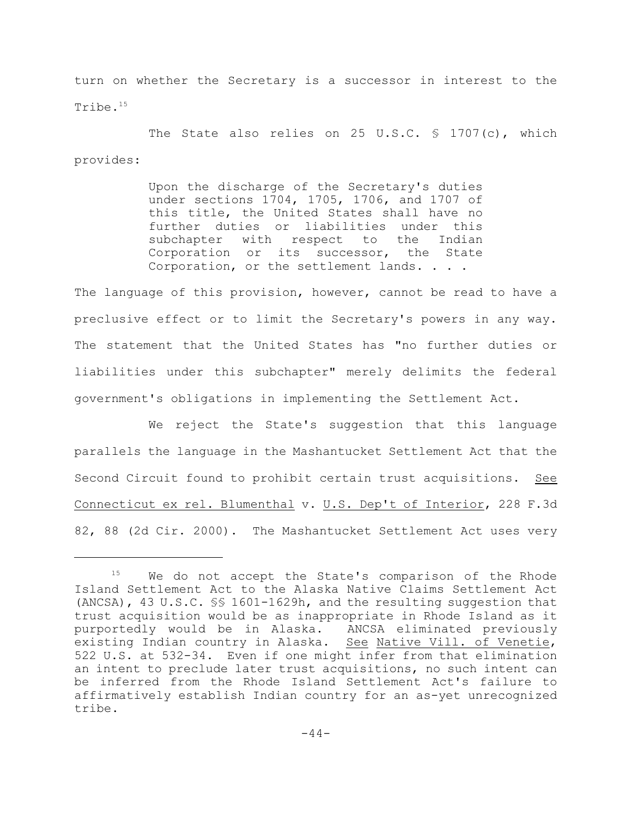turn on whether the Secretary is a successor in interest to the Tribe.<sup>15</sup>

The State also relies on 25 U.S.C. § 1707(c), which provides:

> Upon the discharge of the Secretary's duties under sections 1704, 1705, 1706, and 1707 of this title, the United States shall have no further duties or liabilities under this subchapter with respect to the Indian Corporation or its successor, the State Corporation, or the settlement lands. . . .

The language of this provision, however, cannot be read to have a preclusive effect or to limit the Secretary's powers in any way. The statement that the United States has "no further duties or liabilities under this subchapter" merely delimits the federal government's obligations in implementing the Settlement Act.

We reject the State's suggestion that this language parallels the language in the Mashantucket Settlement Act that the Second Circuit found to prohibit certain trust acquisitions. See Connecticut ex rel. Blumenthal v. U.S. Dep't of Interior, 228 F.3d 82, 88 (2d Cir. 2000). The Mashantucket Settlement Act uses very

 $15$  We do not accept the State's comparison of the Rhode Island Settlement Act to the Alaska Native Claims Settlement Act (ANCSA), 43 U.S.C. §§ 1601-1629h, and the resulting suggestion that trust acquisition would be as inappropriate in Rhode Island as it purportedly would be in Alaska. ANCSA eliminated previously existing Indian country in Alaska. See Native Vill. of Venetie, 522 U.S. at 532-34. Even if one might infer from that elimination an intent to preclude later trust acquisitions, no such intent can be inferred from the Rhode Island Settlement Act's failure to affirmatively establish Indian country for an as-yet unrecognized tribe.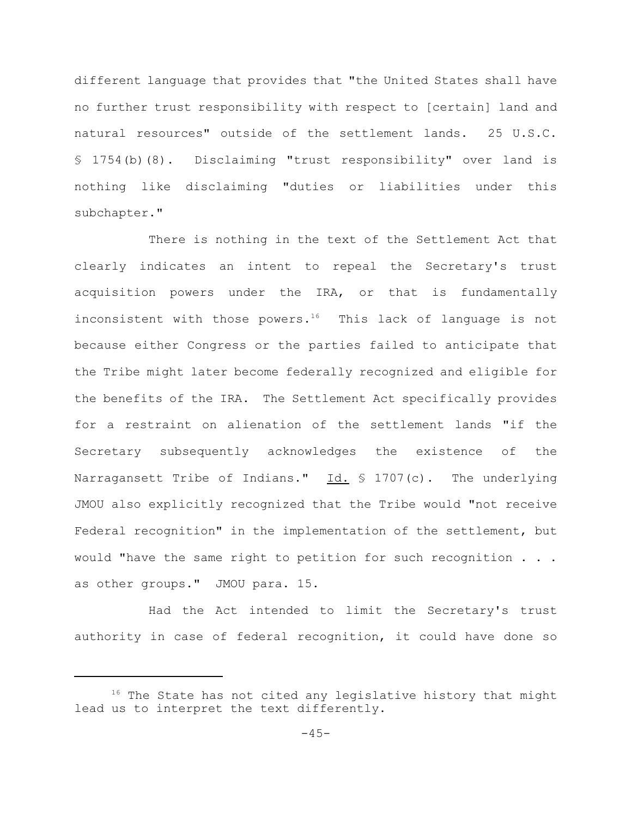different language that provides that "the United States shall have no further trust responsibility with respect to [certain] land and natural resources" outside of the settlement lands. 25 U.S.C. § 1754(b)(8). Disclaiming "trust responsibility" over land is nothing like disclaiming "duties or liabilities under this subchapter."

There is nothing in the text of the Settlement Act that clearly indicates an intent to repeal the Secretary's trust acquisition powers under the IRA, or that is fundamentally inconsistent with those powers.<sup>16</sup> This lack of language is not because either Congress or the parties failed to anticipate that the Tribe might later become federally recognized and eligible for the benefits of the IRA. The Settlement Act specifically provides for a restraint on alienation of the settlement lands "if the Secretary subsequently acknowledges the existence of the Narragansett Tribe of Indians."  $Id. \$  1707(c). The underlying JMOU also explicitly recognized that the Tribe would "not receive Federal recognition" in the implementation of the settlement, but would "have the same right to petition for such recognition . . . as other groups." JMOU para. 15.

Had the Act intended to limit the Secretary's trust authority in case of federal recognition, it could have done so

 $16$  The State has not cited any legislative history that might lead us to interpret the text differently.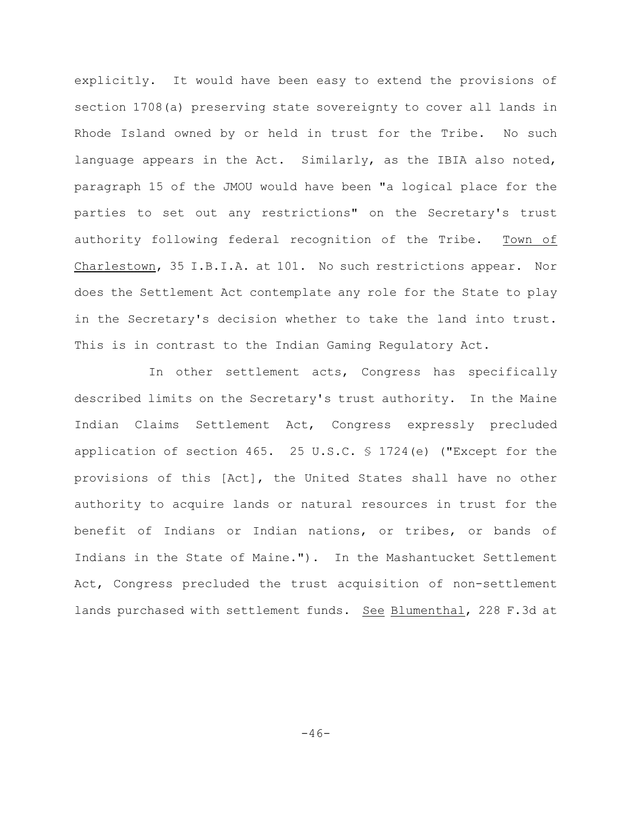explicitly. It would have been easy to extend the provisions of section 1708(a) preserving state sovereignty to cover all lands in Rhode Island owned by or held in trust for the Tribe. No such language appears in the Act. Similarly, as the IBIA also noted, paragraph 15 of the JMOU would have been "a logical place for the parties to set out any restrictions" on the Secretary's trust authority following federal recognition of the Tribe. Town of Charlestown, 35 I.B.I.A. at 101. No such restrictions appear. Nor does the Settlement Act contemplate any role for the State to play in the Secretary's decision whether to take the land into trust. This is in contrast to the Indian Gaming Regulatory Act.

In other settlement acts, Congress has specifically described limits on the Secretary's trust authority. In the Maine Indian Claims Settlement Act, Congress expressly precluded application of section 465. 25 U.S.C. § 1724(e) ("Except for the provisions of this [Act], the United States shall have no other authority to acquire lands or natural resources in trust for the benefit of Indians or Indian nations, or tribes, or bands of Indians in the State of Maine."). In the Mashantucket Settlement Act, Congress precluded the trust acquisition of non-settlement lands purchased with settlement funds. See Blumenthal, 228 F.3d at

 $-46-$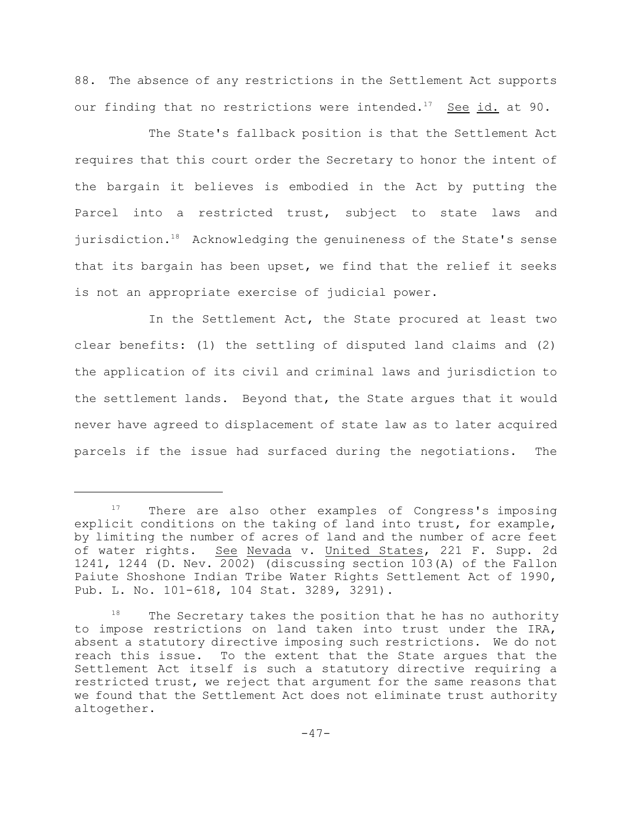88. The absence of any restrictions in the Settlement Act supports our finding that no restrictions were intended.<sup>17</sup> See id. at 90.

The State's fallback position is that the Settlement Act requires that this court order the Secretary to honor the intent of the bargain it believes is embodied in the Act by putting the Parcel into a restricted trust, subject to state laws and jurisdiction. $18$  Acknowledging the genuineness of the State's sense that its bargain has been upset, we find that the relief it seeks is not an appropriate exercise of judicial power.

In the Settlement Act, the State procured at least two clear benefits: (1) the settling of disputed land claims and (2) the application of its civil and criminal laws and jurisdiction to the settlement lands. Beyond that, the State argues that it would never have agreed to displacement of state law as to later acquired parcels if the issue had surfaced during the negotiations. The

 $17$  There are also other examples of Congress's imposing explicit conditions on the taking of land into trust, for example, by limiting the number of acres of land and the number of acre feet of water rights. See Nevada v. United States, 221 F. Supp. 2d 1241, 1244 (D. Nev. 2002) (discussing section 103(A) of the Fallon Paiute Shoshone Indian Tribe Water Rights Settlement Act of 1990, Pub. L. No. 101-618, 104 Stat. 3289, 3291).

 $18$  The Secretary takes the position that he has no authority to impose restrictions on land taken into trust under the IRA, absent a statutory directive imposing such restrictions. We do not reach this issue. To the extent that the State argues that the Settlement Act itself is such a statutory directive requiring a restricted trust, we reject that argument for the same reasons that we found that the Settlement Act does not eliminate trust authority altogether.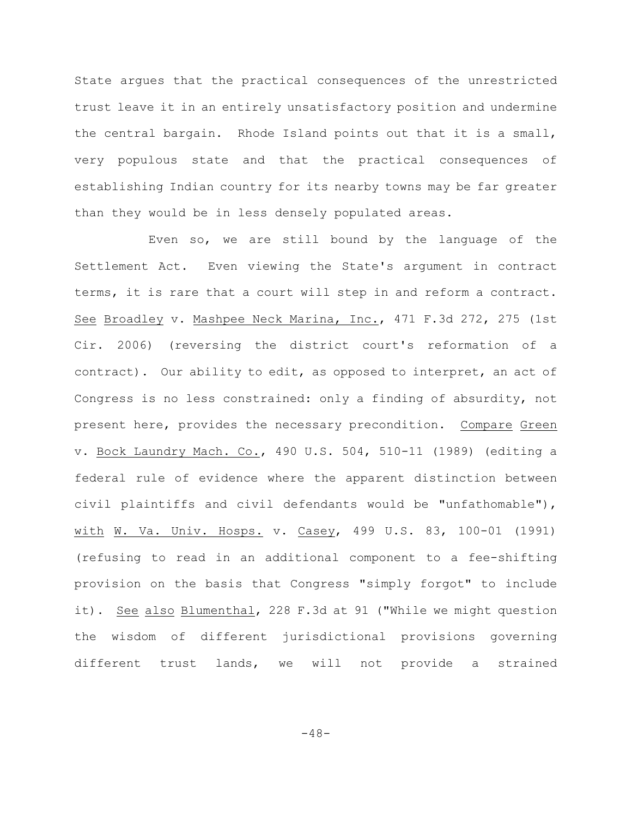State argues that the practical consequences of the unrestricted trust leave it in an entirely unsatisfactory position and undermine the central bargain. Rhode Island points out that it is a small, very populous state and that the practical consequences of establishing Indian country for its nearby towns may be far greater than they would be in less densely populated areas.

Even so, we are still bound by the language of the Settlement Act. Even viewing the State's argument in contract terms, it is rare that a court will step in and reform a contract. See Broadley v. Mashpee Neck Marina, Inc., 471 F.3d 272, 275 (1st Cir. 2006) (reversing the district court's reformation of a contract). Our ability to edit, as opposed to interpret, an act of Congress is no less constrained: only a finding of absurdity, not present here, provides the necessary precondition. Compare Green v. Bock Laundry Mach. Co., 490 U.S. 504, 510-11 (1989) (editing a federal rule of evidence where the apparent distinction between civil plaintiffs and civil defendants would be "unfathomable"), with W. Va. Univ. Hosps. v. Casey, 499 U.S. 83, 100-01 (1991) (refusing to read in an additional component to a fee-shifting provision on the basis that Congress "simply forgot" to include it). See also Blumenthal, 228 F.3d at 91 ("While we might question the wisdom of different jurisdictional provisions governing different trust lands, we will not provide a strained

 $-48-$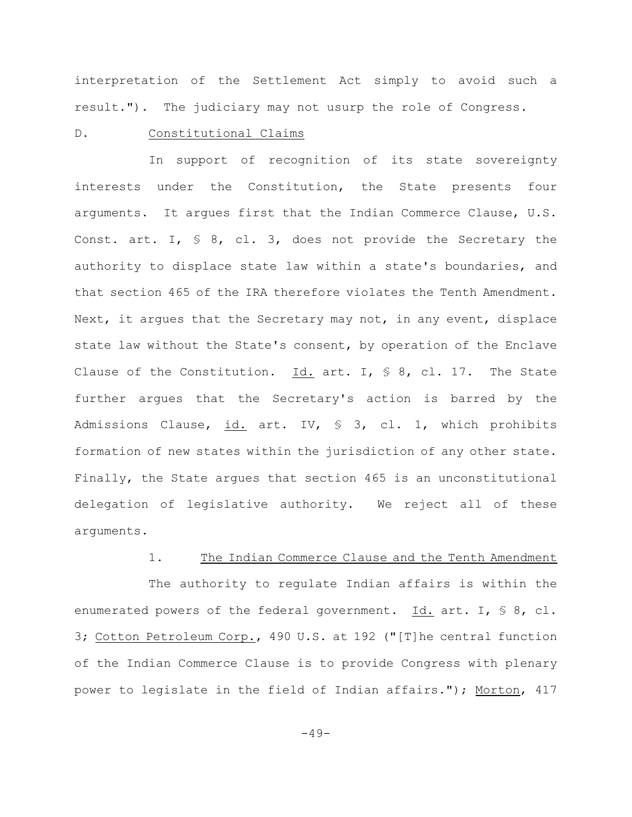interpretation of the Settlement Act simply to avoid such a result."). The judiciary may not usurp the role of Congress.

#### D. Constitutional Claims

In support of recognition of its state sovereignty interests under the Constitution, the State presents four arguments. It argues first that the Indian Commerce Clause, U.S. Const. art. I,  $\frac{1}{5}$  8, cl. 3, does not provide the Secretary the authority to displace state law within a state's boundaries, and that section 465 of the IRA therefore violates the Tenth Amendment. Next, it argues that the Secretary may not, in any event, displace state law without the State's consent, by operation of the Enclave Clause of the Constitution. Id. art. I,  $\frac{1}{5}$  8, cl. 17. The State further argues that the Secretary's action is barred by the Admissions Clause, id. art. IV, § 3, cl. 1, which prohibits formation of new states within the jurisdiction of any other state. Finally, the State argues that section 465 is an unconstitutional delegation of legislative authority. We reject all of these arguments.

## 1. The Indian Commerce Clause and the Tenth Amendment

The authority to regulate Indian affairs is within the enumerated powers of the federal government. Id. art. I, § 8, cl. 3; Cotton Petroleum Corp., 490 U.S. at 192 ("[T]he central function of the Indian Commerce Clause is to provide Congress with plenary power to legislate in the field of Indian affairs."); Morton, 417

 $-49-$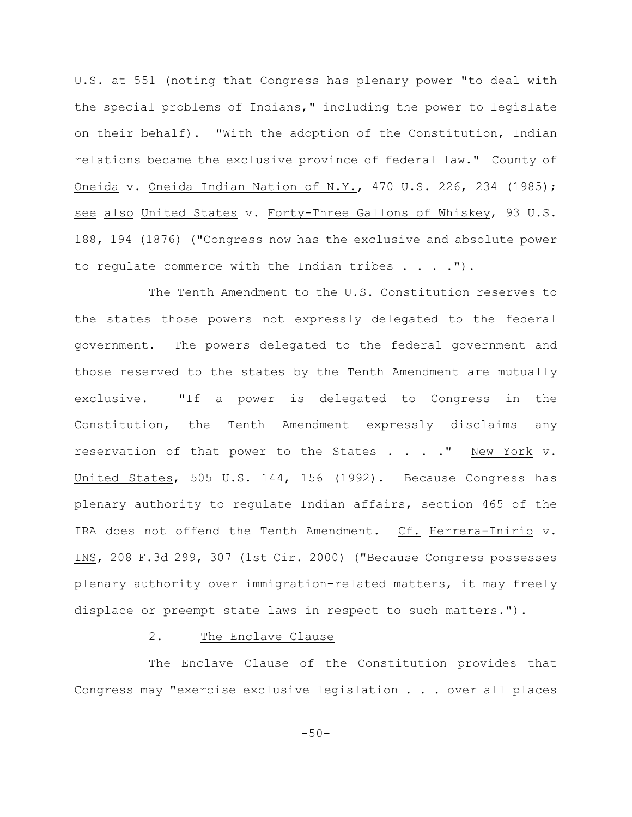U.S. at 551 (noting that Congress has plenary power "to deal with the special problems of Indians," including the power to legislate on their behalf). "With the adoption of the Constitution, Indian relations became the exclusive province of federal law." County of Oneida v. Oneida Indian Nation of N.Y., 470 U.S. 226, 234 (1985); see also United States v. Forty-Three Gallons of Whiskey, 93 U.S. 188, 194 (1876) ("Congress now has the exclusive and absolute power to regulate commerce with the Indian tribes . . . .").

The Tenth Amendment to the U.S. Constitution reserves to the states those powers not expressly delegated to the federal government. The powers delegated to the federal government and those reserved to the states by the Tenth Amendment are mutually exclusive. "If a power is delegated to Congress in the Constitution, the Tenth Amendment expressly disclaims any reservation of that power to the States . . . ." New York v. United States, 505 U.S. 144, 156 (1992). Because Congress has plenary authority to regulate Indian affairs, section 465 of the IRA does not offend the Tenth Amendment. Cf. Herrera-Inirio v. INS, 208 F.3d 299, 307 (1st Cir. 2000) ("Because Congress possesses plenary authority over immigration-related matters, it may freely displace or preempt state laws in respect to such matters.").

## 2. The Enclave Clause

The Enclave Clause of the Constitution provides that Congress may "exercise exclusive legislation . . . over all places

 $-50-$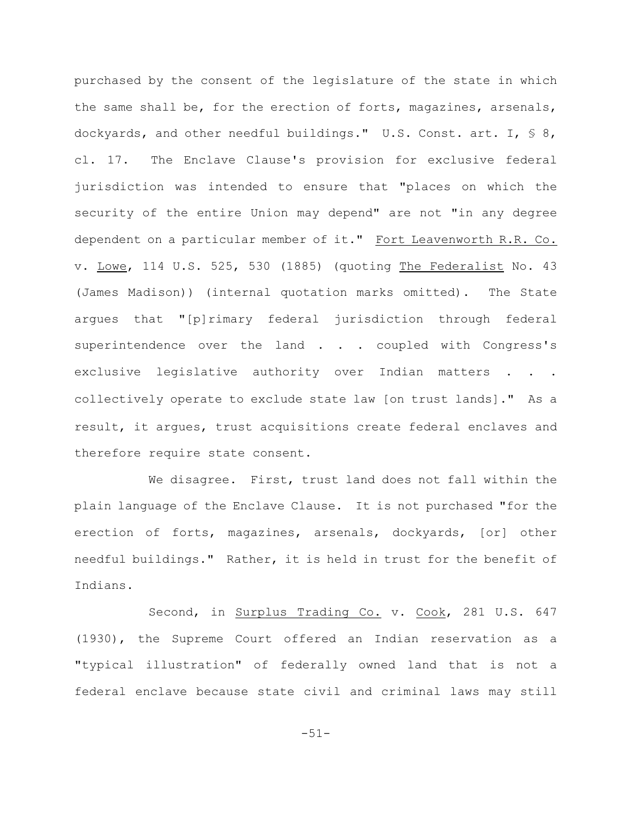purchased by the consent of the legislature of the state in which the same shall be, for the erection of forts, magazines, arsenals, dockyards, and other needful buildings." U.S. Const. art. I, § 8, cl. 17. The Enclave Clause's provision for exclusive federal jurisdiction was intended to ensure that "places on which the security of the entire Union may depend" are not "in any degree dependent on a particular member of it." Fort Leavenworth R.R. Co. v. Lowe, 114 U.S. 525, 530 (1885) (quoting The Federalist No. 43 (James Madison)) (internal quotation marks omitted). The State argues that "[p]rimary federal jurisdiction through federal superintendence over the land . . . coupled with Congress's exclusive legislative authority over Indian matters . . . collectively operate to exclude state law [on trust lands]." As a result, it argues, trust acquisitions create federal enclaves and therefore require state consent.

We disagree. First, trust land does not fall within the plain language of the Enclave Clause. It is not purchased "for the erection of forts, magazines, arsenals, dockyards, [or] other needful buildings." Rather, it is held in trust for the benefit of Indians.

Second, in Surplus Trading Co. v. Cook, 281 U.S. 647 (1930), the Supreme Court offered an Indian reservation as a "typical illustration" of federally owned land that is not a federal enclave because state civil and criminal laws may still

-51-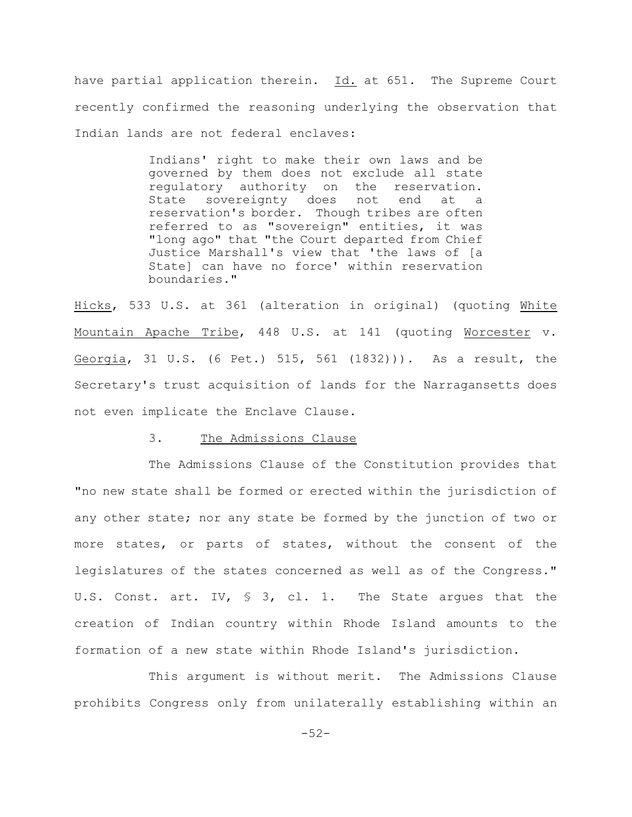have partial application therein. Id. at 651. The Supreme Court recently confirmed the reasoning underlying the observation that Indian lands are not federal enclaves:

> Indians' right to make their own laws and be governed by them does not exclude all state regulatory authority on the reservation. State sovereignty does not end at a reservation's border. Though tribes are often referred to as "sovereign" entities, it was "long ago" that "the Court departed from Chief Justice Marshall's view that 'the laws of [a State] can have no force' within reservation boundaries."

Hicks, 533 U.S. at 361 (alteration in original) (quoting White Mountain Apache Tribe, 448 U.S. at 141 (quoting Worcester v. Georgia, 31 U.S. (6 Pet.) 515, 561 (1832))). As a result, the Secretary's trust acquisition of lands for the Narragansetts does not even implicate the Enclave Clause.

### 3. The Admissions Clause

The Admissions Clause of the Constitution provides that "no new state shall be formed or erected within the jurisdiction of any other state; nor any state be formed by the junction of two or more states, or parts of states, without the consent of the legislatures of the states concerned as well as of the Congress." U.S. Const. art. IV,  $\frac{1}{5}$  3, cl. 1. The State argues that the creation of Indian country within Rhode Island amounts to the formation of a new state within Rhode Island's jurisdiction.

This argument is without merit. The Admissions Clause prohibits Congress only from unilaterally establishing within an

-52-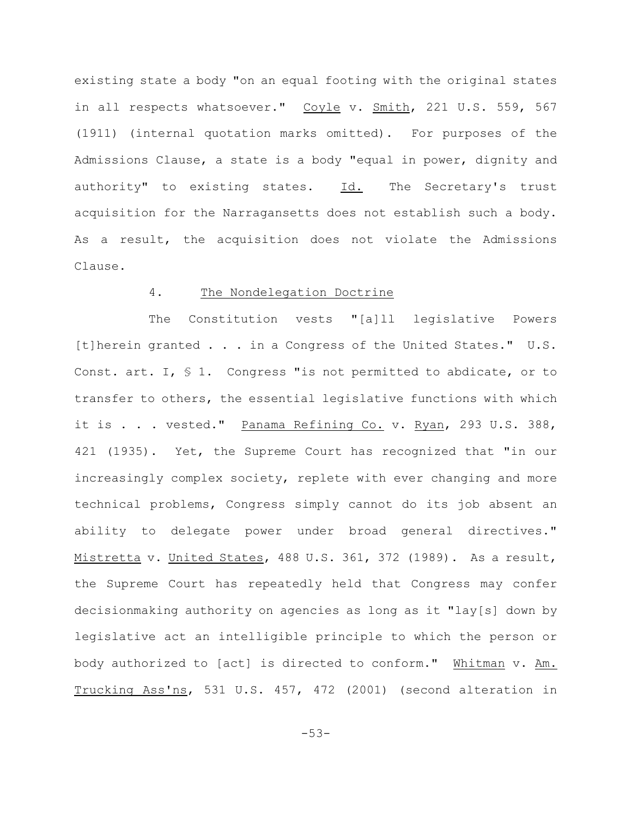existing state a body "on an equal footing with the original states in all respects whatsoever." Coyle v. Smith, 221 U.S. 559, 567 (1911) (internal quotation marks omitted). For purposes of the Admissions Clause, a state is a body "equal in power, dignity and authority" to existing states. Id. The Secretary's trust acquisition for the Narragansetts does not establish such a body. As a result, the acquisition does not violate the Admissions Clause.

## 4. The Nondelegation Doctrine

The Constitution vests "[a]ll legislative Powers [t]herein granted . . . in a Congress of the United States." U.S. Const. art. I, § 1. Congress "is not permitted to abdicate, or to transfer to others, the essential legislative functions with which it is . . . vested." Panama Refining Co. v. Ryan, 293 U.S. 388, 421 (1935). Yet, the Supreme Court has recognized that "in our increasingly complex society, replete with ever changing and more technical problems, Congress simply cannot do its job absent an ability to delegate power under broad general directives." Mistretta v. United States, 488 U.S. 361, 372 (1989). As a result, the Supreme Court has repeatedly held that Congress may confer decisionmaking authority on agencies as long as it "lay[s] down by legislative act an intelligible principle to which the person or body authorized to [act] is directed to conform." Whitman v. Am. Trucking Ass'ns, 531 U.S. 457, 472 (2001) (second alteration in

-53-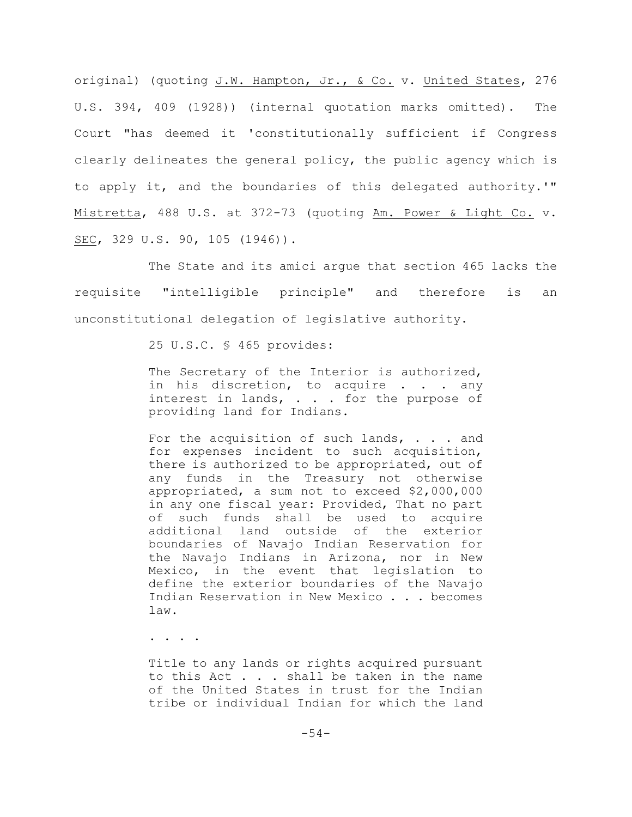original) (quoting J.W. Hampton, Jr., & Co. v. United States, 276 U.S. 394, 409 (1928)) (internal quotation marks omitted). The Court "has deemed it 'constitutionally sufficient if Congress clearly delineates the general policy, the public agency which is to apply it, and the boundaries of this delegated authority.'" Mistretta, 488 U.S. at 372-73 (quoting Am. Power & Light Co. v. SEC, 329 U.S. 90, 105 (1946)).

The State and its amici argue that section 465 lacks the requisite "intelligible principle" and therefore is an unconstitutional delegation of legislative authority.

25 U.S.C. § 465 provides:

The Secretary of the Interior is authorized, in his discretion, to acquire . . . any interest in lands, . . . for the purpose of providing land for Indians.

For the acquisition of such lands, . . . and for expenses incident to such acquisition, there is authorized to be appropriated, out of any funds in the Treasury not otherwise appropriated, a sum not to exceed \$2,000,000 in any one fiscal year: Provided, That no part of such funds shall be used to acquire additional land outside of the exterior boundaries of Navajo Indian Reservation for the Navajo Indians in Arizona, nor in New Mexico, in the event that legislation to define the exterior boundaries of the Navajo Indian Reservation in New Mexico . . . becomes law.

. . . .

Title to any lands or rights acquired pursuant to this Act . . . shall be taken in the name of the United States in trust for the Indian tribe or individual Indian for which the land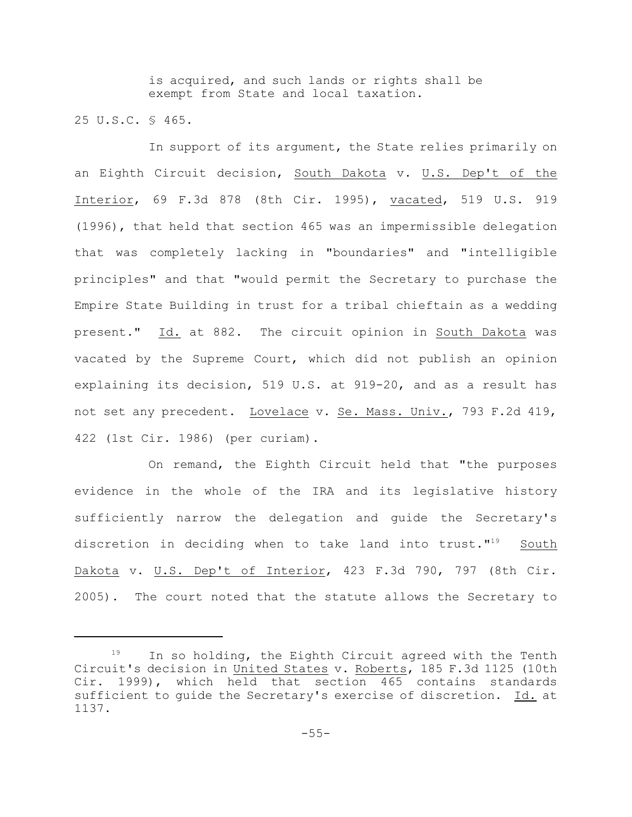is acquired, and such lands or rights shall be exempt from State and local taxation.

25 U.S.C. § 465.

In support of its argument, the State relies primarily on an Eighth Circuit decision, South Dakota v. U.S. Dep't of the Interior, 69 F.3d 878 (8th Cir. 1995), vacated, 519 U.S. 919 (1996), that held that section 465 was an impermissible delegation that was completely lacking in "boundaries" and "intelligible principles" and that "would permit the Secretary to purchase the Empire State Building in trust for a tribal chieftain as a wedding present." Id. at 882. The circuit opinion in South Dakota was vacated by the Supreme Court, which did not publish an opinion explaining its decision, 519 U.S. at 919-20, and as a result has not set any precedent. Lovelace v. Se. Mass. Univ., 793 F.2d 419, 422 (1st Cir. 1986) (per curiam).

On remand, the Eighth Circuit held that "the purposes evidence in the whole of the IRA and its legislative history sufficiently narrow the delegation and guide the Secretary's discretion in deciding when to take land into trust. $1^{19}$  South Dakota v. U.S. Dep't of Interior, 423 F.3d 790, 797 (8th Cir. 2005). The court noted that the statute allows the Secretary to

In so holding, the Eighth Circuit agreed with the Tenth Circuit's decision in United States v. Roberts, 185 F.3d 1125 (10th Cir. 1999), which held that section 465 contains standards sufficient to guide the Secretary's exercise of discretion. Id. at 1137.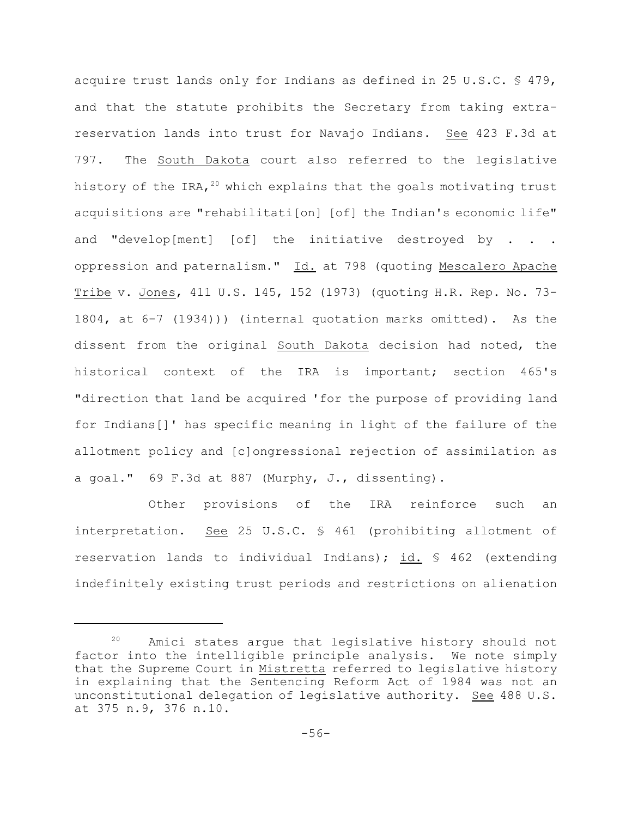acquire trust lands only for Indians as defined in 25 U.S.C. § 479, and that the statute prohibits the Secretary from taking extrareservation lands into trust for Navajo Indians. See 423 F.3d at 797. The South Dakota court also referred to the legislative history of the IRA,  $20$  which explains that the goals motivating trust acquisitions are "rehabilitati[on] [of] the Indian's economic life" and "develop[ment] [of] the initiative destroyed by . . . oppression and paternalism." Id. at 798 (quoting Mescalero Apache Tribe v. Jones, 411 U.S. 145, 152 (1973) (quoting H.R. Rep. No. 73- 1804, at 6-7 (1934))) (internal quotation marks omitted). As the dissent from the original South Dakota decision had noted, the historical context of the IRA is important; section 465's "direction that land be acquired 'for the purpose of providing land for Indians[]' has specific meaning in light of the failure of the allotment policy and [c]ongressional rejection of assimilation as a goal." 69 F.3d at 887 (Murphy, J., dissenting).

Other provisions of the IRA reinforce such an interpretation. See 25 U.S.C. § 461 (prohibiting allotment of reservation lands to individual Indians); id. § 462 (extending indefinitely existing trust periods and restrictions on alienation

 $20$  Amici states argue that legislative history should not factor into the intelligible principle analysis. We note simply that the Supreme Court in Mistretta referred to legislative history in explaining that the Sentencing Reform Act of 1984 was not an unconstitutional delegation of legislative authority. See 488 U.S. at 375 n.9, 376 n.10.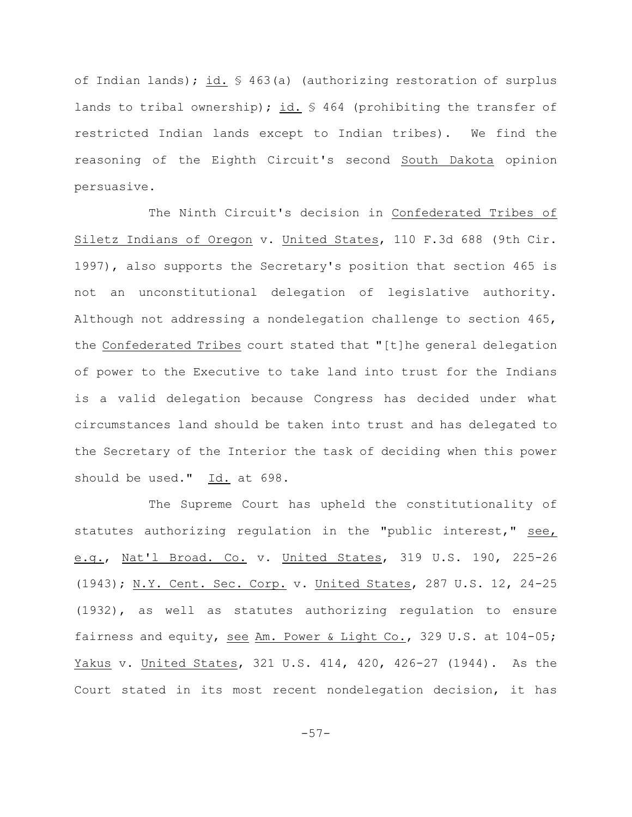of Indian lands); id. § 463(a) (authorizing restoration of surplus lands to tribal ownership); id.  $\frac{1}{2}$  464 (prohibiting the transfer of restricted Indian lands except to Indian tribes). We find the reasoning of the Eighth Circuit's second South Dakota opinion persuasive.

The Ninth Circuit's decision in Confederated Tribes of Siletz Indians of Oregon v. United States, 110 F.3d 688 (9th Cir. 1997), also supports the Secretary's position that section 465 is not an unconstitutional delegation of legislative authority. Although not addressing a nondelegation challenge to section 465, the Confederated Tribes court stated that "[t]he general delegation of power to the Executive to take land into trust for the Indians is a valid delegation because Congress has decided under what circumstances land should be taken into trust and has delegated to the Secretary of the Interior the task of deciding when this power should be used."  $Id.$  at 698.

The Supreme Court has upheld the constitutionality of statutes authorizing regulation in the "public interest," see, e.g., Nat'l Broad. Co. v. United States, 319 U.S. 190, 225-26 (1943); N.Y. Cent. Sec. Corp. v. United States, 287 U.S. 12, 24-25 (1932), as well as statutes authorizing regulation to ensure fairness and equity, see Am. Power & Light Co., 329 U.S. at 104-05; Yakus v. United States, 321 U.S. 414, 420, 426-27 (1944). As the Court stated in its most recent nondelegation decision, it has

-57-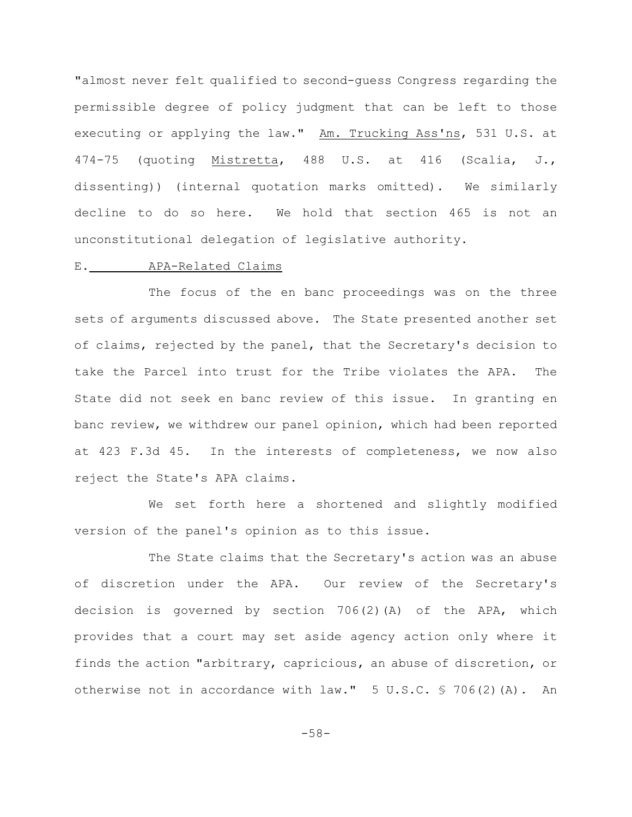"almost never felt qualified to second-guess Congress regarding the permissible degree of policy judgment that can be left to those executing or applying the law." Am. Trucking Ass'ns, 531 U.S. at 474-75 (quoting Mistretta, 488 U.S. at 416 (Scalia, J., dissenting)) (internal quotation marks omitted). We similarly decline to do so here. We hold that section 465 is not an unconstitutional delegation of legislative authority.

# E. APA-Related Claims

The focus of the en banc proceedings was on the three sets of arguments discussed above. The State presented another set of claims, rejected by the panel, that the Secretary's decision to take the Parcel into trust for the Tribe violates the APA. The State did not seek en banc review of this issue. In granting en banc review, we withdrew our panel opinion, which had been reported at 423 F.3d 45. In the interests of completeness, we now also reject the State's APA claims.

We set forth here a shortened and slightly modified version of the panel's opinion as to this issue.

The State claims that the Secretary's action was an abuse of discretion under the APA. Our review of the Secretary's decision is governed by section 706(2)(A) of the APA, which provides that a court may set aside agency action only where it finds the action "arbitrary, capricious, an abuse of discretion, or otherwise not in accordance with  $law." 5 U.S.C. $706(2)(A). An$ 

-58-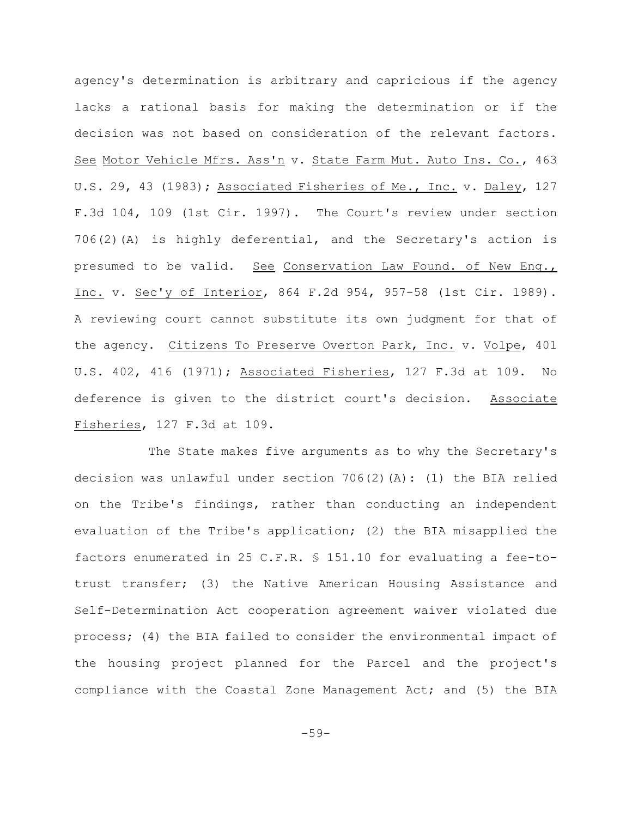agency's determination is arbitrary and capricious if the agency lacks a rational basis for making the determination or if the decision was not based on consideration of the relevant factors. See Motor Vehicle Mfrs. Ass'n v. State Farm Mut. Auto Ins. Co., 463 U.S. 29, 43 (1983); Associated Fisheries of Me., Inc. v. Daley, 127 F.3d 104, 109 (1st Cir. 1997). The Court's review under section 706(2)(A) is highly deferential, and the Secretary's action is presumed to be valid. See Conservation Law Found. of New Eng., Inc. v. Sec'y of Interior, 864 F.2d 954, 957-58 (1st Cir. 1989). A reviewing court cannot substitute its own judgment for that of the agency. Citizens To Preserve Overton Park, Inc. v. Volpe, 401 U.S. 402, 416 (1971); Associated Fisheries, 127 F.3d at 109. No deference is given to the district court's decision. Associate Fisheries, 127 F.3d at 109.

The State makes five arguments as to why the Secretary's decision was unlawful under section  $706(2)(A):$  (1) the BIA relied on the Tribe's findings, rather than conducting an independent evaluation of the Tribe's application; (2) the BIA misapplied the factors enumerated in 25 C.F.R. § 151.10 for evaluating a fee-totrust transfer; (3) the Native American Housing Assistance and Self-Determination Act cooperation agreement waiver violated due process; (4) the BIA failed to consider the environmental impact of the housing project planned for the Parcel and the project's compliance with the Coastal Zone Management Act; and (5) the BIA

-59-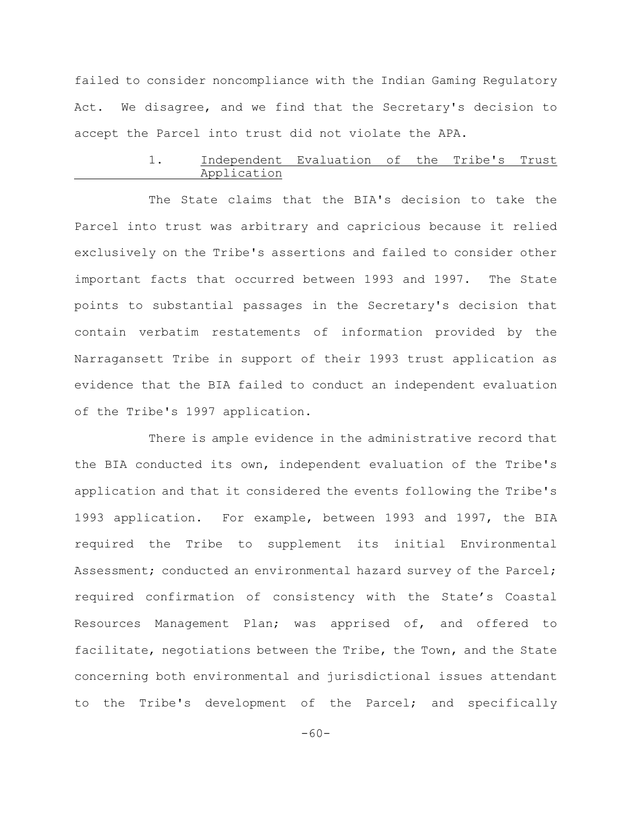failed to consider noncompliance with the Indian Gaming Regulatory Act. We disagree, and we find that the Secretary's decision to accept the Parcel into trust did not violate the APA.

## 1. Independent Evaluation of the Tribe's Trust Application

The State claims that the BIA's decision to take the Parcel into trust was arbitrary and capricious because it relied exclusively on the Tribe's assertions and failed to consider other important facts that occurred between 1993 and 1997. The State points to substantial passages in the Secretary's decision that contain verbatim restatements of information provided by the Narragansett Tribe in support of their 1993 trust application as evidence that the BIA failed to conduct an independent evaluation of the Tribe's 1997 application.

There is ample evidence in the administrative record that the BIA conducted its own, independent evaluation of the Tribe's application and that it considered the events following the Tribe's 1993 application. For example, between 1993 and 1997, the BIA required the Tribe to supplement its initial Environmental Assessment; conducted an environmental hazard survey of the Parcel; required confirmation of consistency with the State's Coastal Resources Management Plan; was apprised of, and offered to facilitate, negotiations between the Tribe, the Town, and the State concerning both environmental and jurisdictional issues attendant to the Tribe's development of the Parcel; and specifically

-60-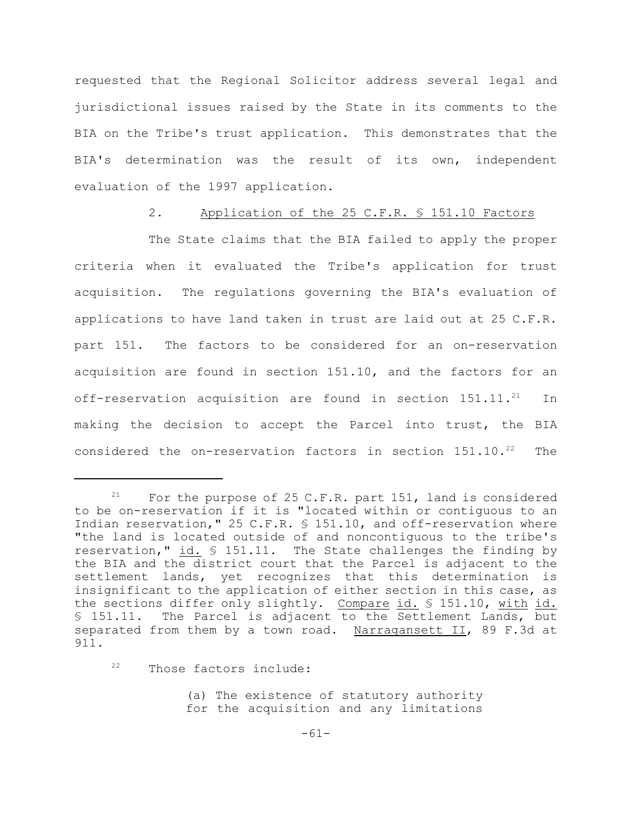requested that the Regional Solicitor address several legal and jurisdictional issues raised by the State in its comments to the BIA on the Tribe's trust application. This demonstrates that the BIA's determination was the result of its own, independent evaluation of the 1997 application.

### 2. Application of the 25 C.F.R. § 151.10 Factors

The State claims that the BIA failed to apply the proper criteria when it evaluated the Tribe's application for trust acquisition. The regulations governing the BIA's evaluation of applications to have land taken in trust are laid out at 25 C.F.R. part 151. The factors to be considered for an on-reservation acquisition are found in section 151.10, and the factors for an off-reservation acquisition are found in section  $151.11.^{21}$  In making the decision to accept the Parcel into trust, the BIA considered the on-reservation factors in section  $151.10.^{22}$  The

 $22$  Those factors include:

(a) The existence of statutory authority for the acquisition and any limitations

<sup>&</sup>lt;sup>21</sup> For the purpose of 25 C.F.R. part 151, land is considered to be on-reservation if it is "located within or contiguous to an Indian reservation," 25 C.F.R. § 151.10, and off-reservation where "the land is located outside of and noncontiguous to the tribe's reservation," id. § 151.11. The State challenges the finding by the BIA and the district court that the Parcel is adjacent to the settlement lands, yet recognizes that this determination is insignificant to the application of either section in this case, as the sections differ only slightly. Compare id. § 151.10, with id. § 151.11. The Parcel is adjacent to the Settlement Lands, but separated from them by a town road. Narragansett II, 89 F.3d at 911.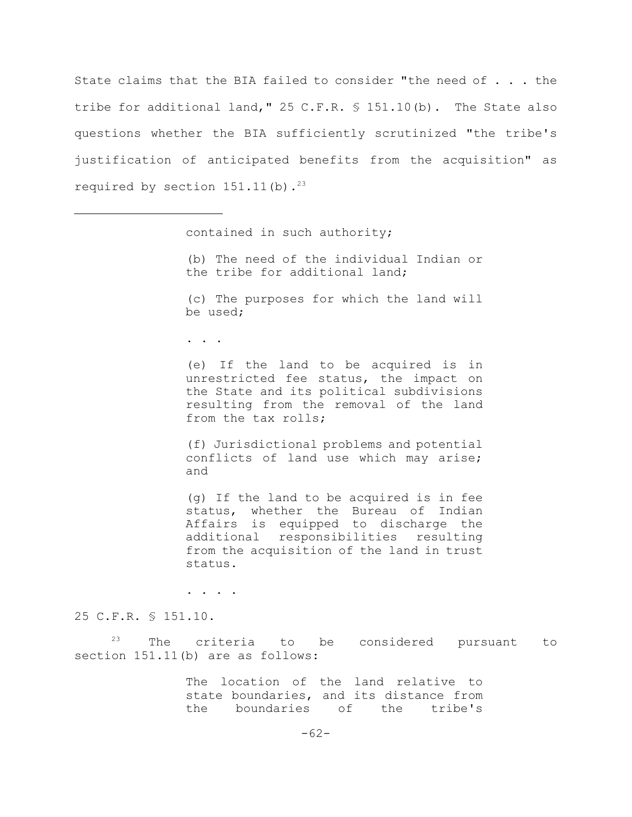State claims that the BIA failed to consider "the need of . . . the tribe for additional land," 25 C.F.R. § 151.10(b). The State also questions whether the BIA sufficiently scrutinized "the tribe's justification of anticipated benefits from the acquisition" as required by section  $151.11(b)$ .<sup>23</sup>

contained in such authority;

(b) The need of the individual Indian or the tribe for additional land;

(c) The purposes for which the land will be used;

. . .

(e) If the land to be acquired is in unrestricted fee status, the impact on the State and its political subdivisions resulting from the removal of the land from the tax rolls;

(f) Jurisdictional problems and potential conflicts of land use which may arise; and

(g) If the land to be acquired is in fee status, whether the Bureau of Indian Affairs is equipped to discharge the additional responsibilities resulting from the acquisition of the land in trust status.

. . . .

25 C.F.R. § 151.10.

 $23$  The criteria to be considered pursuant to section 151.11(b) are as follows:

> The location of the land relative to state boundaries, and its distance from the boundaries of the tribe's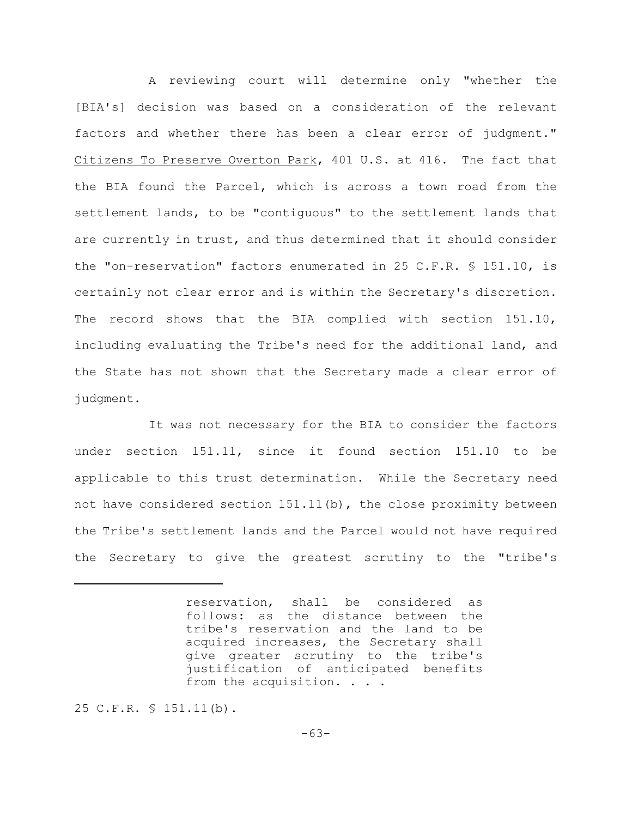A reviewing court will determine only "whether the [BIA's] decision was based on a consideration of the relevant factors and whether there has been a clear error of judgment." Citizens To Preserve Overton Park, 401 U.S. at 416. The fact that the BIA found the Parcel, which is across a town road from the settlement lands, to be "contiguous" to the settlement lands that are currently in trust, and thus determined that it should consider the "on-reservation" factors enumerated in 25 C.F.R. § 151.10, is certainly not clear error and is within the Secretary's discretion. The record shows that the BIA complied with section 151.10, including evaluating the Tribe's need for the additional land, and the State has not shown that the Secretary made a clear error of judgment.

It was not necessary for the BIA to consider the factors under section 151.11, since it found section 151.10 to be applicable to this trust determination. While the Secretary need not have considered section 151.11(b), the close proximity between the Tribe's settlement lands and the Parcel would not have required the Secretary to give the greatest scrutiny to the "tribe's

25 C.F.R. § 151.11(b).

reservation, shall be considered as follows: as the distance between the tribe's reservation and the land to be acquired increases, the Secretary shall give greater scrutiny to the tribe's justification of anticipated benefits from the acquisition. . . .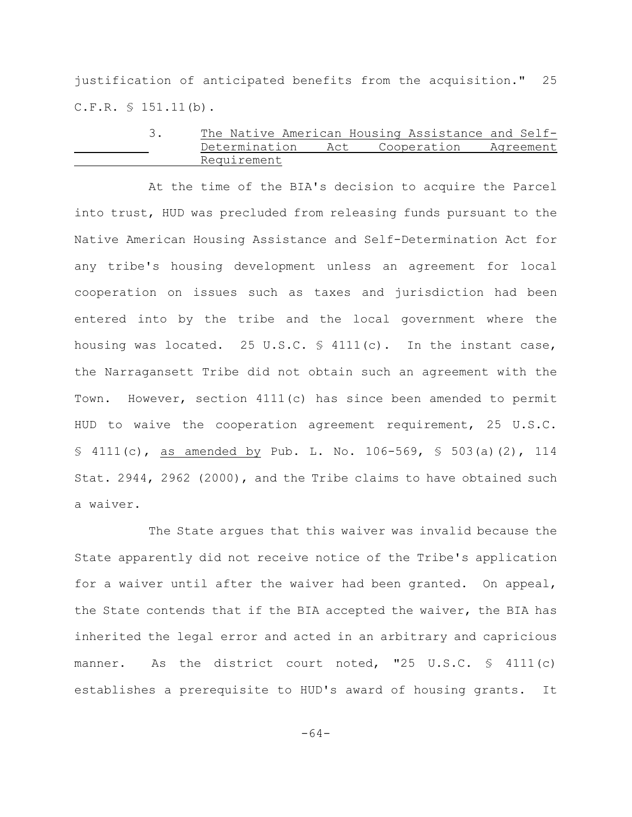justification of anticipated benefits from the acquisition." 25  $C.F.R. \$ 151.11(b).$ 

# 3. The Native American Housing Assistance and Self-Determination Act Cooperation Agreement Requirement

At the time of the BIA's decision to acquire the Parcel into trust, HUD was precluded from releasing funds pursuant to the Native American Housing Assistance and Self-Determination Act for any tribe's housing development unless an agreement for local cooperation on issues such as taxes and jurisdiction had been entered into by the tribe and the local government where the housing was located. 25 U.S.C.  $\frac{1}{2}$  4111(c). In the instant case, the Narragansett Tribe did not obtain such an agreement with the Town. However, section 4111(c) has since been amended to permit HUD to waive the cooperation agreement requirement, 25 U.S.C. § 4111(c), as amended by Pub. L. No. 106-569, § 503(a)(2), 114 Stat. 2944, 2962 (2000), and the Tribe claims to have obtained such a waiver.

The State argues that this waiver was invalid because the State apparently did not receive notice of the Tribe's application for a waiver until after the waiver had been granted. On appeal, the State contends that if the BIA accepted the waiver, the BIA has inherited the legal error and acted in an arbitrary and capricious manner. As the district court noted, "25 U.S.C. § 4111(c) establishes a prerequisite to HUD's award of housing grants. It

-64-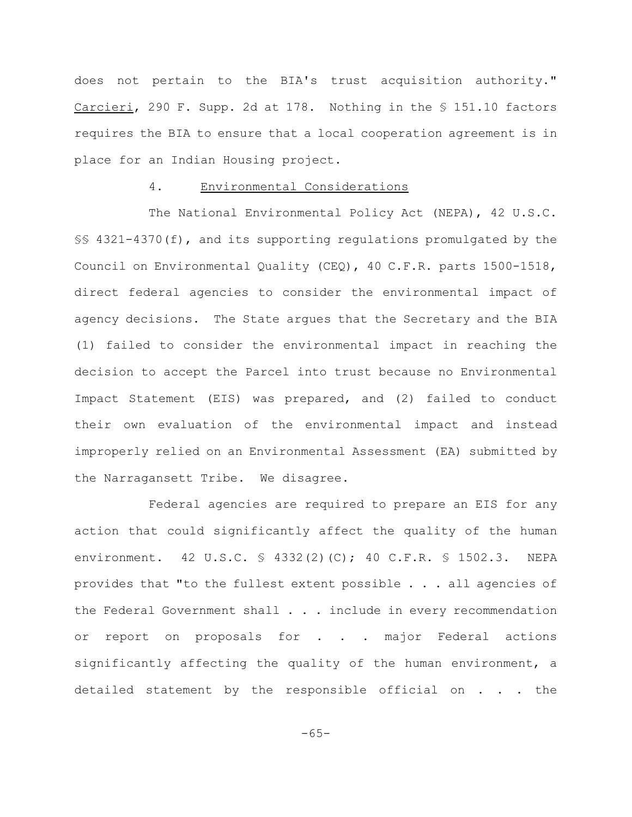does not pertain to the BIA's trust acquisition authority." Carcieri, 290 F. Supp. 2d at 178. Nothing in the § 151.10 factors requires the BIA to ensure that a local cooperation agreement is in place for an Indian Housing project.

# 4. Environmental Considerations

The National Environmental Policy Act (NEPA), 42 U.S.C. §§ 4321-4370(f), and its supporting regulations promulgated by the Council on Environmental Quality (CEQ), 40 C.F.R. parts 1500-1518, direct federal agencies to consider the environmental impact of agency decisions. The State argues that the Secretary and the BIA (1) failed to consider the environmental impact in reaching the decision to accept the Parcel into trust because no Environmental Impact Statement (EIS) was prepared, and (2) failed to conduct their own evaluation of the environmental impact and instead improperly relied on an Environmental Assessment (EA) submitted by the Narragansett Tribe. We disagree.

Federal agencies are required to prepare an EIS for any action that could significantly affect the quality of the human environment. 42 U.S.C. § 4332(2)(C); 40 C.F.R. § 1502.3. NEPA provides that "to the fullest extent possible . . . all agencies of the Federal Government shall . . . include in every recommendation or report on proposals for . . . major Federal actions significantly affecting the quality of the human environment, a detailed statement by the responsible official on . . . the

-65-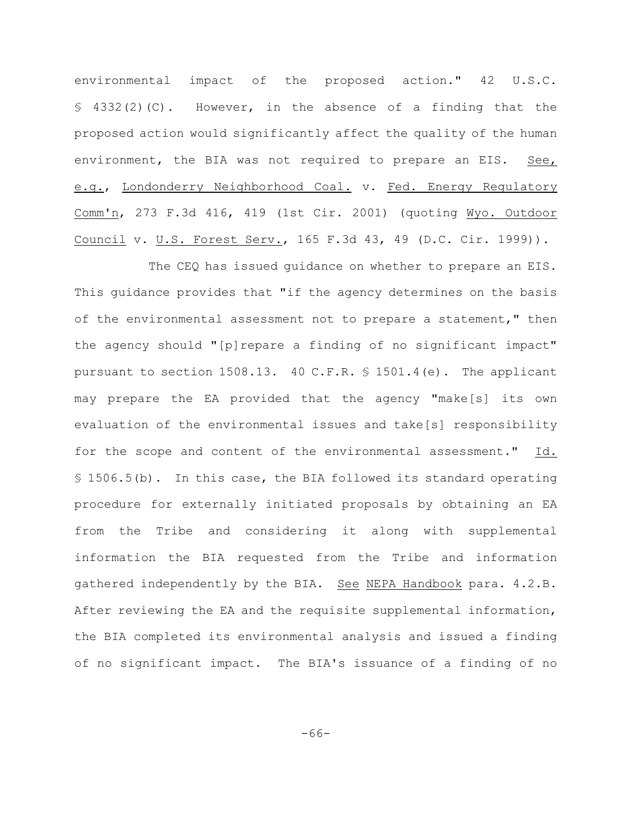environmental impact of the proposed action." 42 U.S.C.  $$ 4332(2)(C)$ . However, in the absence of a finding that the proposed action would significantly affect the quality of the human environment, the BIA was not required to prepare an EIS. See, e.g., Londonderry Neighborhood Coal. v. Fed. Energy Regulatory Comm'n, 273 F.3d 416, 419 (1st Cir. 2001) (quoting Wyo. Outdoor Council v. U.S. Forest Serv., 165 F.3d 43, 49 (D.C. Cir. 1999)).

The CEQ has issued quidance on whether to prepare an EIS. This guidance provides that "if the agency determines on the basis of the environmental assessment not to prepare a statement," then the agency should "[p]repare a finding of no significant impact" pursuant to section 1508.13. 40 C.F.R. § 1501.4(e). The applicant may prepare the EA provided that the agency "make[s] its own evaluation of the environmental issues and take[s] responsibility for the scope and content of the environmental assessment." Id. § 1506.5(b). In this case, the BIA followed its standard operating procedure for externally initiated proposals by obtaining an EA from the Tribe and considering it along with supplemental information the BIA requested from the Tribe and information gathered independently by the BIA. See NEPA Handbook para. 4.2.B. After reviewing the EA and the requisite supplemental information, the BIA completed its environmental analysis and issued a finding of no significant impact. The BIA's issuance of a finding of no

-66-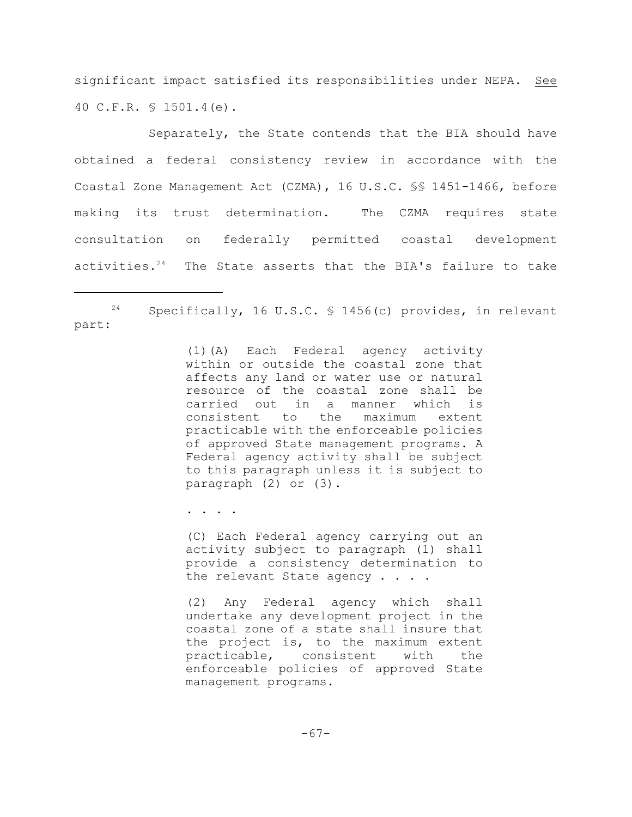significant impact satisfied its responsibilities under NEPA. See 40 C.F.R. § 1501.4(e).

Separately, the State contends that the BIA should have obtained a federal consistency review in accordance with the Coastal Zone Management Act (CZMA), 16 U.S.C. §§ 1451-1466, before making its trust determination. The CZMA requires state consultation on federally permitted coastal development activities. $24$  The State asserts that the BIA's failure to take

(1)(A) Each Federal agency activity within or outside the coastal zone that affects any land or water use or natural resource of the coastal zone shall be carried out in a manner which is consistent to the maximum extent practicable with the enforceable policies of approved State management programs. A Federal agency activity shall be subject to this paragraph unless it is subject to paragraph (2) or (3).

. . . .

(C) Each Federal agency carrying out an activity subject to paragraph (1) shall provide a consistency determination to the relevant State agency . . . .

(2) Any Federal agency which shall undertake any development project in the coastal zone of a state shall insure that the project is, to the maximum extent practicable, consistent with the enforceable policies of approved State management programs.

 $24$  Specifically, 16 U.S.C. § 1456(c) provides, in relevant part: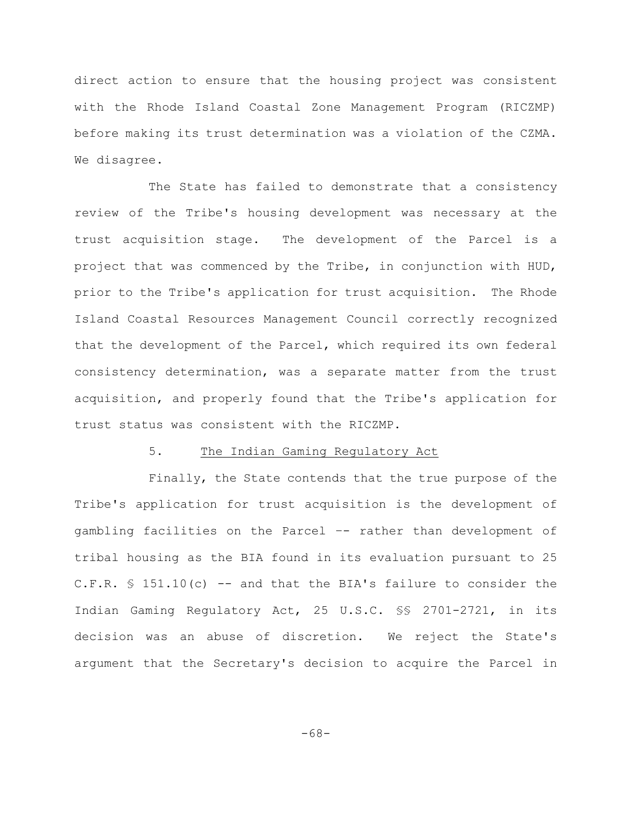direct action to ensure that the housing project was consistent with the Rhode Island Coastal Zone Management Program (RICZMP) before making its trust determination was a violation of the CZMA. We disagree.

The State has failed to demonstrate that a consistency review of the Tribe's housing development was necessary at the trust acquisition stage. The development of the Parcel is a project that was commenced by the Tribe, in conjunction with HUD, prior to the Tribe's application for trust acquisition. The Rhode Island Coastal Resources Management Council correctly recognized that the development of the Parcel, which required its own federal consistency determination, was a separate matter from the trust acquisition, and properly found that the Tribe's application for trust status was consistent with the RICZMP.

#### 5. The Indian Gaming Regulatory Act

Finally, the State contends that the true purpose of the Tribe's application for trust acquisition is the development of gambling facilities on the Parcel –- rather than development of tribal housing as the BIA found in its evaluation pursuant to 25 C.F.R.  $\text{\$ }151.10\,\text{(c)}$  -- and that the BIA's failure to consider the Indian Gaming Regulatory Act, 25 U.S.C. §§ 2701-2721, in its decision was an abuse of discretion. We reject the State's argument that the Secretary's decision to acquire the Parcel in

-68-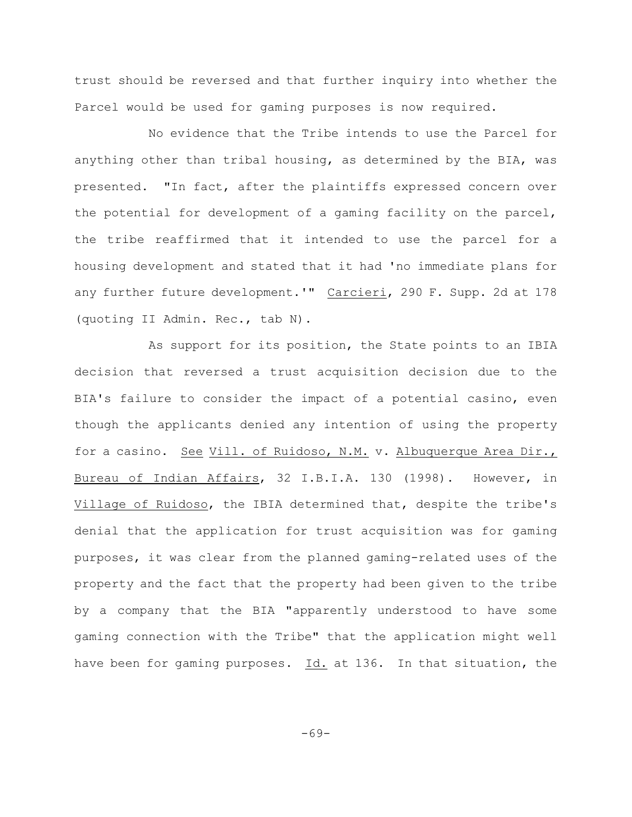trust should be reversed and that further inquiry into whether the Parcel would be used for gaming purposes is now required.

No evidence that the Tribe intends to use the Parcel for anything other than tribal housing, as determined by the BIA, was presented. "In fact, after the plaintiffs expressed concern over the potential for development of a gaming facility on the parcel, the tribe reaffirmed that it intended to use the parcel for a housing development and stated that it had 'no immediate plans for any further future development.'" Carcieri, 290 F. Supp. 2d at 178 (quoting II Admin. Rec., tab N).

As support for its position, the State points to an IBIA decision that reversed a trust acquisition decision due to the BIA's failure to consider the impact of a potential casino, even though the applicants denied any intention of using the property for a casino. See Vill. of Ruidoso, N.M. v. Albuquerque Area Dir., Bureau of Indian Affairs, 32 I.B.I.A. 130 (1998). However, in Village of Ruidoso, the IBIA determined that, despite the tribe's denial that the application for trust acquisition was for gaming purposes, it was clear from the planned gaming-related uses of the property and the fact that the property had been given to the tribe by a company that the BIA "apparently understood to have some gaming connection with the Tribe" that the application might well have been for gaming purposes. Id. at 136. In that situation, the

-69-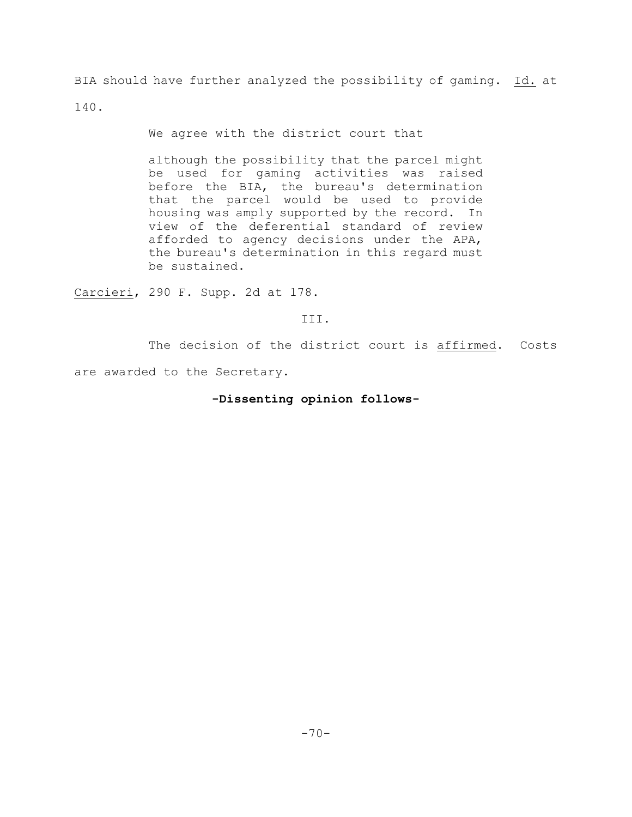BIA should have further analyzed the possibility of gaming. Id. at

140.

We agree with the district court that

although the possibility that the parcel might be used for gaming activities was raised before the BIA, the bureau's determination that the parcel would be used to provide housing was amply supported by the record. In view of the deferential standard of review afforded to agency decisions under the APA, the bureau's determination in this regard must be sustained.

Carcieri, 290 F. Supp. 2d at 178.

III.

The decision of the district court is affirmed. Costs

are awarded to the Secretary.

# **-Dissenting opinion follows-**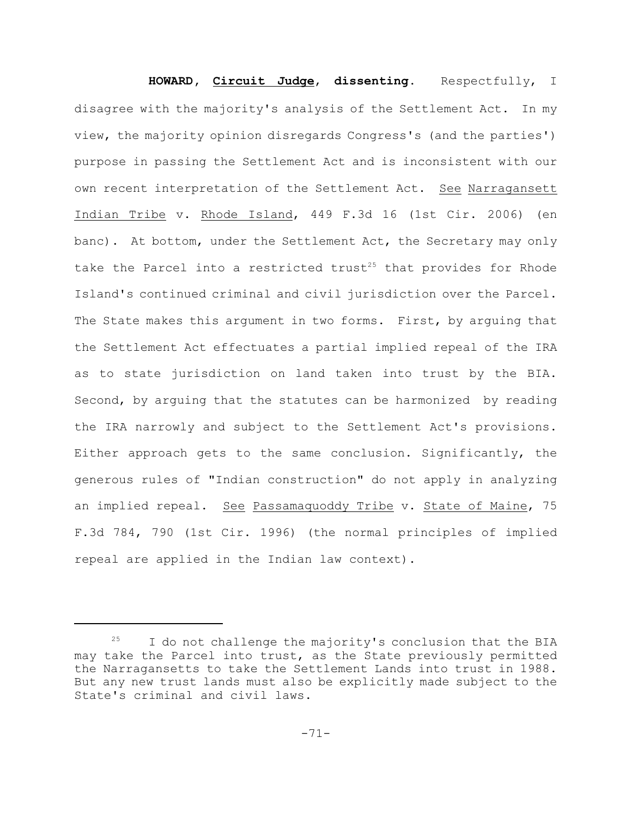**HOWARD, Circuit Judge**, **dissenting**. Respectfully, I disagree with the majority's analysis of the Settlement Act. In my view, the majority opinion disregards Congress's (and the parties') purpose in passing the Settlement Act and is inconsistent with our own recent interpretation of the Settlement Act. See Narragansett Indian Tribe v. Rhode Island, 449 F.3d 16 (1st Cir. 2006) (en banc). At bottom, under the Settlement Act, the Secretary may only take the Parcel into a restricted trust<sup>25</sup> that provides for Rhode Island's continued criminal and civil jurisdiction over the Parcel. The State makes this argument in two forms. First, by arguing that the Settlement Act effectuates a partial implied repeal of the IRA as to state jurisdiction on land taken into trust by the BIA. Second, by arguing that the statutes can be harmonized by reading the IRA narrowly and subject to the Settlement Act's provisions. Either approach gets to the same conclusion. Significantly, the generous rules of "Indian construction" do not apply in analyzing an implied repeal. See Passamaquoddy Tribe v. State of Maine, 75 F.3d 784, 790 (1st Cir. 1996) (the normal principles of implied repeal are applied in the Indian law context).

 $15$  I do not challenge the majority's conclusion that the BIA may take the Parcel into trust, as the State previously permitted the Narragansetts to take the Settlement Lands into trust in 1988. But any new trust lands must also be explicitly made subject to the State's criminal and civil laws.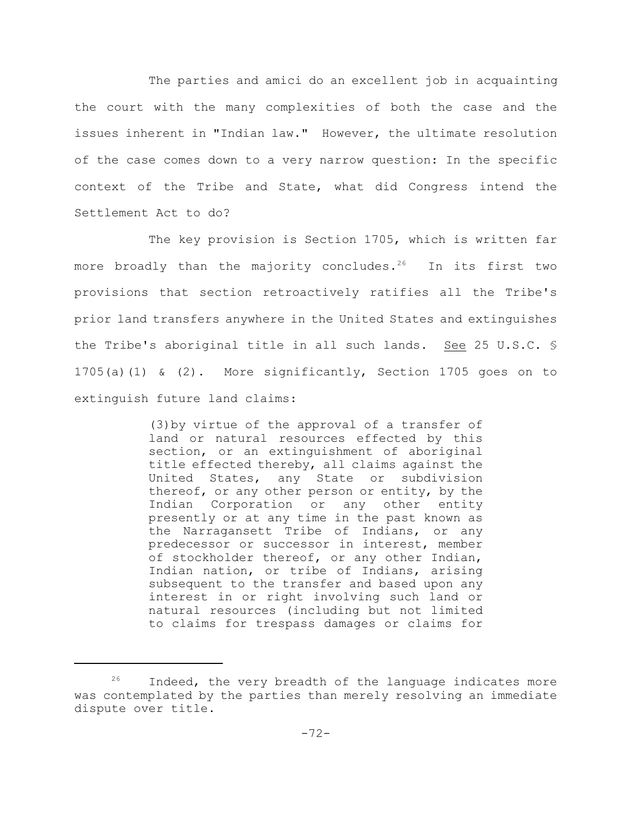The parties and amici do an excellent job in acquainting the court with the many complexities of both the case and the issues inherent in "Indian law." However, the ultimate resolution of the case comes down to a very narrow question: In the specific context of the Tribe and State, what did Congress intend the Settlement Act to do?

The key provision is Section 1705, which is written far more broadly than the majority concludes.<sup>26</sup> In its first two provisions that section retroactively ratifies all the Tribe's prior land transfers anywhere in the United States and extinguishes the Tribe's aboriginal title in all such lands. See 25 U.S.C. § 1705(a)(1) & (2). More significantly, Section 1705 goes on to extinguish future land claims:

> (3)by virtue of the approval of a transfer of land or natural resources effected by this section, or an extinguishment of aboriginal title effected thereby, all claims against the United States, any State or subdivision thereof, or any other person or entity, by the Indian Corporation or any other entity presently or at any time in the past known as the Narragansett Tribe of Indians, or any predecessor or successor in interest, member of stockholder thereof, or any other Indian, Indian nation, or tribe of Indians, arising subsequent to the transfer and based upon any interest in or right involving such land or natural resources (including but not limited to claims for trespass damages or claims for

 $26$  Indeed, the very breadth of the language indicates more was contemplated by the parties than merely resolving an immediate dispute over title.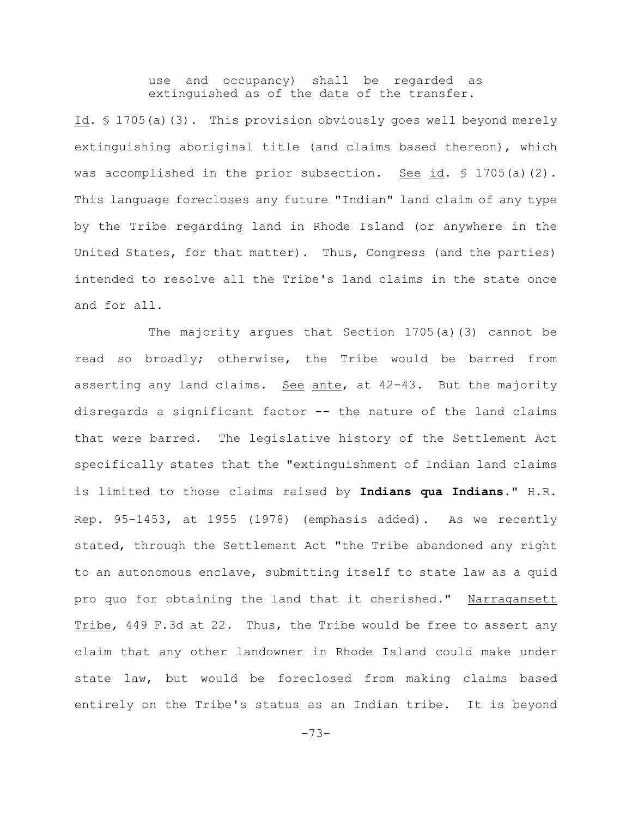use and occupancy) shall be regarded as extinguished as of the date of the transfer.

Id. § 1705(a)(3). This provision obviously goes well beyond merely extinguishing aboriginal title (and claims based thereon), which was accomplished in the prior subsection. See id.  $\Im$  1705(a)(2). This language forecloses any future "Indian" land claim of any type by the Tribe regarding land in Rhode Island (or anywhere in the United States, for that matter). Thus, Congress (and the parties) intended to resolve all the Tribe's land claims in the state once and for all.

The majority argues that Section 1705(a)(3) cannot be read so broadly; otherwise, the Tribe would be barred from asserting any land claims. See ante, at 42-43. But the majority disregards a significant factor -- the nature of the land claims that were barred. The legislative history of the Settlement Act specifically states that the "extinguishment of Indian land claims is limited to those claims raised by **Indians qua Indians**." H.R. Rep. 95-1453, at 1955 (1978) (emphasis added). As we recently stated, through the Settlement Act "the Tribe abandoned any right to an autonomous enclave, submitting itself to state law as a quid pro quo for obtaining the land that it cherished." Narragansett Tribe, 449 F.3d at 22. Thus, the Tribe would be free to assert any claim that any other landowner in Rhode Island could make under state law, but would be foreclosed from making claims based entirely on the Tribe's status as an Indian tribe. It is beyond

-73-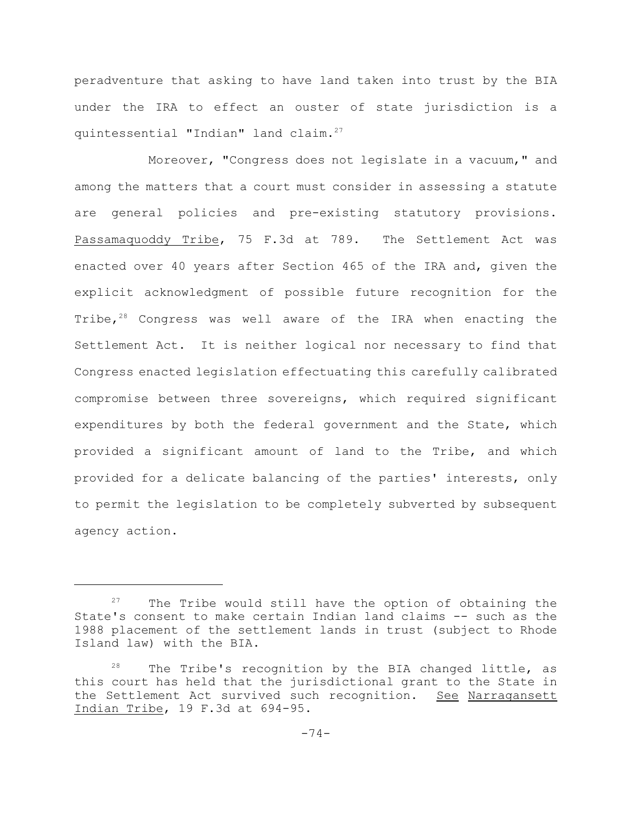peradventure that asking to have land taken into trust by the BIA under the IRA to effect an ouster of state jurisdiction is a quintessential "Indian" land claim.<sup>27</sup>

Moreover, "Congress does not legislate in a vacuum," and among the matters that a court must consider in assessing a statute are general policies and pre-existing statutory provisions. Passamaquoddy Tribe, 75 F.3d at 789. The Settlement Act was enacted over 40 years after Section 465 of the IRA and, given the explicit acknowledgment of possible future recognition for the Tribe, $28$  Congress was well aware of the IRA when enacting the Settlement Act. It is neither logical nor necessary to find that Congress enacted legislation effectuating this carefully calibrated compromise between three sovereigns, which required significant expenditures by both the federal government and the State, which provided a significant amount of land to the Tribe, and which provided for a delicate balancing of the parties' interests, only to permit the legislation to be completely subverted by subsequent agency action.

 $27$  The Tribe would still have the option of obtaining the State's consent to make certain Indian land claims -- such as the 1988 placement of the settlement lands in trust (subject to Rhode Island law) with the BIA.

 $28$  The Tribe's recognition by the BIA changed little, as this court has held that the jurisdictional grant to the State in the Settlement Act survived such recognition. See Narragansett Indian Tribe, 19 F.3d at 694-95.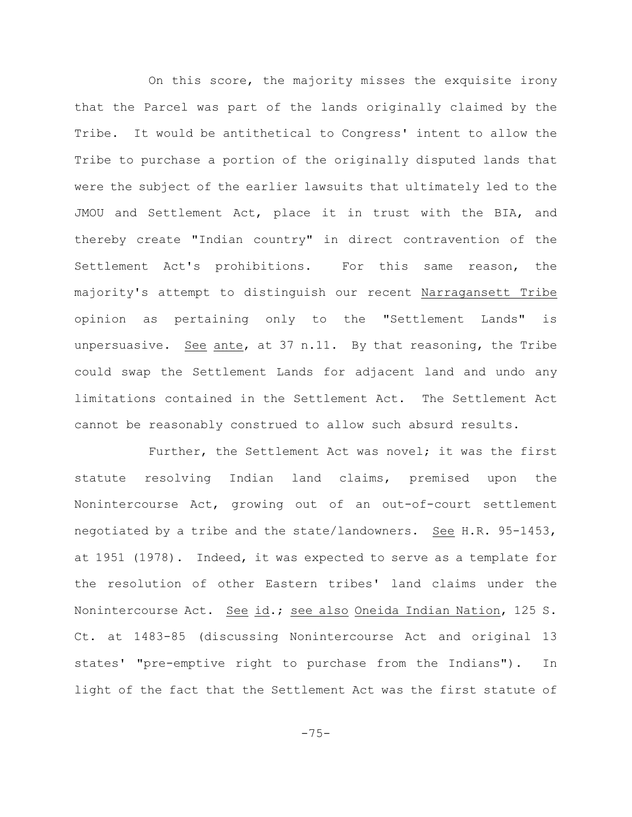On this score, the majority misses the exquisite irony that the Parcel was part of the lands originally claimed by the Tribe. It would be antithetical to Congress' intent to allow the Tribe to purchase a portion of the originally disputed lands that were the subject of the earlier lawsuits that ultimately led to the JMOU and Settlement Act, place it in trust with the BIA, and thereby create "Indian country" in direct contravention of the Settlement Act's prohibitions. For this same reason, the majority's attempt to distinguish our recent Narragansett Tribe opinion as pertaining only to the "Settlement Lands" is unpersuasive. See ante, at 37 n.11. By that reasoning, the Tribe could swap the Settlement Lands for adjacent land and undo any limitations contained in the Settlement Act. The Settlement Act cannot be reasonably construed to allow such absurd results.

Further, the Settlement Act was novel; it was the first statute resolving Indian land claims, premised upon the Nonintercourse Act, growing out of an out-of-court settlement negotiated by a tribe and the state/landowners. See H.R. 95-1453, at 1951 (1978). Indeed, it was expected to serve as a template for the resolution of other Eastern tribes' land claims under the Nonintercourse Act. See id.; see also Oneida Indian Nation, 125 S. Ct. at 1483-85 (discussing Nonintercourse Act and original 13 states' "pre-emptive right to purchase from the Indians"). In light of the fact that the Settlement Act was the first statute of

-75-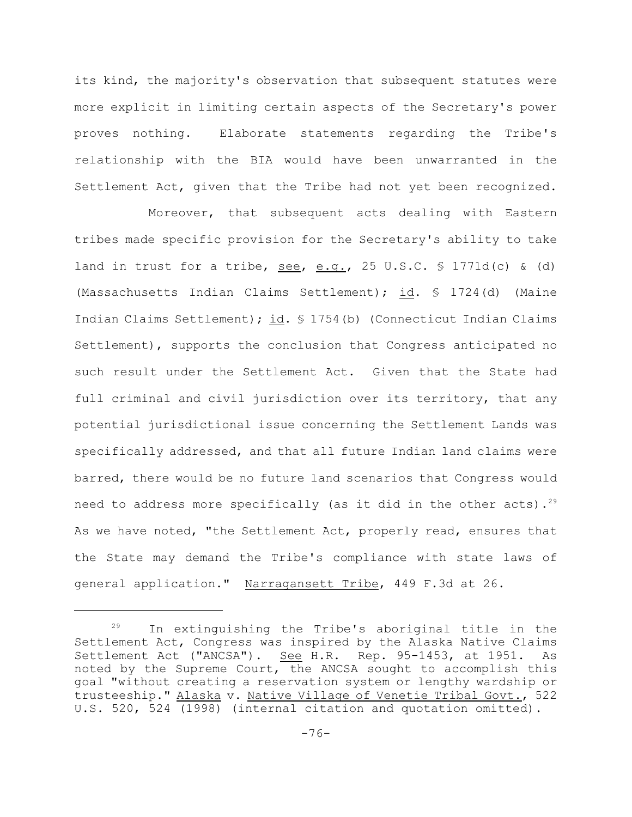its kind, the majority's observation that subsequent statutes were more explicit in limiting certain aspects of the Secretary's power proves nothing. Elaborate statements regarding the Tribe's relationship with the BIA would have been unwarranted in the Settlement Act, given that the Tribe had not yet been recognized.

Moreover, that subsequent acts dealing with Eastern tribes made specific provision for the Secretary's ability to take land in trust for a tribe,  $see$ ,  $e.g.,$  25 U.S.C.  $\frac{1771d(c)}{c}$  (d) (Massachusetts Indian Claims Settlement); id. § 1724(d) (Maine Indian Claims Settlement); id. § 1754(b) (Connecticut Indian Claims Settlement), supports the conclusion that Congress anticipated no such result under the Settlement Act. Given that the State had full criminal and civil jurisdiction over its territory, that any potential jurisdictional issue concerning the Settlement Lands was specifically addressed, and that all future Indian land claims were barred, there would be no future land scenarios that Congress would need to address more specifically (as it did in the other acts).<sup>29</sup> As we have noted, "the Settlement Act, properly read, ensures that the State may demand the Tribe's compliance with state laws of general application." Narragansett Tribe, 449 F.3d at 26.

 $29$  In extinguishing the Tribe's aboriginal title in the Settlement Act, Congress was inspired by the Alaska Native Claims Settlement Act ("ANCSA"). See H.R. Rep. 95-1453, at 1951. As noted by the Supreme Court, the ANCSA sought to accomplish this goal "without creating a reservation system or lengthy wardship or trusteeship." Alaska v. Native Village of Venetie Tribal Govt., 522 U.S. 520, 524 (1998) (internal citation and quotation omitted).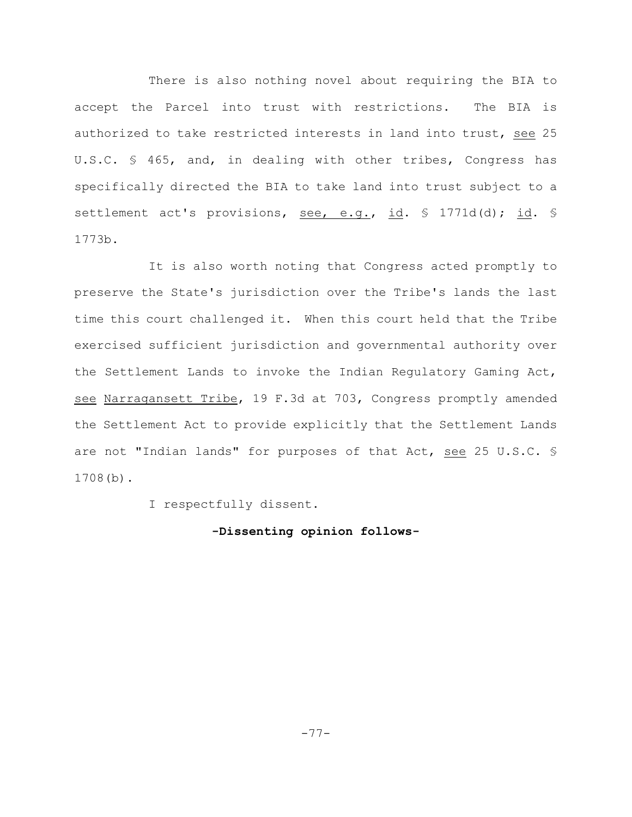There is also nothing novel about requiring the BIA to accept the Parcel into trust with restrictions. The BIA is authorized to take restricted interests in land into trust, see 25 U.S.C. § 465, and, in dealing with other tribes, Congress has specifically directed the BIA to take land into trust subject to a settlement act's provisions, see, e.g., id. § 1771d(d); id. § 1773b.

It is also worth noting that Congress acted promptly to preserve the State's jurisdiction over the Tribe's lands the last time this court challenged it. When this court held that the Tribe exercised sufficient jurisdiction and governmental authority over the Settlement Lands to invoke the Indian Regulatory Gaming Act, see Narragansett Tribe, 19 F.3d at 703, Congress promptly amended the Settlement Act to provide explicitly that the Settlement Lands are not "Indian lands" for purposes of that Act, see 25 U.S.C. § 1708(b).

I respectfully dissent.

**-Dissenting opinion follows-**

-77-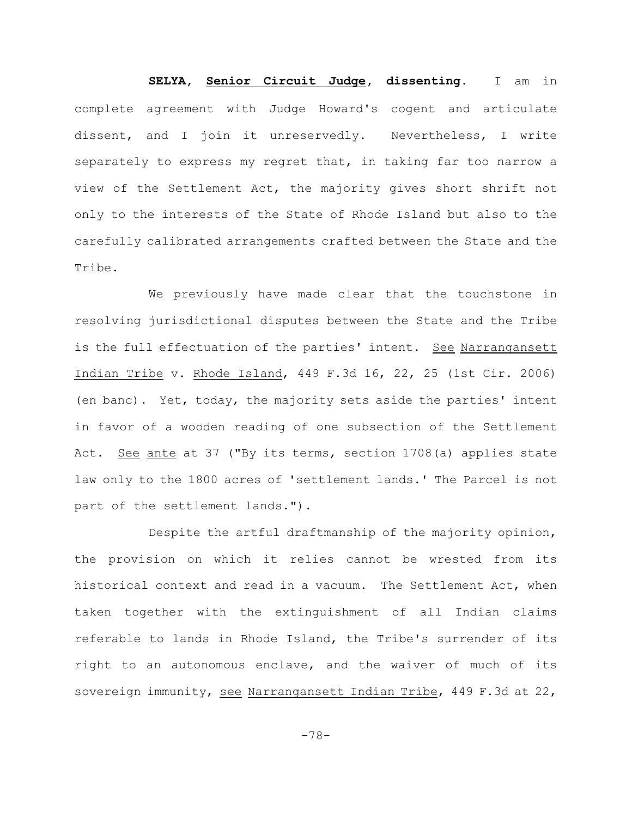**SELYA, Senior Circuit Judge, dissenting.** I am in complete agreement with Judge Howard's cogent and articulate dissent, and I join it unreservedly. Nevertheless, I write separately to express my regret that, in taking far too narrow a view of the Settlement Act, the majority gives short shrift not only to the interests of the State of Rhode Island but also to the carefully calibrated arrangements crafted between the State and the Tribe.

We previously have made clear that the touchstone in resolving jurisdictional disputes between the State and the Tribe is the full effectuation of the parties' intent. See Narrangansett Indian Tribe v. Rhode Island, 449 F.3d 16, 22, 25 (1st Cir. 2006) (en banc). Yet, today, the majority sets aside the parties' intent in favor of a wooden reading of one subsection of the Settlement Act. See ante at 37 ("By its terms, section 1708(a) applies state law only to the 1800 acres of 'settlement lands.' The Parcel is not part of the settlement lands.").

Despite the artful draftmanship of the majority opinion, the provision on which it relies cannot be wrested from its historical context and read in a vacuum. The Settlement Act, when taken together with the extinguishment of all Indian claims referable to lands in Rhode Island, the Tribe's surrender of its right to an autonomous enclave, and the waiver of much of its sovereign immunity, see Narrangansett Indian Tribe, 449 F.3d at 22,

-78-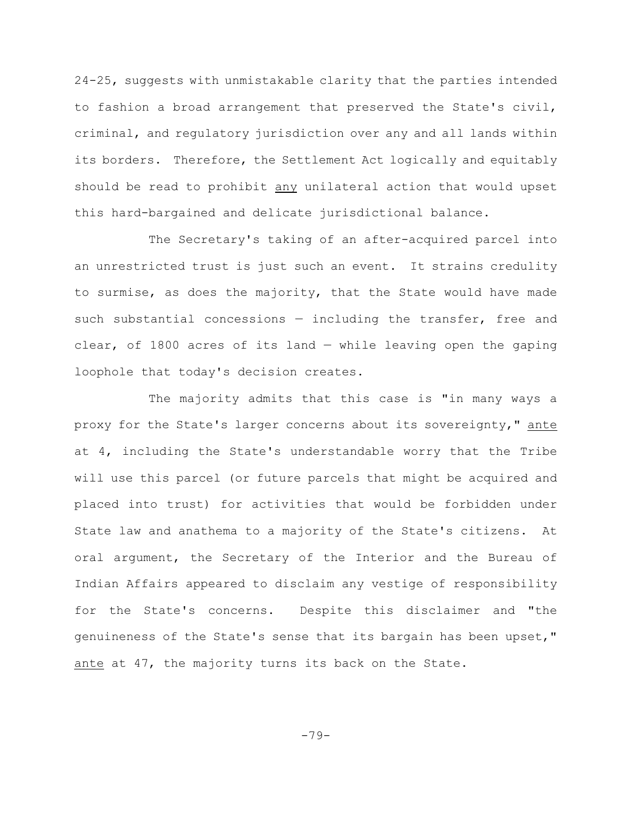24-25, suggests with unmistakable clarity that the parties intended to fashion a broad arrangement that preserved the State's civil, criminal, and regulatory jurisdiction over any and all lands within its borders. Therefore, the Settlement Act logically and equitably should be read to prohibit any unilateral action that would upset this hard-bargained and delicate jurisdictional balance.

The Secretary's taking of an after-acquired parcel into an unrestricted trust is just such an event. It strains credulity to surmise, as does the majority, that the State would have made such substantial concessions — including the transfer, free and clear, of 1800 acres of its land — while leaving open the gaping loophole that today's decision creates.

The majority admits that this case is "in many ways a proxy for the State's larger concerns about its sovereignty," ante at 4, including the State's understandable worry that the Tribe will use this parcel (or future parcels that might be acquired and placed into trust) for activities that would be forbidden under State law and anathema to a majority of the State's citizens. At oral argument, the Secretary of the Interior and the Bureau of Indian Affairs appeared to disclaim any vestige of responsibility for the State's concerns. Despite this disclaimer and "the genuineness of the State's sense that its bargain has been upset," ante at 47, the majority turns its back on the State.

-79-